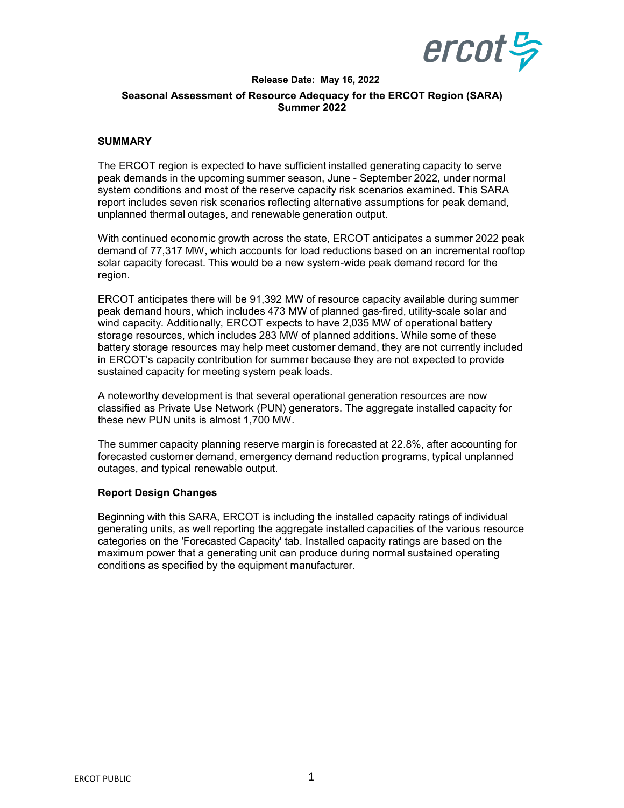

## **Release Date: May 16, 2022 Seasonal Assessment of Resource Adequacy for the ERCOT Region (SARA) Summer 2022**

## **SUMMARY**

The ERCOT region is expected to have sufficient installed generating capacity to serve peak demands in the upcoming summer season, June - September 2022, under normal system conditions and most of the reserve capacity risk scenarios examined. This SARA report includes seven risk scenarios reflecting alternative assumptions for peak demand, unplanned thermal outages, and renewable generation output.

With continued economic growth across the state, ERCOT anticipates a summer 2022 peak demand of 77,317 MW, which accounts for load reductions based on an incremental rooftop solar capacity forecast. This would be a new system-wide peak demand record for the region.

ERCOT anticipates there will be 91,392 MW of resource capacity available during summer peak demand hours, which includes 473 MW of planned gas-fired, utility-scale solar and wind capacity. Additionally, ERCOT expects to have 2,035 MW of operational battery storage resources, which includes 283 MW of planned additions. While some of these battery storage resources may help meet customer demand, they are not currently included in ERCOT's capacity contribution for summer because they are not expected to provide sustained capacity for meeting system peak loads.

A noteworthy development is that several operational generation resources are now classified as Private Use Network (PUN) generators. The aggregate installed capacity for these new PUN units is almost 1,700 MW.

The summer capacity planning reserve margin is forecasted at 22.8%, after accounting for forecasted customer demand, emergency demand reduction programs, typical unplanned outages, and typical renewable output.

## **Report Design Changes**

Beginning with this SARA, ERCOT is including the installed capacity ratings of individual generating units, as well reporting the aggregate installed capacities of the various resource categories on the 'Forecasted Capacity' tab. Installed capacity ratings are based on the maximum power that a generating unit can produce during normal sustained operating conditions as specified by the equipment manufacturer.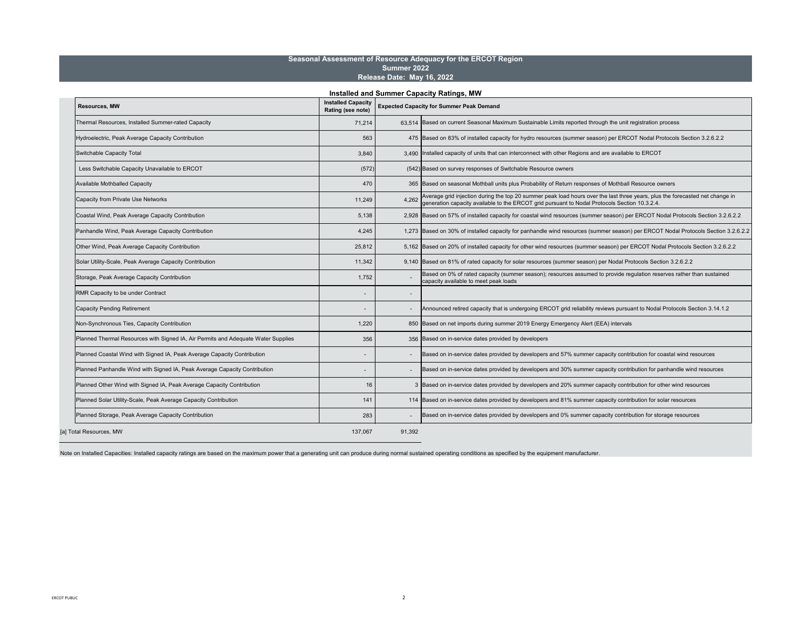Note on Installed Capacities: Installed capacity ratings are based on the maximum power that a generating unit can produce during normal sustained operating conditions as specified by the equipment manufacturer.

| <b>Resources, MW</b>                                                              | <b>Rating (see note)</b> |        | Installed Capacity   Expected Capacity for Summer Peak Demand                                                                                                                                                                    |
|-----------------------------------------------------------------------------------|--------------------------|--------|----------------------------------------------------------------------------------------------------------------------------------------------------------------------------------------------------------------------------------|
| <b>Thermal Resources, Installed Summer-rated Capacity</b>                         | 71,214                   |        | 63,514 Based on current Seasonal Maximum Sustainable Limits reported through the unit registration process                                                                                                                       |
| Hydroelectric, Peak Average Capacity Contribution                                 | 563                      |        | 475 Based on 83% of installed capacity for hydro resources (summer season) per ERCOT Nodal Protocols Section 3.2.6.2.2                                                                                                           |
| Switchable Capacity Total                                                         | 3,840                    |        | 3,490 Installed capacity of units that can interconnect with other Regions and are available to ERCOT                                                                                                                            |
| Less Switchable Capacity Unavailable to ERCOT                                     | (572)                    |        | (542) Based on survey responses of Switchable Resource owners                                                                                                                                                                    |
| <b>Available Mothballed Capacity</b>                                              | 470                      |        | 365 Based on seasonal Mothball units plus Probability of Return responses of Mothball Resource owners                                                                                                                            |
| Capacity from Private Use Networks                                                | 11,249                   |        | 4,262 Average grid injection during the top 20 summer peak load hours over the last three years, plus the forecasted net change in $\vert$ 4,262 generation capacity available to the ERCOT grid pursuant to Nodal Protocols Sec |
| <b>Coastal Wind, Peak Average Capacity Contribution</b>                           | 5,138                    |        | 2,928   Based on 57% of installed capacity for coastal wind resources (summer season) per ERCOT Nodal Protocols Section 3.2.6.2.2                                                                                                |
| Panhandle Wind, Peak Average Capacity Contribution                                | 4,245                    |        | 1,273 Based on 30% of installed capacity for panhandle wind resources (summer season) per ERCOT Nodal Protocols Section 3.2.6.2.2                                                                                                |
| Other Wind, Peak Average Capacity Contribution                                    | 25,812                   |        | 5,162   Based on 20% of installed capacity for other wind resources (summer season) per ERCOT Nodal Protocols Section 3.2.6.2.2                                                                                                  |
| Solar Utility-Scale, Peak Average Capacity Contribution                           | 11,342                   |        | 9,140 Based on 81% of rated capacity for solar resources (summer season) per Nodal Protocols Section 3.2.6.2.2                                                                                                                   |
| Storage, Peak Average Capacity Contribution                                       | 1,752                    |        | Based on 0% of rated capacity (summer season); resources assumed to provide regulation reserves rather than sustained<br>capacity available to meet peak loads                                                                   |
| <b>RMR Capacity to be under Contract</b>                                          |                          |        |                                                                                                                                                                                                                                  |
| <b>Capacity Pending Retirement</b>                                                | $\sim$                   |        | Announced retired capacity that is undergoing ERCOT grid reliability reviews pursuant to Nodal Protocols Section 3.14.1.2                                                                                                        |
| Non-Synchronous Ties, Capacity Contribution                                       | 1,220                    |        | 850 Based on net imports during summer 2019 Energy Emergency Alert (EEA) intervals                                                                                                                                               |
| Planned Thermal Resources with Signed IA, Air Permits and Adequate Water Supplies | 356                      |        | 356 Based on in-service dates provided by developers                                                                                                                                                                             |
| Planned Coastal Wind with Signed IA, Peak Average Capacity Contribution           |                          |        | Based on in-service dates provided by developers and 57% summer capacity contribution for coastal wind resources                                                                                                                 |
| Planned Panhandle Wind with Signed IA, Peak Average Capacity Contribution         |                          |        | Based on in-service dates provided by developers and 30% summer capacity contribution for panhandle wind resources                                                                                                               |
| Planned Other Wind with Signed IA, Peak Average Capacity Contribution             | 16                       |        | 3 Based on in-service dates provided by developers and 20% summer capacity contribution for other wind resources                                                                                                                 |
| Planned Solar Utility-Scale, Peak Average Capacity Contribution                   | 141                      |        | 114 Based on in-service dates provided by developers and 81% summer capacity contribution for solar resources                                                                                                                    |
| Planned Storage, Peak Average Capacity Contribution                               | 283                      |        | Based on in-service dates provided by developers and 0% summer capacity contribution for storage resources                                                                                                                       |
| [a] Total Resources, MW                                                           | 137,067                  | 91,392 |                                                                                                                                                                                                                                  |

## **Seasonal Assessment of Resource Adequacy for the ERCOT Region Summer 2022 Release Date: May 16, 2022**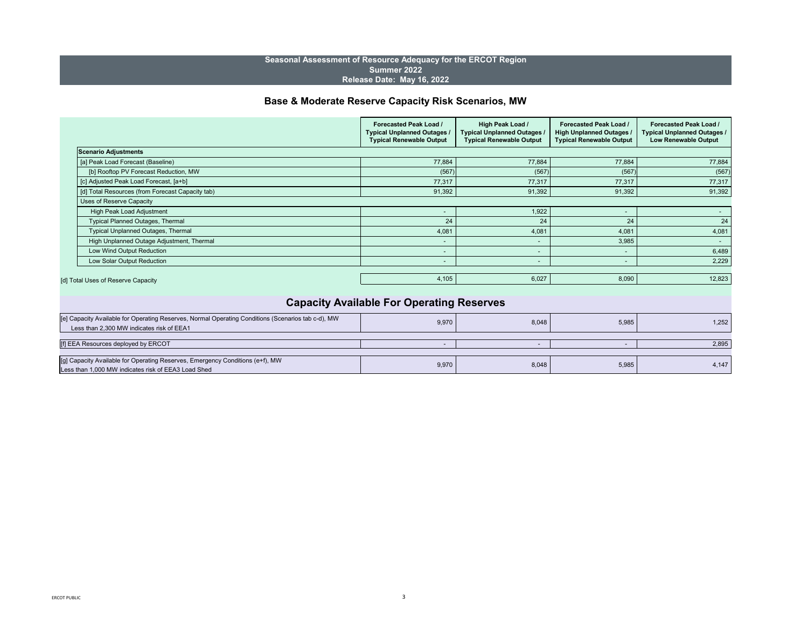|                                                                                                                                                 | <b>Forecasted Peak Load /</b><br><b>Typical Unplanned Outages /</b><br><b>Typical Renewable Output</b> | <b>High Peak Load /</b><br>Typical Unplanned Outages /<br><b>Typical Renewable Output</b> | <b>Forecasted Peak Load /</b><br><b>High Unplanned Outages /</b><br><b>Typical Renewable Output</b> | <b>Forecasted Peak Load /</b><br><b>Typical Unplanned Outages /</b><br><b>Low Renewable Output</b> |
|-------------------------------------------------------------------------------------------------------------------------------------------------|--------------------------------------------------------------------------------------------------------|-------------------------------------------------------------------------------------------|-----------------------------------------------------------------------------------------------------|----------------------------------------------------------------------------------------------------|
| Scenario Adjustments                                                                                                                            |                                                                                                        |                                                                                           |                                                                                                     |                                                                                                    |
| [a] Peak Load Forecast (Baseline)                                                                                                               | 77,884                                                                                                 | 77,884                                                                                    | 77,884                                                                                              | 77,884                                                                                             |
| [b] Rooftop PV Forecast Reduction, MW                                                                                                           | (567)                                                                                                  | (567)                                                                                     | (567)                                                                                               | (567)                                                                                              |
| [c] Adjusted Peak Load Forecast, [a+b]                                                                                                          | 77,317                                                                                                 | 77,317                                                                                    | 77,317                                                                                              | 77,317                                                                                             |
| [d] Total Resources (from Forecast Capacity tab)                                                                                                | 91,392                                                                                                 | 91,392                                                                                    | 91,392                                                                                              | 91,392                                                                                             |
| <b>Uses of Reserve Capacity</b>                                                                                                                 |                                                                                                        |                                                                                           |                                                                                                     |                                                                                                    |
| <b>High Peak Load Adjustment</b>                                                                                                                |                                                                                                        | 1,922                                                                                     | $\sim$                                                                                              |                                                                                                    |
| <b>Typical Planned Outages, Thermal</b>                                                                                                         | 24                                                                                                     | 24                                                                                        | 24                                                                                                  | 24                                                                                                 |
| <b>Typical Unplanned Outages, Thermal</b>                                                                                                       | 4,081                                                                                                  | 4,081                                                                                     | 4,081                                                                                               | 4,081                                                                                              |
| High Unplanned Outage Adjustment, Thermal                                                                                                       | $\blacksquare$                                                                                         | $\sim$                                                                                    | 3,985                                                                                               | $\sim$                                                                                             |
| Low Wind Output Reduction                                                                                                                       |                                                                                                        | $\sim$                                                                                    |                                                                                                     | 6,489                                                                                              |
| Low Solar Output Reduction                                                                                                                      | $\blacksquare$                                                                                         | $\sim$                                                                                    | $\sim$                                                                                              | 2,229                                                                                              |
|                                                                                                                                                 |                                                                                                        |                                                                                           |                                                                                                     |                                                                                                    |
| [d] Total Uses of Reserve Capacity                                                                                                              | 4,105                                                                                                  | 6,027                                                                                     | 8,090                                                                                               | 12,823                                                                                             |
|                                                                                                                                                 |                                                                                                        |                                                                                           |                                                                                                     |                                                                                                    |
|                                                                                                                                                 | <b>Capacity Available For Operating Reserves</b>                                                       |                                                                                           |                                                                                                     |                                                                                                    |
| [e] Capacity Available for Operating Reserves, Normal Operating Conditions (Scenarios tab c-d), MW<br>Less than 2,300 MW indicates risk of EEA1 | 9,970                                                                                                  | 8,048                                                                                     | 5,985                                                                                               | 1,252                                                                                              |
|                                                                                                                                                 |                                                                                                        |                                                                                           |                                                                                                     |                                                                                                    |
| [f] EEA Resources deployed by ERCOT                                                                                                             |                                                                                                        |                                                                                           |                                                                                                     | 2,895                                                                                              |
|                                                                                                                                                 |                                                                                                        |                                                                                           |                                                                                                     |                                                                                                    |

# **Base & Moderate Reserve Capacity Risk Scenarios, MW**

| [e] Capacity Available for Operating Reserves, Normal Operating Conditions (Scenarios tab c-d), MW |  |
|----------------------------------------------------------------------------------------------------|--|
| Less than 2,300 MW indicates risk of EEA1                                                          |  |
|                                                                                                    |  |
| [f] EEA Resources deployed by ERCOT                                                                |  |
|                                                                                                    |  |
| [[g] Capacity Available for Operating Reserves, Emergency Conditions (e+f), MW                     |  |
| Less than 1,000 MW indicates risk of EEA3 Load Shed                                                |  |

| 9,970 | 8,048 | 5,985 | $\overline{a}$<br>+, I + 1 |
|-------|-------|-------|----------------------------|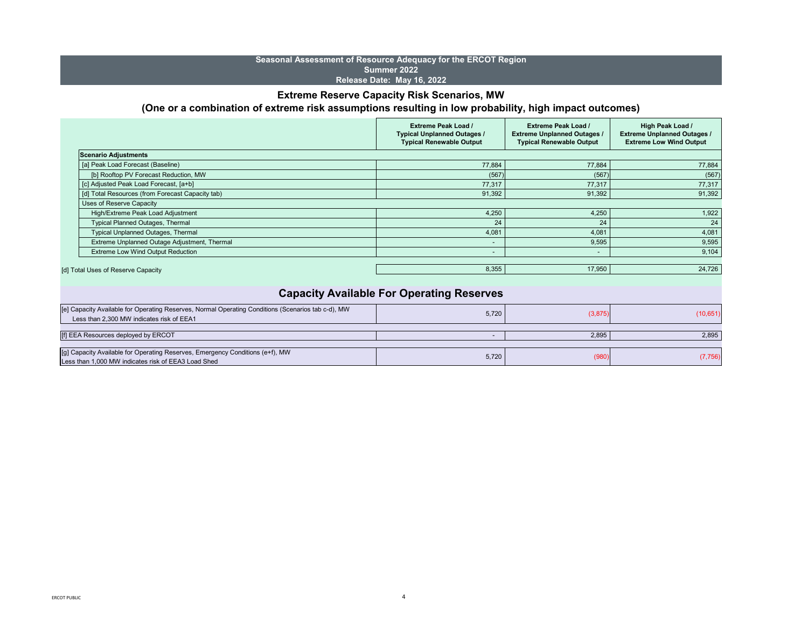| 5,720          | (3,875) | (10, 651) |
|----------------|---------|-----------|
| $\blacksquare$ | 2,895   | 2,895     |
| 5,720          | (980)   | (7, 756)  |

|                                                  | <b>Extreme Peak Load /</b><br><b>Typical Unplanned Outages /</b><br><b>Typical Renewable Output</b> | <b>Extreme Peak Load /</b><br><b>Extreme Unplanned Outages /</b><br><b>Typical Renewable Output</b> | <b>High Peak Load /</b><br><b>Extreme Unplanned Outages /</b><br><b>Extreme Low Wind Output</b> |
|--------------------------------------------------|-----------------------------------------------------------------------------------------------------|-----------------------------------------------------------------------------------------------------|-------------------------------------------------------------------------------------------------|
| Scenario Adjustments                             |                                                                                                     |                                                                                                     |                                                                                                 |
| [a] Peak Load Forecast (Baseline)                | 77,884                                                                                              | 77,884                                                                                              | 77,884                                                                                          |
| [b] Rooftop PV Forecast Reduction, MW            | (567)                                                                                               | (567)                                                                                               | (567)                                                                                           |
| [c] Adjusted Peak Load Forecast, [a+b]           | 77,317                                                                                              | 77,317                                                                                              | 77,317                                                                                          |
| [d] Total Resources (from Forecast Capacity tab) | 91,392                                                                                              | 91,392                                                                                              | 91,392                                                                                          |
| <b>Uses of Reserve Capacity</b>                  |                                                                                                     |                                                                                                     |                                                                                                 |
| High/Extreme Peak Load Adjustment                | 4,250                                                                                               | 4,250                                                                                               | 1,922                                                                                           |
| <b>Typical Planned Outages, Thermal</b>          | 24                                                                                                  | 24                                                                                                  | 24                                                                                              |
| <b>Typical Unplanned Outages, Thermal</b>        | 4,081                                                                                               | 4,081                                                                                               | 4,081                                                                                           |
| Extreme Unplanned Outage Adjustment, Thermal     |                                                                                                     | 9,595                                                                                               | 9,595                                                                                           |
| <b>Extreme Low Wind Output Reduction</b>         |                                                                                                     | $\,$ $\,$                                                                                           | 9,104                                                                                           |
| [d] Total Uses of Reserve Capacity               | 8,355                                                                                               | 17,950                                                                                              | 24,726                                                                                          |

## **Seasonal Assessment of Resource Adequacy for the ERCOT Region Summer 2022 Release Date: May 16, 2022**

# **Extreme Reserve Capacity Risk Scenarios, MW (One or a combination of extreme risk assumptions resulting in low probability, high impact outcomes)**

| [e] Capacity Available for Operating Reserves, Normal Operating Conditions (Scenarios tab c-d), MW<br>Less than 2,300 MW indicates risk of EEA1 | 5,720 | (3,875) | (10, 651) |
|-------------------------------------------------------------------------------------------------------------------------------------------------|-------|---------|-----------|
| [f] EEA Resources deployed by ERCOT                                                                                                             |       | 2,895   | 2,895     |
| [g] Capacity Available for Operating Reserves, Emergency Conditions (e+f), MW<br>Less than 1,000 MW indicates risk of EEA3 Load Shed            | 5,720 | (980)   | (7, 756)  |

# **Capacity Available For Operating Reserves**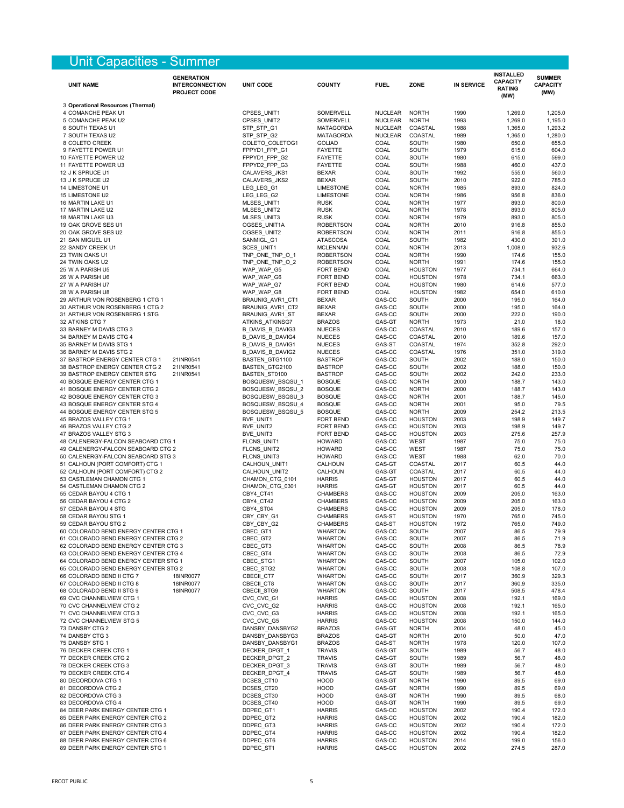# Unit Capacities - Summer

| <b>UNIT NAME</b>                                                             | <b>GENERATION</b><br><b>INTERCONNECTION</b><br><b>PROJECT CODE</b> | <b>UNIT CODE</b>                     | <b>COUNTY</b>                        | <b>FUEL</b>            | <b>ZONE</b>                      | <b>IN SERVICE</b> | <b>INSTALLED</b><br><b>CAPACITY</b><br><b>RATING</b><br>(MW) | <b>SUMMER</b><br><b>CAPACITY</b><br>(MW) |
|------------------------------------------------------------------------------|--------------------------------------------------------------------|--------------------------------------|--------------------------------------|------------------------|----------------------------------|-------------------|--------------------------------------------------------------|------------------------------------------|
| 3 Operational Resources (Thermal)                                            |                                                                    |                                      |                                      |                        |                                  |                   |                                                              |                                          |
| 4 COMANCHE PEAK U1                                                           |                                                                    | CPSES_UNIT1                          | <b>SOMERVELL</b>                     | <b>NUCLEAR</b>         | <b>NORTH</b>                     | 1990              | 1,269.0                                                      | 1,205.0                                  |
| 5 COMANCHE PEAK U2                                                           |                                                                    | CPSES_UNIT2                          | <b>SOMERVELL</b>                     | <b>NUCLEAR</b>         | <b>NORTH</b>                     | 1993              | 1,269.0                                                      | 1,195.0                                  |
| 6 SOUTH TEXAS U1                                                             |                                                                    | STP_STP_G1                           | <b>MATAGORDA</b>                     | <b>NUCLEAR</b>         | <b>COASTAL</b>                   | 1988              | 1,365.0                                                      | 1,293.2                                  |
| 7 SOUTH TEXAS U2<br>8 COLETO CREEK                                           |                                                                    | STP_STP_G2<br>COLETO_COLETOG1        | <b>MATAGORDA</b><br><b>GOLIAD</b>    | <b>NUCLEAR</b><br>COAL | COASTAL<br><b>SOUTH</b>          | 1989<br>1980      | 1,365.0<br>650.0                                             | 1,280.0<br>655.0                         |
| 9 FAYETTE POWER U1                                                           |                                                                    | FPPYD1_FPP_G1                        | <b>FAYETTE</b>                       | COAL                   | <b>SOUTH</b>                     | 1979              | 615.0                                                        | 604.0                                    |
| 10 FAYETTE POWER U2                                                          |                                                                    | FPPYD1_FPP_G2                        | <b>FAYETTE</b>                       | COAL                   | <b>SOUTH</b>                     | 1980              | 615.0                                                        | 599.0                                    |
| 11 FAYETTE POWER U3                                                          |                                                                    | FPPYD2_FPP_G3                        | <b>FAYETTE</b>                       | COAL                   | <b>SOUTH</b>                     | 1988              | 460.0                                                        | 437.0                                    |
| 12 J K SPRUCE U1                                                             |                                                                    | CALAVERS_JKS1                        | <b>BEXAR</b>                         | COAL                   | <b>SOUTH</b>                     | 1992              | 555.0                                                        | 560.0                                    |
| 13 J K SPRUCE U2                                                             |                                                                    | CALAVERS_JKS2                        | <b>BEXAR</b>                         | COAL                   | <b>SOUTH</b>                     | 2010              | 922.0                                                        | 785.0                                    |
| 14 LIMESTONE U1<br>15 LIMESTONE U2                                           |                                                                    | LEG_LEG_G1<br>LEG_LEG_G2             | <b>LIMESTONE</b><br><b>LIMESTONE</b> | COAL<br>COAL           | <b>NORTH</b><br><b>NORTH</b>     | 1985<br>1986      | 893.0<br>956.8                                               | 824.0<br>836.0                           |
| 16 MARTIN LAKE U1                                                            |                                                                    | MLSES_UNIT1                          | <b>RUSK</b>                          | COAL                   | <b>NORTH</b>                     | 1977              | 893.0                                                        | 800.0                                    |
| 17 MARTIN LAKE U2                                                            |                                                                    | MLSES_UNIT2                          | <b>RUSK</b>                          | COAL                   | <b>NORTH</b>                     | 1978              | 893.0                                                        | 805.0                                    |
| 18 MARTIN LAKE U3                                                            |                                                                    | MLSES_UNIT3                          | <b>RUSK</b>                          | COAL                   | <b>NORTH</b>                     | 1979              | 893.0                                                        | 805.0                                    |
| 19 OAK GROVE SES U1                                                          |                                                                    | OGSES_UNIT1A                         | <b>ROBERTSON</b>                     | COAL                   | <b>NORTH</b>                     | 2010              | 916.8                                                        | 855.0                                    |
| 20 OAK GROVE SES U2                                                          |                                                                    | OGSES_UNIT2                          | <b>ROBERTSON</b>                     | COAL                   | <b>NORTH</b>                     | 2011              | 916.8                                                        | 855.0                                    |
| 21 SAN MIGUEL U1<br>22 SANDY CREEK U1                                        |                                                                    | SANMIGL_G1<br>SCES_UNIT1             | <b>ATASCOSA</b><br><b>MCLENNAN</b>   | COAL<br>COAL           | <b>SOUTH</b><br><b>NORTH</b>     | 1982<br>2013      | 430.0<br>1,008.0                                             | 391.0<br>932.6                           |
| 23 TWIN OAKS U1                                                              |                                                                    | TNP_ONE_TNP_O_1                      | <b>ROBERTSON</b>                     | COAL                   | <b>NORTH</b>                     | 1990              | 174.6                                                        | 155.0                                    |
| 24 TWIN OAKS U2                                                              |                                                                    | TNP_ONE_TNP_O_2                      | <b>ROBERTSON</b>                     | COAL                   | <b>NORTH</b>                     | 1991              | 174.6                                                        | 155.0                                    |
| 25 W A PARISH U5                                                             |                                                                    | WAP_WAP_G5                           | FORT BEND                            | COAL                   | <b>HOUSTON</b>                   | 1977              | 734.1                                                        | 664.0                                    |
| 26 W A PARISH U6                                                             |                                                                    | WAP_WAP_G6                           | FORT BEND                            | COAL                   | <b>HOUSTON</b>                   | 1978              | 734.1                                                        | 663.0                                    |
| 27 W A PARISH U7                                                             |                                                                    | WAP_WAP_G7                           | FORT BEND                            | COAL                   | <b>HOUSTON</b>                   | 1980              | 614.6                                                        | 577.0                                    |
| 28 W A PARISH U8                                                             |                                                                    | WAP_WAP_G8                           | FORT BEND                            | COAL                   | <b>HOUSTON</b>                   | 1982              | 654.0                                                        | 610.0                                    |
| 29 ARTHUR VON ROSENBERG 1 CTG 1<br>30 ARTHUR VON ROSENBERG 1 CTG 2           |                                                                    | BRAUNIG_AVR1_CT1<br>BRAUNIG_AVR1_CT2 | <b>BEXAR</b><br><b>BEXAR</b>         | GAS-CC<br>GAS-CC       | <b>SOUTH</b><br><b>SOUTH</b>     | 2000<br>2000      | 195.0<br>195.0                                               | 164.0<br>164.0                           |
| 31 ARTHUR VON ROSENBERG 1 STG                                                |                                                                    | BRAUNIG_AVR1_ST                      | <b>BEXAR</b>                         | GAS-CC                 | <b>SOUTH</b>                     | 2000              | 222.0                                                        | 190.0                                    |
| 32 ATKINS CTG 7                                                              |                                                                    | ATKINS_ATKINSG7                      | <b>BRAZOS</b>                        | GAS-GT                 | <b>NORTH</b>                     | 1973              | 21.0                                                         | 18.0                                     |
| 33 BARNEY M DAVIS CTG 3                                                      |                                                                    | <b>B_DAVIS_B_DAVIG3</b>              | <b>NUECES</b>                        | GAS-CC                 | COASTAL                          | 2010              | 189.6                                                        | 157.0                                    |
| 34 BARNEY M DAVIS CTG 4                                                      |                                                                    | <b>B_DAVIS_B_DAVIG4</b>              | <b>NUECES</b>                        | GAS-CC                 | COASTAL                          | 2010              | 189.6                                                        | 157.0                                    |
| 35 BARNEY M DAVIS STG 1                                                      |                                                                    | <b>B DAVIS B DAVIG1</b>              | <b>NUECES</b>                        | GAS-ST                 | COASTAL                          | 1974              | 352.8                                                        | 292.0                                    |
| 36 BARNEY M DAVIS STG 2                                                      |                                                                    | B_DAVIS_B_DAVIG2                     | <b>NUECES</b>                        | GAS-CC                 | <b>COASTAL</b>                   | 1976              | 351.0                                                        | 319.0                                    |
| 37 BASTROP ENERGY CENTER CTG 1                                               | 21INR0541                                                          | BASTEN_GTG1100                       | <b>BASTROP</b>                       | GAS-CC                 | <b>SOUTH</b>                     | 2002              | 188.0                                                        | 150.0                                    |
| 38 BASTROP ENERGY CENTER CTG 2<br>39 BASTROP ENERGY CENTER STG               | 21INR0541<br>21INR0541                                             | BASTEN_GTG2100<br>BASTEN_ST0100      | <b>BASTROP</b><br><b>BASTROP</b>     | GAS-CC<br>GAS-CC       | <b>SOUTH</b><br><b>SOUTH</b>     | 2002<br>2002      | 188.0<br>242.0                                               | 150.0<br>233.0                           |
| 40 BOSQUE ENERGY CENTER CTG 1                                                |                                                                    | BOSQUESW_BSQSU_1                     | <b>BOSQUE</b>                        | GAS-CC                 | <b>NORTH</b>                     | 2000              | 188.7                                                        | 143.0                                    |
| 41 BOSQUE ENERGY CENTER CTG 2                                                |                                                                    | BOSQUESW_BSQSU_2                     | <b>BOSQUE</b>                        | GAS-CC                 | <b>NORTH</b>                     | 2000              | 188.7                                                        | 143.0                                    |
| 42 BOSQUE ENERGY CENTER CTG 3                                                |                                                                    | BOSQUESW_BSQSU_3                     | <b>BOSQUE</b>                        | GAS-CC                 | <b>NORTH</b>                     | 2001              | 188.7                                                        | 145.0                                    |
| 43 BOSQUE ENERGY CENTER STG 4                                                |                                                                    | BOSQUESW_BSQSU_4                     | <b>BOSQUE</b>                        | GAS-CC                 | <b>NORTH</b>                     | 2001              | 95.0                                                         | 79.5                                     |
| 44 BOSQUE ENERGY CENTER STG 5                                                |                                                                    | BOSQUESW_BSQSU_5                     | <b>BOSQUE</b>                        | GAS-CC                 | <b>NORTH</b>                     | 2009              | 254.2                                                        | 213.5                                    |
| 45 BRAZOS VALLEY CTG 1                                                       |                                                                    | BVE_UNIT1                            | FORT BEND                            | GAS-CC                 | <b>HOUSTON</b>                   | 2003              | 198.9                                                        | 149.7                                    |
| 46 BRAZOS VALLEY CTG 2<br>47 BRAZOS VALLEY STG 3                             |                                                                    | BVE_UNIT2<br>BVE_UNIT3               | FORT BEND<br>FORT BEND               | GAS-CC<br>GAS-CC       | <b>HOUSTON</b><br><b>HOUSTON</b> | 2003<br>2003      | 198.9<br>275.6                                               | 149.7<br>257.9                           |
| 48 CALENERGY-FALCON SEABOARD CTG 1                                           |                                                                    | FLCNS_UNIT1                          | <b>HOWARD</b>                        | GAS-CC                 | <b>WEST</b>                      | 1987              | 75.0                                                         | 75.0                                     |
| 49 CALENERGY-FALCON SEABOARD CTG 2                                           |                                                                    | FLCNS_UNIT2                          | <b>HOWARD</b>                        | GAS-CC                 | <b>WEST</b>                      | 1987              | 75.0                                                         | 75.0                                     |
| 50 CALENERGY-FALCON SEABOARD STG 3                                           |                                                                    | FLCNS_UNIT3                          | <b>HOWARD</b>                        | GAS-CC                 | <b>WEST</b>                      | 1988              | 62.0                                                         | 70.0                                     |
| 51 CALHOUN (PORT COMFORT) CTG 1                                              |                                                                    | CALHOUN_UNIT1                        | CALHOUN                              | GAS-GT                 | COASTAL                          | 2017              | 60.5                                                         | 44.0                                     |
| 52 CALHOUN (PORT COMFORT) CTG 2                                              |                                                                    | CALHOUN_UNIT2                        | CALHOUN                              | GAS-GT                 | COASTAL                          | 2017              | 60.5                                                         | 44.0                                     |
| 53 CASTLEMAN CHAMON CTG 1<br>54 CASTLEMAN CHAMON CTG 2                       |                                                                    | CHAMON_CTG_0101<br>CHAMON_CTG_0301   | <b>HARRIS</b><br><b>HARRIS</b>       | GAS-GT<br>GAS-GT       | <b>HOUSTON</b><br><b>HOUSTON</b> | 2017<br>2017      | 60.5<br>60.5                                                 | 44.0<br>44.0                             |
| 55 CEDAR BAYOU 4 CTG 1                                                       |                                                                    | CBY4_CT41                            | <b>CHAMBERS</b>                      | GAS-CC                 | <b>HOUSTON</b>                   | 2009              | 205.0                                                        | 163.0                                    |
| 56 CEDAR BAYOU 4 CTG 2                                                       |                                                                    | CBY4_CT42                            | <b>CHAMBERS</b>                      | GAS-CC                 | <b>HOUSTON</b>                   | 2009              | 205.0                                                        | 163.0                                    |
| 57 CEDAR BAYOU 4 STG                                                         |                                                                    | CBY4_ST04                            | <b>CHAMBERS</b>                      | GAS-CC                 | <b>HOUSTON</b>                   | 2009              | 205.0                                                        | 178.0                                    |
| 58 CEDAR BAYOU STG 1                                                         |                                                                    | CBY_CBY_G1                           | <b>CHAMBERS</b>                      | GAS-ST                 | <b>HOUSTON</b>                   | 1970              | 765.0                                                        | 745.0                                    |
| 59 CEDAR BAYOU STG 2                                                         |                                                                    | CBY_CBY_G2                           | <b>CHAMBERS</b>                      | GAS-ST                 | <b>HOUSTON</b>                   | 1972              | 765.0                                                        | 749.0                                    |
| 60 COLORADO BEND ENERGY CENTER CTG 1                                         |                                                                    | CBEC_GT1                             | <b>WHARTON</b>                       | GAS-CC                 | <b>SOUTH</b>                     | 2007              | 86.5                                                         | 79.9                                     |
| 61 COLORADO BEND ENERGY CENTER CTG 2<br>62 COLORADO BEND ENERGY CENTER CTG 3 |                                                                    | CBEC_GT2<br>CBEC_GT3                 | <b>WHARTON</b><br><b>WHARTON</b>     | GAS-CC<br>GAS-CC       | <b>SOUTH</b><br><b>SOUTH</b>     | 2007<br>2008      | 86.5<br>86.5                                                 | 71.9<br>78.9                             |
| 63 COLORADO BEND ENERGY CENTER CTG 4                                         |                                                                    | CBEC_GT4                             | <b>WHARTON</b>                       | GAS-CC                 | <b>SOUTH</b>                     | 2008              | 86.5                                                         | 72.9                                     |
| 64 COLORADO BEND ENERGY CENTER STG 1                                         |                                                                    | CBEC STG1                            | <b>WHARTON</b>                       | GAS-CC                 | <b>SOUTH</b>                     | 2007              | 105.0                                                        | 102.0                                    |
| 65 COLORADO BEND ENERGY CENTER STG 2                                         |                                                                    | CBEC_STG2                            | <b>WHARTON</b>                       | GAS-CC                 | <b>SOUTH</b>                     | 2008              | 108.8                                                        | 107.0                                    |
| 66 COLORADO BEND II CTG 7                                                    | 18INR0077                                                          | CBECII CT7                           | <b>WHARTON</b>                       | GAS-CC                 | <b>SOUTH</b>                     | 2017              | 360.9                                                        | 329.3                                    |
| 67 COLORADO BEND II CTG 8                                                    | 18INR0077                                                          | CBECII_CT8                           | <b>WHARTON</b>                       | GAS-CC                 | <b>SOUTH</b>                     | 2017              | 360.9                                                        | 335.0                                    |
| 68 COLORADO BEND II STG 9                                                    | 18INR0077                                                          | CBECIL_STG9                          | <b>WHARTON</b>                       | GAS-CC                 | <b>SOUTH</b>                     | 2017              | 508.5                                                        | 478.4                                    |
| 69 CVC CHANNELVIEW CTG 1<br>70 CVC CHANNELVIEW CTG 2                         |                                                                    | CVC_CVC_G1<br>CVC_CVC_G2             | <b>HARRIS</b><br><b>HARRIS</b>       | GAS-CC<br>GAS-CC       | <b>HOUSTON</b><br><b>HOUSTON</b> | 2008<br>2008      | 192.1<br>192.1                                               | 169.0<br>165.0                           |
| 71 CVC CHANNELVIEW CTG 3                                                     |                                                                    | CVC_CVC_G3                           | <b>HARRIS</b>                        | GAS-CC                 | <b>HOUSTON</b>                   | 2008              | 192.1                                                        | 165.0                                    |
| 72 CVC CHANNELVIEW STG 5                                                     |                                                                    | CVC_CVC_G5                           | <b>HARRIS</b>                        | GAS-CC                 | <b>HOUSTON</b>                   | 2008              | 150.0                                                        | 144.0                                    |
| 73 DANSBY CTG 2                                                              |                                                                    | DANSBY_DANSBYG2                      | <b>BRAZOS</b>                        | GAS-GT                 | <b>NORTH</b>                     | 2004              | 48.0                                                         | 45.0                                     |
| 74 DANSBY CTG 3                                                              |                                                                    | DANSBY_DANSBYG3                      | <b>BRAZOS</b>                        | GAS-GT                 | <b>NORTH</b>                     | 2010              | 50.0                                                         | 47.0                                     |
| 75 DANSBY STG 1                                                              |                                                                    | DANSBY_DANSBYG1                      | <b>BRAZOS</b>                        | GAS-ST                 | <b>NORTH</b>                     | 1978              | 120.0                                                        | 107.0                                    |
| 76 DECKER CREEK CTG 1<br>77 DECKER CREEK CTG 2                               |                                                                    | DECKER_DPGT_1<br>DECKER DPGT 2       | <b>TRAVIS</b><br><b>TRAVIS</b>       | GAS-GT<br>GAS-GT       | <b>SOUTH</b><br><b>SOUTH</b>     | 1989<br>1989      | 56.7<br>56.7                                                 | 48.0<br>48.0                             |
| 78 DECKER CREEK CTG 3                                                        |                                                                    | DECKER_DPGT_3                        | <b>TRAVIS</b>                        | GAS-GT                 | <b>SOUTH</b>                     | 1989              | 56.7                                                         | 48.0                                     |
| 79 DECKER CREEK CTG 4                                                        |                                                                    | DECKER DPGT 4                        | <b>TRAVIS</b>                        | GAS-GT                 | <b>SOUTH</b>                     | 1989              | 56.7                                                         | 48.0                                     |
| 80 DECORDOVA CTG 1                                                           |                                                                    | DCSES_CT10                           | <b>HOOD</b>                          | GAS-GT                 | <b>NORTH</b>                     | 1990              | 89.5                                                         | 69.0                                     |
| 81 DECORDOVA CTG 2                                                           |                                                                    | DCSES_CT20                           | <b>HOOD</b>                          | GAS-GT                 | <b>NORTH</b>                     | 1990              | 89.5                                                         | 69.0                                     |
| 82 DECORDOVA CTG 3                                                           |                                                                    | DCSES_CT30                           | <b>HOOD</b>                          | GAS-GT                 | <b>NORTH</b>                     | 1990              | 89.5                                                         | 68.0                                     |
| 83 DECORDOVA CTG 4                                                           |                                                                    | DCSES_CT40                           | <b>HOOD</b>                          | GAS-GT                 | <b>NORTH</b>                     | 1990              | 89.5                                                         | 69.0                                     |
| 84 DEER PARK ENERGY CENTER CTG 1<br>85 DEER PARK ENERGY CENTER CTG 2         |                                                                    | DDPEC_GT1                            | <b>HARRIS</b><br><b>HARRIS</b>       | GAS-CC<br>GAS-CC       | <b>HOUSTON</b><br><b>HOUSTON</b> | 2002<br>2002      | 190.4<br>190.4                                               | 172.0<br>182.0                           |
| 86 DEER PARK ENERGY CENTER CTG 3                                             |                                                                    | DDPEC_GT2<br>DDPEC_GT3               | <b>HARRIS</b>                        | GAS-CC                 | <b>HOUSTON</b>                   | 2002              | 190.4                                                        | 172.0                                    |
| 87 DEER PARK ENERGY CENTER CTG 4                                             |                                                                    | DDPEC_GT4                            | <b>HARRIS</b>                        | GAS-CC                 | <b>HOUSTON</b>                   | 2002              | 190.4                                                        | 182.0                                    |
| 88 DEER PARK ENERGY CENTER CTG 6                                             |                                                                    | DDPEC_GT6                            | <b>HARRIS</b>                        | GAS-CC                 | <b>HOUSTON</b>                   | 2014              | 199.0                                                        | 156.0                                    |
| 89 DEER PARK ENERGY CENTER STG 1                                             |                                                                    | DDPEC_ST1                            | <b>HARRIS</b>                        | GAS-CC                 | <b>HOUSTON</b>                   | 2002              | 274.5                                                        | 287.0                                    |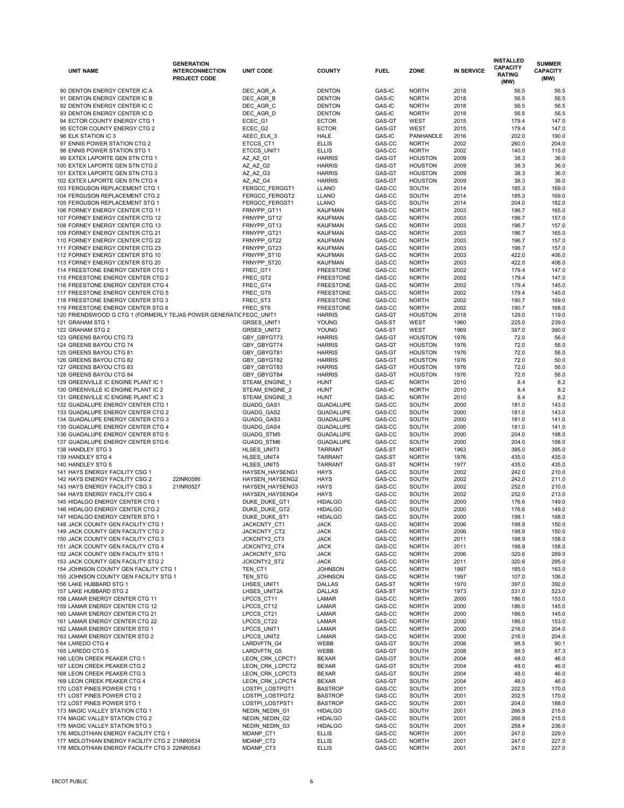|                                                                        | <b>GENERATION</b>      |                            |                                    |                  |                              |                   | <b>INSTALLED</b>                 | <b>SUMMER</b>   |
|------------------------------------------------------------------------|------------------------|----------------------------|------------------------------------|------------------|------------------------------|-------------------|----------------------------------|-----------------|
| <b>UNIT NAME</b>                                                       | <b>INTERCONNECTION</b> | <b>UNIT CODE</b>           | <b>COUNTY</b>                      | <b>FUEL</b>      | <b>ZONE</b>                  | <b>IN SERVICE</b> | <b>CAPACITY</b><br><b>RATING</b> | <b>CAPACITY</b> |
|                                                                        | <b>PROJECT CODE</b>    |                            |                                    |                  |                              |                   | (MW)                             | (MW)            |
|                                                                        |                        |                            |                                    |                  |                              |                   |                                  |                 |
| 90 DENTON ENERGY CENTER IC A<br>91 DENTON ENERGY CENTER IC B           |                        | DEC AGR A<br>DEC_AGR_B     | <b>DENTON</b><br><b>DENTON</b>     | GAS-IC           | <b>NORTH</b><br><b>NORTH</b> | 2018<br>2018      | 56.5<br>56.5                     | 56.5<br>56.5    |
| 92 DENTON ENERGY CENTER IC C                                           |                        | DEC_AGR_C                  | <b>DENTON</b>                      | GAS-IC<br>GAS-IC | <b>NORTH</b>                 | 2018              | 56.5                             | 56.5            |
| 93 DENTON ENERGY CENTER IC D                                           |                        | DEC_AGR_D                  | <b>DENTON</b>                      | <b>GAS-IC</b>    | <b>NORTH</b>                 | 2018              | 56.5                             | 56.5            |
| 94 ECTOR COUNTY ENERGY CTG 1                                           |                        | ECEC_G1                    | <b>ECTOR</b>                       | GAS-GT           | <b>WEST</b>                  | 2015              | 179.4                            | 147.0           |
| 95 ECTOR COUNTY ENERGY CTG 2                                           |                        | ECEC_G2                    | <b>ECTOR</b>                       | GAS-GT           | <b>WEST</b>                  | 2015              | 179.4                            | 147.0           |
| 96 ELK STATION IC 3                                                    |                        | AEEC ELK 3                 | <b>HALE</b>                        | <b>GAS-IC</b>    | <b>PANHANDLE</b>             | 2016              | 202.0                            | 190.0           |
| 97 ENNIS POWER STATION CTG 2                                           |                        | ETCCS_CT1                  | <b>ELLIS</b>                       | GAS-CC           | <b>NORTH</b>                 | 2002              | 260.0                            | 204.0           |
| 98 ENNIS POWER STATION STG 1                                           |                        | ETCCS_UNIT1                | <b>ELLIS</b>                       | GAS-CC           | <b>NORTH</b>                 | 2002              | 140.0                            | 115.0           |
| 99 EXTEX LAPORTE GEN STN CTG 1                                         |                        | AZ_AZ_G1                   | <b>HARRIS</b>                      | GAS-GT           | <b>HOUSTON</b>               | 2009              | 38.3                             | 36.0            |
| 100 EXTEX LAPORTE GEN STN CTG 2                                        |                        | AZ_AZ_G2                   | <b>HARRIS</b>                      | GAS-GT           | <b>HOUSTON</b>               | 2009              | 38.3                             | 36.0            |
| 101 EXTEX LAPORTE GEN STN CTG 3                                        |                        | AZ_AZ_G3                   | <b>HARRIS</b>                      | GAS-GT           | <b>HOUSTON</b>               | 2009              | 38.3                             | 36.0            |
| 102 EXTEX LAPORTE GEN STN CTG 4                                        |                        | AZ_AZ_G4                   | <b>HARRIS</b>                      | GAS-GT           | <b>HOUSTON</b>               | 2009              | 38.3                             | 36.0            |
| 103 FERGUSON REPLACEMENT CTG 1                                         |                        | FERGCC_FERGGT1             | <b>LLANO</b>                       | GAS-CC           | <b>SOUTH</b>                 | 2014              | 185.3                            | 169.0           |
| 104 FERGUSON REPLACEMENT CTG 2                                         |                        | FERGCC_FERGGT2             | <b>LLANO</b>                       | GAS-CC           | <b>SOUTH</b>                 | 2014              | 185.3                            | 169.0           |
| 105 FERGUSON REPLACEMENT STG 1                                         |                        | FERGCC_FERGST1             | <b>LLANO</b>                       | GAS-CC           | <b>SOUTH</b>                 | 2014              | 204.0                            | 182.0           |
| 106 FORNEY ENERGY CENTER CTG 11                                        |                        | FRNYPP GT11                | <b>KAUFMAN</b>                     | GAS-CC           | <b>NORTH</b>                 | 2003              | 196.7                            | 165.0           |
| 107 FORNEY ENERGY CENTER CTG 12                                        |                        | FRNYPP_GT12                | <b>KAUFMAN</b>                     | GAS-CC           | <b>NORTH</b>                 | 2003              | 196.7                            | 157.0           |
| 108 FORNEY ENERGY CENTER CTG 13                                        |                        | FRNYPP_GT13                | <b>KAUFMAN</b>                     | GAS-CC           | <b>NORTH</b>                 | 2003              | 196.7                            | 157.0           |
| 109 FORNEY ENERGY CENTER CTG 21                                        |                        | FRNYPP_GT21                | <b>KAUFMAN</b>                     | GAS-CC           | <b>NORTH</b>                 | 2003              | 196.7                            | 165.0           |
| 110 FORNEY ENERGY CENTER CTG 22                                        |                        | FRNYPP_GT22                | <b>KAUFMAN</b>                     | GAS-CC           | <b>NORTH</b>                 | 2003              | 196.7                            | 157.0           |
| 111 FORNEY ENERGY CENTER CTG 23                                        |                        | FRNYPP_GT23                | <b>KAUFMAN</b>                     | GAS-CC           | <b>NORTH</b>                 | 2003              | 196.7                            | 157.0           |
| 112 FORNEY ENERGY CENTER STG 10                                        |                        | FRNYPP_ST10                | <b>KAUFMAN</b>                     | GAS-CC           | <b>NORTH</b>                 | 2003              | 422.0                            | 406.0           |
| 113 FORNEY ENERGY CENTER STG 20                                        |                        | FRNYPP_ST20                | <b>KAUFMAN</b><br><b>FREESTONE</b> | GAS-CC<br>GAS-CC | <b>NORTH</b>                 | 2003<br>2002      | 422.0<br>179.4                   | 406.0           |
| 114 FREESTONE ENERGY CENTER CTG 1<br>115 FREESTONE ENERGY CENTER CTG 2 |                        | FREC_GT1<br>FREC_GT2       | <b>FREESTONE</b>                   | GAS-CC           | <b>NORTH</b><br><b>NORTH</b> | 2002              | 179.4                            | 147.0<br>147.0  |
| 116 FREESTONE ENERGY CENTER CTG 4                                      |                        | FREC_GT4                   | <b>FREESTONE</b>                   | GAS-CC           | <b>NORTH</b>                 | 2002              | 179.4                            | 145.0           |
| 117 FREESTONE ENERGY CENTER CTG 5                                      |                        | FREC_GT5                   | <b>FREESTONE</b>                   | GAS-CC           | <b>NORTH</b>                 | 2002              | 179.4                            | 145.0           |
| 118 FREESTONE ENERGY CENTER STG 3                                      |                        | FREC_ST3                   | <b>FREESTONE</b>                   | GAS-CC           | <b>NORTH</b>                 | 2002              | 190.7                            | 169.0           |
| 119 FREESTONE ENERGY CENTER STG 6                                      |                        | FREC_ST6                   | <b>FREESTONE</b>                   | GAS-CC           | <b>NORTH</b>                 | 2002              | 190.7                            | 168.0           |
| 120 FRIENDSWOOD G CTG 1 (FORMERLY TEJAS POWER GENERATIC FEGC_UNIT1     |                        |                            | <b>HARRIS</b>                      | GAS-GT           | <b>HOUSTON</b>               | 2018              | 129.0                            | 119.0           |
| 121 GRAHAM STG 1                                                       |                        | GRSES_UNIT1                | <b>YOUNG</b>                       | GAS-ST           | <b>WEST</b>                  | 1960              | 225.0                            | 239.0           |
| 122 GRAHAM STG 2                                                       |                        | GRSES_UNIT2                | YOUNG                              | GAS-ST           | <b>WEST</b>                  | 1969              | 387.0                            | 390.0           |
| 123 GREENS BAYOU CTG 73                                                |                        | GBY_GBYGT73                | <b>HARRIS</b>                      | GAS-GT           | <b>HOUSTON</b>               | 1976              | 72.0                             | 56.0            |
| 124 GREENS BAYOU CTG 74                                                |                        | GBY_GBYGT74                | <b>HARRIS</b>                      | GAS-GT           | <b>HOUSTON</b>               | 1976              | 72.0                             | 56.0            |
| 125 GREENS BAYOU CTG 81                                                |                        | GBY_GBYGT81                | <b>HARRIS</b>                      | GAS-GT           | <b>HOUSTON</b>               | 1976              | 72.0                             | 56.0            |
| 126 GREENS BAYOU CTG 82                                                |                        | GBY_GBYGT82                | <b>HARRIS</b>                      | GAS-GT           | <b>HOUSTON</b>               | 1976              | 72.0                             | 50.0            |
| 127 GREENS BAYOU CTG 83                                                |                        | GBY_GBYGT83                | <b>HARRIS</b>                      | GAS-GT           | <b>HOUSTON</b>               | 1976              | 72.0                             | 56.0            |
| 128 GREENS BAYOU CTG 84                                                |                        | GBY_GBYGT84                | <b>HARRIS</b>                      | GAS-GT           | <b>HOUSTON</b>               | 1976              | 72.0                             | 56.0            |
| 129 GREENVILLE IC ENGINE PLANT IC 1                                    |                        | STEAM_ENGINE_1             | <b>HUNT</b>                        | GAS-IC           | <b>NORTH</b>                 | 2010              | 8.4                              | 8.2             |
| 130 GREENVILLE IC ENGINE PLANT IC 2                                    |                        | STEAM_ENGINE_2             | <b>HUNT</b>                        | GAS-IC           | <b>NORTH</b>                 | 2010              | 8.4                              | 8.2             |
| 131 GREENVILLE IC ENGINE PLANT IC 3                                    |                        | STEAM_ENGINE_3             | <b>HUNT</b>                        | GAS-IC           | <b>NORTH</b>                 | 2010              | 8.4                              | 8.2             |
| 132 GUADALUPE ENERGY CENTER CTG 1                                      |                        | GUADG_GAS1                 | <b>GUADALUPE</b>                   | GAS-CC           | <b>SOUTH</b>                 | 2000              | 181.0                            | 143.0           |
| 133 GUADALUPE ENERGY CENTER CTG 2                                      |                        | GUADG_GAS2                 | <b>GUADALUPE</b>                   | GAS-CC           | <b>SOUTH</b>                 | 2000              | 181.0                            | 143.0           |
| 134 GUADALUPE ENERGY CENTER CTG 3                                      |                        | GUADG_GAS3                 | <b>GUADALUPE</b>                   | GAS-CC           | <b>SOUTH</b>                 | 2000              | 181.0                            | 141.0           |
| 135 GUADALUPE ENERGY CENTER CTG 4                                      |                        | GUADG_GAS4                 | <b>GUADALUPE</b>                   | GAS-CC           | <b>SOUTH</b>                 | 2000              | 181.0                            | 141.0           |
| 136 GUADALUPE ENERGY CENTER STG 5                                      |                        | GUADG_STM5                 | <b>GUADALUPE</b>                   | GAS-CC           | <b>SOUTH</b>                 | 2000              | 204.0                            | 198.0           |
| 137 GUADALUPE ENERGY CENTER STG 6<br>138 HANDLEY STG 3                 |                        | GUADG_STM6                 | <b>GUADALUPE</b><br><b>TARRANT</b> | GAS-CC<br>GAS-ST | SOUTH<br><b>NORTH</b>        | 2000<br>1963      | 204.0<br>395.0                   | 198.0<br>395.0  |
| 139 HANDLEY STG 4                                                      |                        | HLSES_UNIT3<br>HLSES_UNIT4 | TARRANT                            | GAS-ST           | <b>NORTH</b>                 | 1976              | 435.0                            | 435.0           |
| 140 HANDLEY STG 5                                                      |                        | HLSES_UNIT5                | TARRANT                            | GAS-ST           | <b>NORTH</b>                 | 1977              | 435.0                            | 435.0           |
| 141 HAYS ENERGY FACILITY CSG 1                                         |                        | HAYSEN_HAYSENG1            | <b>HAYS</b>                        | GAS-CC           | SOUTH                        | 2002              | 242.0                            | 210.0           |
| 142 HAYS ENERGY FACILITY CSG 2                                         | 22INR0586              | HAYSEN_HAYSENG2            | <b>HAYS</b>                        | GAS-CC           | <b>SOUTH</b>                 | 2002              | 242.0                            | 211.0           |
| 143 HAYS ENERGY FACILITY CSG 3                                         | 21INR0527              | HAYSEN_HAYSENG3            | <b>HAYS</b>                        | GAS-CC           | SOUTH                        | 2002              | 252.0                            | 210.0           |
| 144 HAYS ENERGY FACILITY CSG 4                                         |                        | HAYSEN_HAYSENG4            | <b>HAYS</b>                        | GAS-CC           | <b>SOUTH</b>                 | 2002              | 252.0                            | 213.0           |
| 145 HIDALGO ENERGY CENTER CTG 1                                        |                        | DUKE_DUKE_GT1              | <b>HIDALGO</b>                     | GAS-CC           | SOUTH                        | 2000              | 176.6                            | 149.0           |
| 146 HIDALGO ENERGY CENTER CTG 2                                        |                        | DUKE_DUKE_GT2              | <b>HIDALGO</b>                     | GAS-CC           | <b>SOUTH</b>                 | 2000              | 176.6                            | 149.0           |
| 147 HIDALGO ENERGY CENTER STG 1                                        |                        | DUKE_DUKE_ST1              | <b>HIDALGO</b>                     | GAS-CC           | SOUTH                        | 2000              | 198.1                            | 168.0           |
| 148 JACK COUNTY GEN FACILITY CTG 1                                     |                        | JACKCNTY_CT1               | <b>JACK</b>                        | GAS-CC           | <b>NORTH</b>                 | 2006              | 198.9                            | 150.0           |
| 149 JACK COUNTY GEN FACILITY CTG 2                                     |                        | JACKCNTY_CT2               | <b>JACK</b>                        | GAS-CC           | <b>NORTH</b>                 | 2006              | 198.9                            | 150.0           |
| 150 JACK COUNTY GEN FACILITY CTG 3                                     |                        | JCKCNTY2_CT3               | <b>JACK</b>                        | GAS-CC           | <b>NORTH</b>                 | 2011              | 198.9                            | 158.0           |
| 151 JACK COUNTY GEN FACILITY CTG 4                                     |                        | JCKCNTY2_CT4               | <b>JACK</b>                        | GAS-CC           | <b>NORTH</b>                 | 2011              | 198.9                            | 158.0           |
| 152 JACK COUNTY GEN FACILITY STG 1                                     |                        | JACKCNTY_STG               | <b>JACK</b>                        | GAS-CC           | <b>NORTH</b>                 | 2006              | 320.6                            | 289.0           |
| 153 JACK COUNTY GEN FACILITY STG 2                                     |                        | JCKCNTY2_ST2               | <b>JACK</b>                        | GAS-CC           | <b>NORTH</b>                 | 2011              | 320.6                            | 295.0           |
| 154 JOHNSON COUNTY GEN FACILITY CTG 1                                  |                        | TEN_CT1                    | <b>JOHNSON</b>                     | GAS-CC           | <b>NORTH</b>                 | 1997              | 185.0                            | 163.0           |
| 155 JOHNSON COUNTY GEN FACILITY STG 1                                  |                        | TEN_STG                    | <b>JOHNSON</b>                     | GAS-CC           | <b>NORTH</b>                 | 1997              | 107.0                            | 106.0           |
| 156 LAKE HUBBARD STG 1                                                 |                        | LHSES_UNIT1                | <b>DALLAS</b>                      | GAS-ST           | <b>NORTH</b>                 | 1970              | 397.0                            | 392.0           |
| 157 LAKE HUBBARD STG 2<br>158 LAMAR ENERGY CENTER CTG 11               |                        | LHSES_UNIT2A               | <b>DALLAS</b>                      | GAS-ST           | <b>NORTH</b>                 | 1973              | 531.0                            | 523.0           |
| 159 LAMAR ENERGY CENTER CTG 12                                         |                        | LPCCS_CT11<br>LPCCS_CT12   | LAMAR<br>LAMAR                     | GAS-CC<br>GAS-CC | <b>NORTH</b><br><b>NORTH</b> | 2000<br>2000      | 186.0<br>186.0                   | 153.0<br>145.0  |
| 160 LAMAR ENERGY CENTER CTG 21                                         |                        | LPCCS_CT21                 | LAMAR                              | GAS-CC           | <b>NORTH</b>                 | 2000              | 186.0                            | 145.0           |
| 161 LAMAR ENERGY CENTER CTG 22                                         |                        | LPCCS_CT22                 | <b>LAMAR</b>                       | GAS-CC           | <b>NORTH</b>                 | 2000              | 186.0                            | 153.0           |
| 162 LAMAR ENERGY CENTER STG 1                                          |                        | LPCCS_UNIT1                | <b>LAMAR</b>                       | GAS-CC           | <b>NORTH</b>                 | 2000              | 216.0                            | 204.0           |
| 163 LAMAR ENERGY CENTER STG 2                                          |                        | LPCCS_UNIT2                | <b>LAMAR</b>                       | GAS-CC           | <b>NORTH</b>                 | 2000              | 216.0                            | 204.0           |
| 164 LAREDO CTG 4                                                       |                        | LARDVFTN_G4                | <b>WEBB</b>                        | GAS-GT           | SOUTH                        | 2008              | 98.5                             | 90.1            |
| 165 LAREDO CTG 5                                                       |                        | LARDVFTN_G5                | WEBB                               | GAS-GT           | SOUTH                        | 2008              | 98.5                             | 87.3            |
| 166 LEON CREEK PEAKER CTG 1                                            |                        | LEON CRK LCPCT1            | <b>BEXAR</b>                       | GAS-GT           | SOUTH                        | 2004              | 48.0                             | 46.0            |
| 167 LEON CREEK PEAKER CTG 2                                            |                        | LEON_CRK_LCPCT2            | <b>BEXAR</b>                       | GAS-GT           | SOUTH                        | 2004              | 48.0                             | 46.0            |
| 168 LEON CREEK PEAKER CTG 3                                            |                        | LEON CRK LCPCT3            | <b>BEXAR</b>                       | GAS-GT           | SOUTH                        | 2004              | 48.0                             | 46.0            |
| 169 LEON CREEK PEAKER CTG 4                                            |                        | LEON CRK LCPCT4            | <b>BEXAR</b>                       | GAS-GT           | <b>SOUTH</b>                 | 2004              | 48.0                             | 46.0            |
| 170 LOST PINES POWER CTG 1                                             |                        | LOSTPI_LOSTPGT1            | <b>BASTROP</b>                     | GAS-CC           | <b>SOUTH</b>                 | 2001              | 202.5                            | 170.0           |
| 171 LOST PINES POWER CTG 2                                             |                        | LOSTPI_LOSTPGT2            | <b>BASTROP</b>                     | GAS-CC           | <b>SOUTH</b>                 | 2001              | 202.5                            | 170.0           |
| 172 LOST PINES POWER STG 1                                             |                        | LOSTPI_LOSTPST1            | <b>BASTROP</b>                     | GAS-CC           | <b>SOUTH</b>                 | 2001              | 204.0                            | 188.0           |
| 173 MAGIC VALLEY STATION CTG 1                                         |                        | NEDIN NEDIN G1             | <b>HIDALGO</b>                     | GAS-CC           | <b>SOUTH</b>                 | 2001              | 266.9                            | 215.0           |
| 174 MAGIC VALLEY STATION CTG 2                                         |                        | NEDIN NEDIN G2             | <b>HIDALGO</b>                     | GAS-CC           | SOUTH                        | 2001              | 266.9                            | 215.0           |
| 175 MAGIC VALLEY STATION STG 3                                         |                        | NEDIN_NEDIN_G3             | <b>HIDALGO</b>                     | GAS-CC           | SOUTH                        | 2001              | 258.4                            | 236.0           |
| 176 MIDLOTHIAN ENERGY FACILITY CTG 1                                   |                        | MDANP_CT1                  | <b>ELLIS</b>                       | GAS-CC           | <b>NORTH</b>                 | 2001              | 247.0                            | 229.0           |
| 177 MIDLOTHIAN ENERGY FACILITY CTG 2 21INR0534                         |                        | MDANP_CT2                  | <b>ELLIS</b>                       | GAS-CC           | <b>NORTH</b>                 | 2001              | 247.0                            | 227.0           |
| 178 MIDLOTHIAN ENERGY FACILITY CTG 3 22INR0543                         |                        | MDANP_CT3                  | <b>ELLIS</b>                       | GAS-CC           | <b>NORTH</b>                 | 2001              | 247.0                            | 227.0           |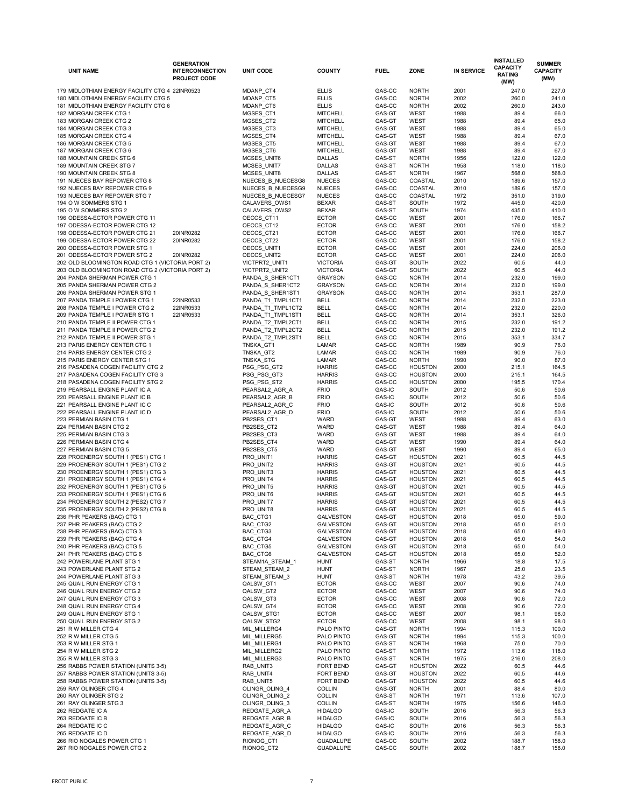| <b>UNIT NAME</b>                                                         | <b>GENERATION</b><br><b>INTERCONNECTION</b><br><b>PROJECT CODE</b> | <b>UNIT CODE</b>            | <b>COUNTY</b>                      | <b>FUEL</b>      | <b>ZONE</b>                      | <b>IN SERVICE</b> | <b>INSTALLED</b><br><b>CAPACITY</b><br><b>RATING</b><br>(MW) | <b>SUMMER</b><br><b>CAPACITY</b><br>(MW) |
|--------------------------------------------------------------------------|--------------------------------------------------------------------|-----------------------------|------------------------------------|------------------|----------------------------------|-------------------|--------------------------------------------------------------|------------------------------------------|
| 179 MIDLOTHIAN ENERGY FACILITY CTG 4 22INR0523                           |                                                                    | MDANP_CT4                   | <b>ELLIS</b>                       | GAS-CC           | <b>NORTH</b>                     | 2001              | 247.0                                                        | 227.0                                    |
| 180 MIDLOTHIAN ENERGY FACILITY CTG 5                                     |                                                                    | MDANP_CT5                   | <b>ELLIS</b>                       | GAS-CC           | <b>NORTH</b>                     | 2002              | 260.0                                                        | 241.0                                    |
| 181 MIDLOTHIAN ENERGY FACILITY CTG 6                                     |                                                                    | MDANP_CT6                   | <b>ELLIS</b>                       | GAS-CC           | <b>NORTH</b>                     | 2002              | 260.0                                                        | 243.0                                    |
| 182 MORGAN CREEK CTG 1                                                   |                                                                    | MGSES_CT1                   | <b>MITCHELL</b>                    | GAS-GT           | <b>WEST</b>                      | 1988              | 89.4                                                         | 66.0                                     |
| 183 MORGAN CREEK CTG 2                                                   |                                                                    | MGSES_CT2                   | <b>MITCHELL</b>                    | GAS-GT           | <b>WEST</b>                      | 1988              | 89.4                                                         | 65.0                                     |
| 184 MORGAN CREEK CTG 3                                                   |                                                                    | MGSES_CT3                   | <b>MITCHELL</b>                    | GAS-GT           | <b>WEST</b>                      | 1988              | 89.4                                                         | 65.0                                     |
| 185 MORGAN CREEK CTG 4                                                   |                                                                    | MGSES_CT4                   | <b>MITCHELL</b>                    | GAS-GT           | <b>WEST</b>                      | 1988              | 89.4                                                         | 67.0                                     |
| 186 MORGAN CREEK CTG 5                                                   |                                                                    | MGSES_CT5                   | <b>MITCHELL</b>                    | GAS-GT           | <b>WEST</b>                      | 1988              | 89.4                                                         | 67.0                                     |
| 187 MORGAN CREEK CTG 6                                                   |                                                                    | MGSES_CT6                   | <b>MITCHELL</b>                    | GAS-GT           | <b>WEST</b>                      | 1988              | 89.4                                                         | 67.0                                     |
| 188 MOUNTAIN CREEK STG 6                                                 |                                                                    | MCSES_UNIT6                 | <b>DALLAS</b>                      | GAS-ST           | <b>NORTH</b>                     | 1956              | 122.0                                                        | 122.0                                    |
| 189 MOUNTAIN CREEK STG 7                                                 |                                                                    | MCSES_UNIT7                 | <b>DALLAS</b>                      | GAS-ST           | <b>NORTH</b>                     | 1958              | 118.0                                                        | 118.0                                    |
| 190 MOUNTAIN CREEK STG 8                                                 |                                                                    | MCSES_UNIT8                 | <b>DALLAS</b>                      | GAS-ST           | <b>NORTH</b>                     | 1967              | 568.0                                                        | 568.0                                    |
| 191 NUECES BAY REPOWER CTG 8                                             |                                                                    | NUECES_B_NUECESG8           | <b>NUECES</b>                      | GAS-CC           | COASTAL                          | 2010              | 189.6                                                        | 157.0                                    |
| 192 NUECES BAY REPOWER CTG 9                                             |                                                                    | NUECES B NUECESG9           | <b>NUECES</b>                      | GAS-CC           | COASTAL                          | 2010              | 189.6                                                        | 157.0                                    |
| 193 NUECES BAY REPOWER STG 7                                             |                                                                    | NUECES B NUECESG7           | <b>NUECES</b>                      | GAS-CC           | COASTAL                          | 1972              | 351.0                                                        | 319.0                                    |
| 194 O W SOMMERS STG 1                                                    |                                                                    | CALAVERS_OWS1               | <b>BEXAR</b>                       | GAS-ST           | <b>SOUTH</b>                     | 1972              | 445.0                                                        | 420.0                                    |
| 195 O W SOMMERS STG 2<br>196 ODESSA-ECTOR POWER CTG 11                   |                                                                    | CALAVERS OWS2<br>OECCS_CT11 | <b>BEXAR</b><br><b>ECTOR</b>       | GAS-ST<br>GAS-CC | <b>SOUTH</b><br><b>WEST</b>      | 1974<br>2001      | 435.0<br>176.0                                               | 410.0<br>166.7                           |
| 197 ODESSA-ECTOR POWER CTG 12                                            |                                                                    | OECCS_CT12                  | <b>ECTOR</b>                       | GAS-CC           | <b>WEST</b>                      | 2001              | 176.0                                                        | 158.2                                    |
| 198 ODESSA-ECTOR POWER CTG 21                                            | 20INR0282                                                          | OECCS_CT21                  | <b>ECTOR</b>                       | GAS-CC           | <b>WEST</b>                      | 2001              | 176.0                                                        | 166.7                                    |
| 199 ODESSA-ECTOR POWER CTG 22                                            | 20INR0282                                                          | OECCS_CT22                  | <b>ECTOR</b>                       | GAS-CC           | <b>WEST</b>                      | 2001              | 176.0                                                        | 158.2                                    |
| 200 ODESSA-ECTOR POWER STG 1                                             |                                                                    | OECCS_UNIT1                 | <b>ECTOR</b>                       | GAS-CC           | <b>WEST</b>                      | 2001              | 224.0                                                        | 206.0                                    |
| 201 ODESSA-ECTOR POWER STG 2                                             | 20INR0282                                                          | OECCS_UNIT2                 | <b>ECTOR</b>                       | GAS-CC           | <b>WEST</b>                      | 2001              | 224.0                                                        | 206.0                                    |
| 202 OLD BLOOMINGTON ROAD CTG 1 (VICTORIA PORT 2)                         |                                                                    | VICTPRT2_UNIT1              | <b>VICTORIA</b>                    | GAS-GT           | <b>SOUTH</b>                     | 2022              | 60.5                                                         | 44.0                                     |
| 203 OLD BLOOMINGTON ROAD CTG 2 (VICTORIA PORT 2)                         |                                                                    | VICTPRT2_UNIT2              | <b>VICTORIA</b>                    | GAS-GT           | <b>SOUTH</b>                     | 2022              | 60.5                                                         | 44.0                                     |
| 204 PANDA SHERMAN POWER CTG 1                                            |                                                                    | PANDA_S_SHER1CT1            | <b>GRAYSON</b>                     | GAS-CC           | <b>NORTH</b>                     | 2014              | 232.0                                                        | 199.0                                    |
| 205 PANDA SHERMAN POWER CTG 2                                            |                                                                    | PANDA_S_SHER1CT2            | <b>GRAYSON</b>                     | GAS-CC           | <b>NORTH</b>                     | 2014              | 232.0                                                        | 199.0                                    |
| 206 PANDA SHERMAN POWER STG 1                                            |                                                                    | PANDA_S_SHER1ST1            | <b>GRAYSON</b>                     | GAS-CC           | <b>NORTH</b>                     | 2014              | 353.1                                                        | 287.0                                    |
| 207 PANDA TEMPLE I POWER CTG 1                                           | 22INR0533                                                          | PANDA_T1_TMPL1CT1           | <b>BELL</b>                        | GAS-CC           | <b>NORTH</b>                     | 2014              | 232.0                                                        | 223.0                                    |
| 208 PANDA TEMPLE I POWER CTG 2                                           | 22INR0533                                                          | PANDA_T1_TMPL1CT2           | <b>BELL</b>                        | GAS-CC           | <b>NORTH</b>                     | 2014              | 232.0                                                        | 220.0                                    |
| 209 PANDA TEMPLE I POWER STG 1                                           | 22INR0533                                                          | PANDA_T1_TMPL1ST1           | <b>BELL</b>                        | GAS-CC           | <b>NORTH</b>                     | 2014              | 353.1                                                        | 326.0                                    |
| 210 PANDA TEMPLE II POWER CTG 1                                          |                                                                    | PANDA_T2_TMPL2CT1           | <b>BELL</b>                        | GAS-CC           | <b>NORTH</b>                     | 2015              | 232.0                                                        | 191.2                                    |
| 211 PANDA TEMPLE II POWER CTG 2                                          |                                                                    | PANDA_T2_TMPL2CT2           | <b>BELL</b>                        | GAS-CC           | <b>NORTH</b>                     | 2015              | 232.0                                                        | 191.2                                    |
| 212 PANDA TEMPLE II POWER STG 1                                          |                                                                    | PANDA_T2_TMPL2ST1           | <b>BELL</b>                        | GAS-CC           | <b>NORTH</b>                     | 2015              | 353.1                                                        | 334.7                                    |
| 213 PARIS ENERGY CENTER CTG 1                                            |                                                                    | TNSKA_GT1                   | LAMAR                              | GAS-CC           | <b>NORTH</b>                     | 1989              | 90.9                                                         | 76.0                                     |
| 214 PARIS ENERGY CENTER CTG 2<br>215 PARIS ENERGY CENTER STG 1           |                                                                    | TNSKA_GT2<br>TNSKA_STG      | LAMAR<br>LAMAR                     | GAS-CC<br>GAS-CC | <b>NORTH</b><br><b>NORTH</b>     | 1989<br>1990      | 90.9<br>90.0                                                 | 76.0<br>87.0                             |
| 216 PASADENA COGEN FACILITY CTG 2                                        |                                                                    | PSG_PSG_GT2                 | <b>HARRIS</b>                      | GAS-CC           | <b>HOUSTON</b>                   | 2000              | 215.1                                                        | 164.5                                    |
| 217 PASADENA COGEN FACILITY CTG 3                                        |                                                                    | PSG_PSG_GT3                 | <b>HARRIS</b>                      | GAS-CC           | <b>HOUSTON</b>                   | 2000              | 215.1                                                        | 164.5                                    |
| 218 PASADENA COGEN FACILITY STG 2                                        |                                                                    | PSG_PSG_ST2                 | <b>HARRIS</b>                      | GAS-CC           | <b>HOUSTON</b>                   | 2000              | 195.5                                                        | 170.4                                    |
| 219 PEARSALL ENGINE PLANT IC A                                           |                                                                    | PEARSAL2_AGR_A              | <b>FRIO</b>                        | GAS-IC           | <b>SOUTH</b>                     | 2012              | 50.6                                                         | 50.6                                     |
| 220 PEARSALL ENGINE PLANT IC B                                           |                                                                    | PEARSAL2_AGR_B              | <b>FRIO</b>                        | <b>GAS-IC</b>    | <b>SOUTH</b>                     | 2012              | 50.6                                                         | 50.6                                     |
| 221 PEARSALL ENGINE PLANT IC C                                           |                                                                    | PEARSAL2_AGR_C              | <b>FRIO</b>                        | <b>GAS-IC</b>    | <b>SOUTH</b>                     | 2012              | 50.6                                                         | 50.6                                     |
| 222 PEARSALL ENGINE PLANT IC D                                           |                                                                    | PEARSAL2_AGR_D              | <b>FRIO</b>                        | GAS-IC           | <b>SOUTH</b>                     | 2012              | 50.6                                                         | 50.6                                     |
| 223 PERMIAN BASIN CTG 1                                                  |                                                                    | PB2SES_CT1                  | <b>WARD</b>                        | GAS-GT           | <b>WEST</b>                      | 1988              | 89.4                                                         | 63.0                                     |
| 224 PERMIAN BASIN CTG 2                                                  |                                                                    | PB2SES_CT2                  | <b>WARD</b>                        | GAS-GT           | <b>WEST</b>                      | 1988              | 89.4                                                         | 64.0                                     |
| 225 PERMIAN BASIN CTG 3                                                  |                                                                    | PB2SES_CT3                  | WARD                               | GAS-GT           | <b>WEST</b>                      | 1988              | 89.4                                                         | 64.0                                     |
| 226 PERMIAN BASIN CTG 4                                                  |                                                                    | PB2SES_CT4                  | WARD                               | GAS-GT           | <b>WEST</b>                      | 1990              | 89.4                                                         | 64.0                                     |
| 227 PERMIAN BASIN CTG 5                                                  |                                                                    | PB2SES_CT5                  | WARD                               | GAS-GT           | <b>WEST</b>                      | 1990              | 89.4                                                         | 65.0                                     |
| 228 PROENERGY SOUTH 1 (PES1) CTG 1                                       |                                                                    | PRO_UNIT1                   | <b>HARRIS</b>                      | GAS-GT           | <b>HOUSTON</b>                   | 2021              | 60.5                                                         | 44.5                                     |
| 229 PROENERGY SOUTH 1 (PES1) CTG 2                                       |                                                                    | PRO_UNIT2                   | <b>HARRIS</b>                      | GAS-GT           | <b>HOUSTON</b>                   | 2021              | 60.5                                                         | 44.5                                     |
| 230 PROENERGY SOUTH 1 (PES1) CTG 3                                       |                                                                    | PRO_UNIT3                   | <b>HARRIS</b>                      | GAS-GT           | <b>HOUSTON</b>                   | 2021              | 60.5                                                         | 44.5                                     |
| 231 PROENERGY SOUTH 1 (PES1) CTG 4                                       |                                                                    | PRO_UNIT4                   | <b>HARRIS</b>                      | GAS-GT           | <b>HOUSTON</b>                   | 2021              | 60.5                                                         | 44.5<br>44.5                             |
| 232 PROENERGY SOUTH 1 (PES1) CTG 5                                       |                                                                    | PRO_UNIT5                   | <b>HARRIS</b><br><b>HARRIS</b>     | GAS-GT<br>GAS-GT | <b>HOUSTON</b><br><b>HOUSTON</b> | 2021<br>2021      | 60.5                                                         | 44.5                                     |
| 233 PROENERGY SOUTH 1 (PES1) CTG 6<br>234 PROENERGY SOUTH 2 (PES2) CTG 7 |                                                                    | PRO_UNIT6<br>PRO_UNIT7      | <b>HARRIS</b>                      | GAS-GT           | <b>HOUSTON</b>                   | 2021              | 60.5<br>60.5                                                 | 44.5                                     |
| 235 PROENERGY SOUTH 2 (PES2) CTG 8                                       |                                                                    | PRO_UNIT8                   | <b>HARRIS</b>                      | GAS-GT           | <b>HOUSTON</b>                   | 2021              | 60.5                                                         | 44.5                                     |
| 236 PHR PEAKERS (BAC) CTG 1                                              |                                                                    | BAC_CTG1                    | <b>GALVESTON</b>                   | GAS-GT           | <b>HOUSTON</b>                   | 2018              | 65.0                                                         | 59.0                                     |
| 237 PHR PEAKERS (BAC) CTG 2                                              |                                                                    | BAC_CTG2                    | GALVESTON                          | GAS-GT           | <b>HOUSTON</b>                   | 2018              | 65.0                                                         | 61.0                                     |
| 238 PHR PEAKERS (BAC) CTG 3                                              |                                                                    | BAC_CTG3                    | <b>GALVESTON</b>                   | GAS-GT           | <b>HOUSTON</b>                   | 2018              | 65.0                                                         | 49.0                                     |
| 239 PHR PEAKERS (BAC) CTG 4                                              |                                                                    | BAC_CTG4                    | GALVESTON                          | GAS-GT           | <b>HOUSTON</b>                   | 2018              | 65.0                                                         | 54.0                                     |
| 240 PHR PEAKERS (BAC) CTG 5                                              |                                                                    | BAC_CTG5                    | <b>GALVESTON</b>                   | GAS-GT           | <b>HOUSTON</b>                   | 2018              | 65.0                                                         | 54.0                                     |
| 241 PHR PEAKERS (BAC) CTG 6                                              |                                                                    | BAC_CTG6                    | <b>GALVESTON</b>                   | GAS-GT           | <b>HOUSTON</b>                   | 2018              | 65.0                                                         | 52.0                                     |
| 242 POWERLANE PLANT STG 1                                                |                                                                    | STEAM1A_STEAM_1             | <b>HUNT</b>                        | GAS-ST           | <b>NORTH</b>                     | 1966              | 18.8                                                         | 17.5                                     |
| 243 POWERLANE PLANT STG 2                                                |                                                                    | STEAM_STEAM_2               | <b>HUNT</b>                        | GAS-ST           | <b>NORTH</b>                     | 1967              | 25.0                                                         | 23.5                                     |
| 244 POWERLANE PLANT STG 3                                                |                                                                    | STEAM_STEAM_3               | <b>HUNT</b>                        | GAS-ST           | <b>NORTH</b>                     | 1978              | 43.2                                                         | 39.5                                     |
| 245 QUAIL RUN ENERGY CTG 1                                               |                                                                    | QALSW_GT1                   | <b>ECTOR</b>                       | GAS-CC           | WEST                             | 2007              | 90.6                                                         | 74.0                                     |
| 246 QUAIL RUN ENERGY CTG 2                                               |                                                                    | QALSW_GT2                   | <b>ECTOR</b>                       | GAS-CC           | <b>WEST</b>                      | 2007              | 90.6                                                         | 74.0                                     |
| 247 QUAIL RUN ENERGY CTG 3                                               |                                                                    | QALSW_GT3                   | <b>ECTOR</b>                       | GAS-CC           | <b>WEST</b>                      | 2008              | 90.6                                                         | 72.0                                     |
| 248 QUAIL RUN ENERGY CTG 4<br>249 QUAIL RUN ENERGY STG 1                 |                                                                    | QALSW_GT4<br>QALSW_STG1     | <b>ECTOR</b><br><b>ECTOR</b>       | GAS-CC<br>GAS-CC | <b>WEST</b><br><b>WEST</b>       | 2008<br>2007      | 90.6<br>98.1                                                 | 72.0<br>98.0                             |
| 250 QUAIL RUN ENERGY STG 2                                               |                                                                    | QALSW_STG2                  | <b>ECTOR</b>                       | GAS-CC           | <b>WEST</b>                      | 2008              | 98.1                                                         | 98.0                                     |
| 251 R W MILLER CTG 4                                                     |                                                                    | MIL_MILLERG4                | PALO PINTO                         | GAS-GT           | <b>NORTH</b>                     | 1994              | 115.3                                                        | 100.0                                    |
| 252 R W MILLER CTG 5                                                     |                                                                    | MIL_MILLERG5                | PALO PINTO                         | GAS-GT           | <b>NORTH</b>                     | 1994              | 115.3                                                        | 100.0                                    |
| 253 R W MILLER STG 1                                                     |                                                                    | MIL MILLERG1                | PALO PINTO                         | GAS-ST           | <b>NORTH</b>                     | 1968              | 75.0                                                         | 70.0                                     |
| 254 R W MILLER STG 2                                                     |                                                                    | MIL_MILLERG2                | PALO PINTO                         | GAS-ST           | <b>NORTH</b>                     | 1972              | 113.6                                                        | 118.0                                    |
| 255 R W MILLER STG 3                                                     |                                                                    | MIL_MILLERG3                | PALO PINTO                         | GAS-ST           | <b>NORTH</b>                     | 1975              | 216.0                                                        | 208.0                                    |
| 256 RABBS POWER STATION (UNITS 3-5)                                      |                                                                    | RAB_UNIT3                   | FORT BEND                          | GAS-GT           | <b>HOUSTON</b>                   | 2022              | 60.5                                                         | 44.6                                     |
| 257 RABBS POWER STATION (UNITS 3-5)                                      |                                                                    | RAB_UNIT4                   | FORT BEND                          | GAS-GT           | <b>HOUSTON</b>                   | 2022              | 60.5                                                         | 44.6                                     |
| 258 RABBS POWER STATION (UNITS 3-5)                                      |                                                                    | RAB_UNIT5                   | FORT BEND                          | GAS-GT           | <b>HOUSTON</b>                   | 2022              | 60.5                                                         | 44.6                                     |
| 259 RAY OLINGER CTG 4                                                    |                                                                    | OLINGR_OLING_4              | <b>COLLIN</b>                      | GAS-GT           | <b>NORTH</b>                     | 2001              | 88.4                                                         | 80.0                                     |
| 260 RAY OLINGER STG 2                                                    |                                                                    | OLINGR_OLING_2              | <b>COLLIN</b>                      | GAS-ST           | <b>NORTH</b>                     | 1971              | 113.6                                                        | 107.0                                    |
| 261 RAY OLINGER STG 3                                                    |                                                                    | OLINGR_OLING_3              | <b>COLLIN</b>                      | GAS-ST           | <b>NORTH</b>                     | 1975              | 156.6                                                        | 146.0                                    |
| 262 REDGATE IC A                                                         |                                                                    | REDGATE_AGR_A               | <b>HIDALGO</b>                     | <b>GAS-IC</b>    | <b>SOUTH</b>                     | 2016              | 56.3                                                         | 56.3                                     |
| 263 REDGATE IC B                                                         |                                                                    | REDGATE_AGR_B               | <b>HIDALGO</b>                     | GAS-IC           | <b>SOUTH</b>                     | 2016              | 56.3                                                         | 56.3                                     |
| 264 REDGATE IC C                                                         |                                                                    | REDGATE_AGR_C               | <b>HIDALGO</b>                     | GAS-IC           | <b>SOUTH</b>                     | 2016              | 56.3                                                         | 56.3                                     |
| 265 REDGATE IC D<br>266 RIO NOGALES POWER CTG 1                          |                                                                    | REDGATE_AGR_D<br>RIONOG_CT1 | <b>HIDALGO</b><br><b>GUADALUPE</b> | GAS-IC<br>GAS-CC | <b>SOUTH</b><br><b>SOUTH</b>     | 2016<br>2002      | 56.3<br>188.7                                                | 56.3<br>158.0                            |
| 267 RIO NOGALES POWER CTG 2                                              |                                                                    | RIONOG_CT2                  | <b>GUADALUPE</b>                   | GAS-CC           | <b>SOUTH</b>                     | 2002              | 188.7                                                        | 158.0                                    |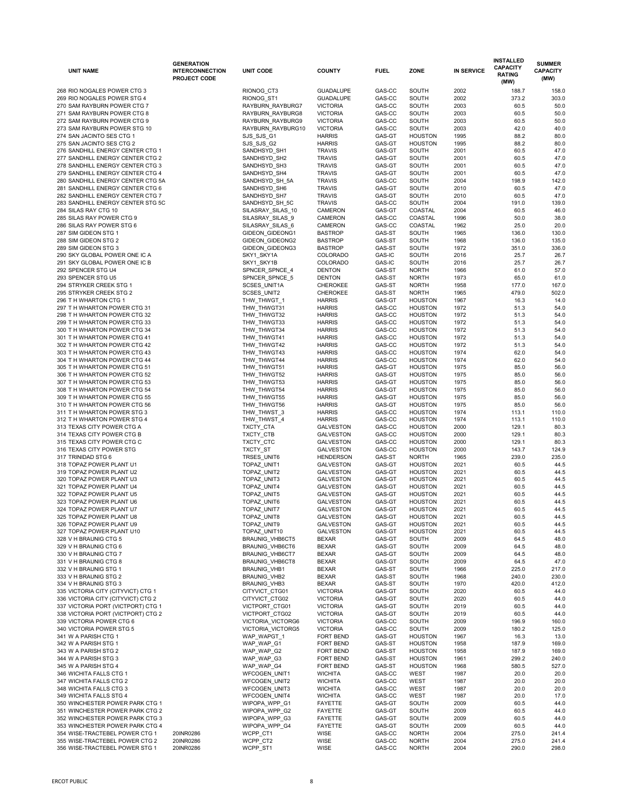| <b>UNIT NAME</b>                                                      | <b>GENERATION</b><br><b>INTERCONNECTION</b><br><b>PROJECT CODE</b> | <b>UNIT CODE</b>                   | <b>COUNTY</b>                        | <b>FUEL</b>      | <b>ZONE</b>                      | <b>IN SERVICE</b> | <b>INSTALLED</b><br><b>CAPACITY</b><br><b>RATING</b><br>(MW) | <b>SUMMER</b><br><b>CAPACITY</b><br>(MW) |
|-----------------------------------------------------------------------|--------------------------------------------------------------------|------------------------------------|--------------------------------------|------------------|----------------------------------|-------------------|--------------------------------------------------------------|------------------------------------------|
| 268 RIO NOGALES POWER CTG 3                                           |                                                                    | RIONOG_CT3                         | <b>GUADALUPE</b>                     | GAS-CC           | <b>SOUTH</b>                     | 2002              | 188.7                                                        | 158.0                                    |
| 269 RIO NOGALES POWER STG 4                                           |                                                                    | RIONOG_ST1                         | <b>GUADALUPE</b>                     | GAS-CC           | <b>SOUTH</b>                     | 2002              | 373.2                                                        | 303.0                                    |
| 270 SAM RAYBURN POWER CTG 7                                           |                                                                    | RAYBURN_RAYBURG7                   | <b>VICTORIA</b>                      | GAS-CC           | <b>SOUTH</b>                     | 2003              | 60.5                                                         | 50.0                                     |
| 271 SAM RAYBURN POWER CTG 8                                           |                                                                    | RAYBURN_RAYBURG8                   | <b>VICTORIA</b>                      | GAS-CC           | <b>SOUTH</b>                     | 2003              | 60.5                                                         | 50.0                                     |
| 272 SAM RAYBURN POWER CTG 9                                           |                                                                    | RAYBURN_RAYBURG9                   | <b>VICTORIA</b>                      | GAS-CC           | <b>SOUTH</b>                     | 2003              | 60.5                                                         | 50.0                                     |
| 273 SAM RAYBURN POWER STG 10                                          |                                                                    | RAYBURN_RAYBURG10                  | <b>VICTORIA</b>                      | GAS-CC           | <b>SOUTH</b>                     | 2003              | 42.0                                                         | 40.0                                     |
| 274 SAN JACINTO SES CTG 1                                             |                                                                    | SJS_SJS_G1                         | <b>HARRIS</b>                        | GAS-GT           | <b>HOUSTON</b>                   | 1995              | 88.2                                                         | 80.0                                     |
| 275 SAN JACINTO SES CTG 2                                             |                                                                    | SJS_SJS_G2                         | <b>HARRIS</b>                        | GAS-GT           | <b>HOUSTON</b>                   | 1995              | 88.2                                                         | 80.0                                     |
| 276 SANDHILL ENERGY CENTER CTG 1                                      |                                                                    | SANDHSYD_SH1                       | <b>TRAVIS</b>                        | GAS-GT           | <b>SOUTH</b>                     | 2001              | 60.5                                                         | 47.0                                     |
| 277 SANDHILL ENERGY CENTER CTG 2                                      |                                                                    | SANDHSYD_SH2                       | <b>TRAVIS</b>                        | GAS-GT           | <b>SOUTH</b>                     | 2001              | 60.5                                                         | 47.0                                     |
| 278 SANDHILL ENERGY CENTER CTG 3                                      |                                                                    | SANDHSYD_SH3                       | <b>TRAVIS</b>                        | GAS-GT           | <b>SOUTH</b>                     | 2001              | 60.5                                                         | 47.0                                     |
| 279 SANDHILL ENERGY CENTER CTG 4<br>280 SANDHILL ENERGY CENTER CTG 5A |                                                                    | SANDHSYD_SH4<br>SANDHSYD_SH_5A     | <b>TRAVIS</b><br><b>TRAVIS</b>       | GAS-GT<br>GAS-CC | <b>SOUTH</b><br><b>SOUTH</b>     | 2001<br>2004      | 60.5<br>198.9                                                | 47.0<br>142.0                            |
| 281 SANDHILL ENERGY CENTER CTG 6                                      |                                                                    | SANDHSYD_SH6                       | <b>TRAVIS</b>                        | GAS-GT           | <b>SOUTH</b>                     | 2010              | 60.5                                                         | 47.0                                     |
| 282 SANDHILL ENERGY CENTER CTG 7                                      |                                                                    | SANDHSYD_SH7                       | <b>TRAVIS</b>                        | GAS-GT           | <b>SOUTH</b>                     | 2010              | 60.5                                                         | 47.0                                     |
| 283 SANDHILL ENERGY CENTER STG 5C                                     |                                                                    | SANDHSYD_SH_5C                     | <b>TRAVIS</b>                        | GAS-CC           | <b>SOUTH</b>                     | 2004              | 191.0                                                        | 139.0                                    |
| 284 SILAS RAY CTG 10                                                  |                                                                    | SILASRAY_SILAS_10                  | <b>CAMERON</b>                       | GAS-GT           | COASTAL                          | 2004              | 60.5                                                         | 46.0                                     |
| 285 SILAS RAY POWER CTG 9                                             |                                                                    | SILASRAY_SILAS_9                   | <b>CAMERON</b>                       | GAS-CC           | COASTAL                          | 1996              | 50.0                                                         | 38.0                                     |
| 286 SILAS RAY POWER STG 6                                             |                                                                    | SILASRAY_SILAS_6                   | <b>CAMERON</b>                       | GAS-CC           | COASTAL                          | 1962              | 25.0                                                         | 20.0                                     |
| 287 SIM GIDEON STG 1                                                  |                                                                    | GIDEON_GIDEONG1                    | <b>BASTROP</b>                       | GAS-ST           | <b>SOUTH</b>                     | 1965              | 136.0                                                        | 130.0                                    |
| 288 SIM GIDEON STG 2                                                  |                                                                    | GIDEON_GIDEONG2                    | <b>BASTROP</b>                       | GAS-ST           | <b>SOUTH</b>                     | 1968              | 136.0                                                        | 135.0                                    |
| 289 SIM GIDEON STG 3                                                  |                                                                    | GIDEON_GIDEONG3                    | <b>BASTROP</b>                       | GAS-ST           | <b>SOUTH</b>                     | 1972              | 351.0                                                        | 336.0                                    |
| 290 SKY GLOBAL POWER ONE IC A<br>291 SKY GLOBAL POWER ONE IC B        |                                                                    | SKY1_SKY1A<br>SKY1_SKY1B           | COLORADO<br>COLORADO                 | GAS-IC<br>GAS-IC | <b>SOUTH</b><br><b>SOUTH</b>     | 2016<br>2016      | 25.7<br>25.7                                                 | 26.7<br>26.7                             |
| 292 SPENCER STG U4                                                    |                                                                    | SPNCER_SPNCE_4                     | <b>DENTON</b>                        | GAS-ST           | <b>NORTH</b>                     | 1966              | 61.0                                                         | 57.0                                     |
| 293 SPENCER STG U5                                                    |                                                                    | SPNCER_SPNCE_5                     | <b>DENTON</b>                        | GAS-ST           | <b>NORTH</b>                     | 1973              | 65.0                                                         | 61.0                                     |
| 294 STRYKER CREEK STG 1                                               |                                                                    | SCSES_UNIT1A                       | <b>CHEROKEE</b>                      | GAS-ST           | <b>NORTH</b>                     | 1958              | 177.0                                                        | 167.0                                    |
| 295 STRYKER CREEK STG 2                                               |                                                                    | SCSES_UNIT2                        | <b>CHEROKEE</b>                      | GAS-ST           | <b>NORTH</b>                     | 1965              | 479.0                                                        | 502.0                                    |
| 296 T H WHARTON CTG 1                                                 |                                                                    | THW THWGT 1                        | <b>HARRIS</b>                        | GAS-GT           | <b>HOUSTON</b>                   | 1967              | 16.3                                                         | 14.0                                     |
| 297 T H WHARTON POWER CTG 31                                          |                                                                    | THW_THWGT31                        | <b>HARRIS</b>                        | GAS-CC           | <b>HOUSTON</b>                   | 1972              | 51.3                                                         | 54.0                                     |
| 298 T H WHARTON POWER CTG 32                                          |                                                                    | THW_THWGT32                        | <b>HARRIS</b>                        | GAS-CC           | <b>HOUSTON</b>                   | 1972              | 51.3                                                         | 54.0                                     |
| 299 T H WHARTON POWER CTG 33                                          |                                                                    | THW_THWGT33                        | <b>HARRIS</b>                        | GAS-CC           | <b>HOUSTON</b>                   | 1972              | 51.3                                                         | 54.0                                     |
| 300 T H WHARTON POWER CTG 34                                          |                                                                    | THW_THWGT34                        | <b>HARRIS</b>                        | GAS-CC           | <b>HOUSTON</b>                   | 1972              | 51.3                                                         | 54.0                                     |
| 301 T H WHARTON POWER CTG 41                                          |                                                                    | THW_THWGT41                        | <b>HARRIS</b>                        | GAS-CC           | <b>HOUSTON</b>                   | 1972              | 51.3                                                         | 54.0                                     |
| 302 T H WHARTON POWER CTG 42                                          |                                                                    | THW_THWGT42                        | <b>HARRIS</b><br><b>HARRIS</b>       | GAS-CC           | <b>HOUSTON</b>                   | 1972              | 51.3                                                         | 54.0                                     |
| 303 T H WHARTON POWER CTG 43<br>304 T H WHARTON POWER CTG 44          |                                                                    | THW_THWGT43<br>THW_THWGT44         | <b>HARRIS</b>                        | GAS-CC<br>GAS-CC | <b>HOUSTON</b><br><b>HOUSTON</b> | 1974<br>1974      | 62.0<br>62.0                                                 | 54.0<br>54.0                             |
| 305 T H WHARTON POWER CTG 51                                          |                                                                    | THW_THWGT51                        | <b>HARRIS</b>                        | GAS-GT           | <b>HOUSTON</b>                   | 1975              | 85.0                                                         | 56.0                                     |
| 306 T H WHARTON POWER CTG 52                                          |                                                                    | THW_THWGT52                        | <b>HARRIS</b>                        | GAS-GT           | <b>HOUSTON</b>                   | 1975              | 85.0                                                         | 56.0                                     |
| 307 T H WHARTON POWER CTG 53                                          |                                                                    | THW_THWGT53                        | <b>HARRIS</b>                        | GAS-GT           | <b>HOUSTON</b>                   | 1975              | 85.0                                                         | 56.0                                     |
| 308 T H WHARTON POWER CTG 54                                          |                                                                    | THW_THWGT54                        | <b>HARRIS</b>                        | GAS-GT           | <b>HOUSTON</b>                   | 1975              | 85.0                                                         | 56.0                                     |
| 309 T H WHARTON POWER CTG 55                                          |                                                                    | THW_THWGT55                        | <b>HARRIS</b>                        | GAS-GT           | <b>HOUSTON</b>                   | 1975              | 85.0                                                         | 56.0                                     |
| 310 T H WHARTON POWER CTG 56                                          |                                                                    | THW_THWGT56                        | <b>HARRIS</b>                        | GAS-GT           | <b>HOUSTON</b>                   | 1975              | 85.0                                                         | 56.0                                     |
| 311 TH WHARTON POWER STG 3                                            |                                                                    | THW_THWST_3                        | <b>HARRIS</b>                        | GAS-CC           | <b>HOUSTON</b>                   | 1974              | 113.1                                                        | 110.0                                    |
| 312 T H WHARTON POWER STG 4                                           |                                                                    | THW_THWST_4                        | <b>HARRIS</b>                        | GAS-CC           | <b>HOUSTON</b>                   | 1974              | 113.1                                                        | 110.0                                    |
| 313 TEXAS CITY POWER CTG A                                            |                                                                    | TXCTY_CTA                          | <b>GALVESTON</b>                     | GAS-CC           | <b>HOUSTON</b>                   | 2000              | 129.1                                                        | 80.3                                     |
| 314 TEXAS CITY POWER CTG B                                            |                                                                    | TXCTY_CTB                          | <b>GALVESTON</b>                     | GAS-CC           | <b>HOUSTON</b>                   | 2000              | 129.1                                                        | 80.3                                     |
| 315 TEXAS CITY POWER CTG C<br>316 TEXAS CITY POWER STG                |                                                                    | TXCTY_CTC<br>TXCTY_ST              | <b>GALVESTON</b><br><b>GALVESTON</b> | GAS-CC<br>GAS-CC | <b>HOUSTON</b><br><b>HOUSTON</b> | 2000<br>2000      | 129.1<br>143.7                                               | 80.3<br>124.9                            |
| 317 TRINIDAD STG 6                                                    |                                                                    | TRSES_UNIT6                        | <b>HENDERSON</b>                     | GAS-ST           | <b>NORTH</b>                     | 1965              | 239.0                                                        | 235.0                                    |
| 318 TOPAZ POWER PLANT U1                                              |                                                                    | TOPAZ_UNIT1                        | <b>GALVESTON</b>                     | GAS-GT           | <b>HOUSTON</b>                   | 2021              | 60.5                                                         | 44.5                                     |
| 319 TOPAZ POWER PLANT U2                                              |                                                                    | TOPAZ_UNIT2                        | <b>GALVESTON</b>                     | GAS-GT           | <b>HOUSTON</b>                   | 2021              | 60.5                                                         | 44.5                                     |
| 320 TOPAZ POWER PLANT U3                                              |                                                                    | TOPAZ_UNIT3                        | <b>GALVESTON</b>                     | GAS-GT           | <b>HOUSTON</b>                   | 2021              | 60.5                                                         | 44.5                                     |
| 321 TOPAZ POWER PLANT U4                                              |                                                                    | TOPAZ_UNIT4                        | <b>GALVESTON</b>                     | GAS-GT           | <b>HOUSTON</b>                   | 2021              | 60.5                                                         | 44.5                                     |
| 322 TOPAZ POWER PLANT U5                                              |                                                                    | TOPAZ_UNIT5                        | <b>GALVESTON</b>                     | GAS-GT           | <b>HOUSTON</b>                   | 2021              | 60.5                                                         | 44.5                                     |
| 323 TOPAZ POWER PLANT U6                                              |                                                                    | TOPAZ_UNIT6                        | <b>GALVESTON</b>                     | GAS-GT           | <b>HOUSTON</b>                   | 2021              | 60.5                                                         | 44.5                                     |
| 324 TOPAZ POWER PLANT U7                                              |                                                                    | TOPAZ_UNIT7                        | <b>GALVESTON</b>                     | GAS-GT           | <b>HOUSTON</b>                   | 2021              | 60.5                                                         | 44.5                                     |
| 325 TOPAZ POWER PLANT U8                                              |                                                                    | TOPAZ_UNIT8                        | <b>GALVESTON</b>                     | GAS-GT           | <b>HOUSTON</b>                   | 2021              | 60.5                                                         | 44.5                                     |
| 326 TOPAZ POWER PLANT U9                                              |                                                                    | TOPAZ_UNIT9                        | <b>GALVESTON</b>                     | GAS-GT           | <b>HOUSTON</b>                   | 2021              | 60.5                                                         | 44.5                                     |
| 327 TOPAZ POWER PLANT U10<br>328 V H BRAUNIG CTG 5                    |                                                                    | TOPAZ_UNIT10                       | <b>GALVESTON</b>                     | GAS-GT<br>GAS-GT | <b>HOUSTON</b>                   | 2021              | 60.5                                                         | 44.5<br>48.0                             |
| 329 V H BRAUNIG CTG 6                                                 |                                                                    | BRAUNIG_VHB6CT5<br>BRAUNIG_VHB6CT6 | <b>BEXAR</b><br><b>BEXAR</b>         | GAS-GT           | <b>SOUTH</b><br><b>SOUTH</b>     | 2009<br>2009      | 64.5<br>64.5                                                 | 48.0                                     |
| 330 V H BRAUNIG CTG 7                                                 |                                                                    | BRAUNIG_VHB6CT7                    | <b>BEXAR</b>                         | GAS-GT           | <b>SOUTH</b>                     | 2009              | 64.5                                                         | 48.0                                     |
| 331 V H BRAUNIG CTG 8                                                 |                                                                    | BRAUNIG_VHB6CT8                    | <b>BEXAR</b>                         | GAS-GT           | <b>SOUTH</b>                     | 2009              | 64.5                                                         | 47.0                                     |
| 332 V H BRAUNIG STG 1                                                 |                                                                    | BRAUNIG_VHB1                       | <b>BEXAR</b>                         | GAS-ST           | <b>SOUTH</b>                     | 1966              | 225.0                                                        | 217.0                                    |
| 333 V H BRAUNIG STG 2                                                 |                                                                    | BRAUNIG_VHB2                       | <b>BEXAR</b>                         | GAS-ST           | <b>SOUTH</b>                     | 1968              | 240.0                                                        | 230.0                                    |
| 334 V H BRAUNIG STG 3                                                 |                                                                    | BRAUNIG_VHB3                       | <b>BEXAR</b>                         | GAS-ST           | <b>SOUTH</b>                     | 1970              | 420.0                                                        | 412.0                                    |
| 335 VICTORIA CITY (CITYVICT) CTG 1                                    |                                                                    | CITYVICT CTG01                     | <b>VICTORIA</b>                      | GAS-GT           | <b>SOUTH</b>                     | 2020              | 60.5                                                         | 44.0                                     |
| 336 VICTORIA CITY (CITYVICT) CTG 2                                    |                                                                    | CITYVICT CTG02                     | <b>VICTORIA</b>                      | GAS-GT           | <b>SOUTH</b>                     | 2020              | 60.5                                                         | 44.0                                     |
| 337 VICTORIA PORT (VICTPORT) CTG 1                                    |                                                                    | VICTPORT_CTG01                     | <b>VICTORIA</b>                      | GAS-GT           | <b>SOUTH</b>                     | 2019              | 60.5                                                         | 44.0                                     |
| 338 VICTORIA PORT (VICTPORT) CTG 2                                    |                                                                    | VICTPORT_CTG02                     | <b>VICTORIA</b>                      | GAS-GT           | <b>SOUTH</b>                     | 2019              | 60.5                                                         | 44.0                                     |
| 339 VICTORIA POWER CTG 6                                              |                                                                    | VICTORIA_VICTORG6                  | <b>VICTORIA</b><br><b>VICTORIA</b>   | GAS-CC<br>GAS-CC | <b>SOUTH</b><br><b>SOUTH</b>     | 2009              | 196.9                                                        | 160.0                                    |
| 340 VICTORIA POWER STG 5<br>341 W A PARISH CTG 1                      |                                                                    | VICTORIA_VICTORG5<br>WAP_WAPGT_1   | FORT BEND                            | GAS-GT           | <b>HOUSTON</b>                   | 2009<br>1967      | 180.2<br>16.3                                                | 125.0<br>13.0                            |
| 342 W A PARISH STG 1                                                  |                                                                    | WAP_WAP_G1                         | FORT BEND                            | GAS-ST           | <b>HOUSTON</b>                   | 1958              | 187.9                                                        | 169.0                                    |
| 343 W A PARISH STG 2                                                  |                                                                    | WAP_WAP_G2                         | FORT BEND                            | GAS-ST           | <b>HOUSTON</b>                   | 1958              | 187.9                                                        | 169.0                                    |
| 344 W A PARISH STG 3                                                  |                                                                    | WAP_WAP_G3                         | FORT BEND                            | GAS-ST           | <b>HOUSTON</b>                   | 1961              | 299.2                                                        | 240.0                                    |
| 345 W A PARISH STG 4                                                  |                                                                    | WAP_WAP_G4                         | FORT BEND                            | GAS-ST           | <b>HOUSTON</b>                   | 1968              | 580.5                                                        | 527.0                                    |
| 346 WICHITA FALLS CTG 1                                               |                                                                    | <b>WFCOGEN_UNIT1</b>               | <b>WICHITA</b>                       | GAS-CC           | <b>WEST</b>                      | 1987              | 20.0                                                         | 20.0                                     |
| 347 WICHITA FALLS CTG 2                                               |                                                                    | WFCOGEN_UNIT2                      | <b>WICHITA</b>                       | GAS-CC           | <b>WEST</b>                      | 1987              | 20.0                                                         | 20.0                                     |
| 348 WICHITA FALLS CTG 3                                               |                                                                    | <b>WFCOGEN UNIT3</b>               | <b>WICHITA</b>                       | GAS-CC           | <b>WEST</b>                      | 1987              | 20.0                                                         | 20.0                                     |
| 349 WICHITA FALLS STG 4                                               |                                                                    | <b>WFCOGEN_UNIT4</b>               | <b>WICHITA</b>                       | GAS-CC           | <b>WEST</b>                      | 1987              | 20.0                                                         | 17.0                                     |
| 350 WINCHESTER POWER PARK CTG 1                                       |                                                                    | WIPOPA_WPP_G1                      | <b>FAYETTE</b>                       | GAS-GT           | <b>SOUTH</b>                     | 2009              | 60.5                                                         | 44.0                                     |
| 351 WINCHESTER POWER PARK CTG 2                                       |                                                                    | WIPOPA_WPP_G2                      | <b>FAYETTE</b>                       | GAS-GT           | <b>SOUTH</b>                     | 2009              | 60.5                                                         | 44.0                                     |
| 352 WINCHESTER POWER PARK CTG 3                                       |                                                                    | WIPOPA_WPP_G3                      | <b>FAYETTE</b>                       | GAS-GT           | <b>SOUTH</b>                     | 2009              | 60.5                                                         | 44.0                                     |
| 353 WINCHESTER POWER PARK CTG 4<br>354 WISE-TRACTEBEL POWER CTG 1     | 20INR0286                                                          | WIPOPA_WPP_G4<br>WCPP_CT1          | <b>FAYETTE</b><br><b>WISE</b>        | GAS-GT<br>GAS-CC | <b>SOUTH</b><br><b>NORTH</b>     | 2009<br>2004      | 60.5<br>275.0                                                | 44.0<br>241.4                            |
| 355 WISE-TRACTEBEL POWER CTG 2                                        | 20INR0286                                                          | WCPP_CT2                           | <b>WISE</b>                          | GAS-CC           | <b>NORTH</b>                     | 2004              | 275.0                                                        | 241.4                                    |
| 356 WISE-TRACTEBEL POWER STG 1                                        | 20INR0286                                                          | WCPP ST1                           | <b>WISE</b>                          | GAS-CC           | <b>NORTH</b>                     | 2004              | 290.0                                                        | 298.0                                    |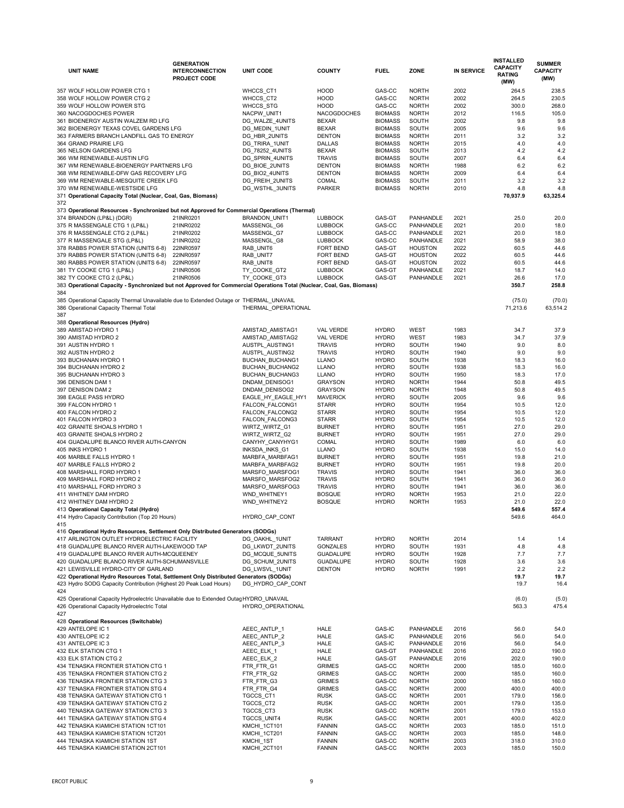|     | <b>UNIT NAME</b>                                                                                                                       | <b>GENERATION</b><br><b>INTERCONNECTION</b><br><b>PROJECT CODE</b> | <b>UNIT CODE</b>                     | <b>COUNTY</b>                     | <b>FUEL</b>                      | <b>ZONE</b>                          | <b>IN SERVICE</b> | <b>INSTALLED</b><br><b>CAPACITY</b><br><b>RATING</b><br>(MW) | <b>SUMMER</b><br><b>CAPACITY</b><br>(MW) |
|-----|----------------------------------------------------------------------------------------------------------------------------------------|--------------------------------------------------------------------|--------------------------------------|-----------------------------------|----------------------------------|--------------------------------------|-------------------|--------------------------------------------------------------|------------------------------------------|
|     | 357 WOLF HOLLOW POWER CTG 1                                                                                                            |                                                                    | <b>WHCCS CT1</b>                     | <b>HOOD</b>                       | GAS-CC                           | <b>NORTH</b>                         | 2002              | 264.5                                                        | 238.5                                    |
|     | 358 WOLF HOLLOW POWER CTG 2                                                                                                            |                                                                    | WHCCS_CT2                            | <b>HOOD</b>                       | GAS-CC                           | <b>NORTH</b>                         | 2002              | 264.5                                                        | 230.5                                    |
|     | 359 WOLF HOLLOW POWER STG                                                                                                              |                                                                    | WHCCS_STG                            | <b>HOOD</b>                       | GAS-CC                           | <b>NORTH</b>                         | 2002              | 300.0                                                        | 268.0                                    |
|     | 360 NACOGDOCHES POWER                                                                                                                  |                                                                    | NACPW_UNIT1                          | <b>NACOGDOCHES</b>                | <b>BIOMASS</b>                   | <b>NORTH</b>                         | 2012              | 116.5                                                        | 105.0                                    |
|     | 361 BIOENERGY AUSTIN WALZEM RD LFG                                                                                                     |                                                                    | DG_WALZE_4UNITS                      | <b>BEXAR</b>                      | <b>BIOMASS</b>                   | <b>SOUTH</b>                         | 2002              | 9.8                                                          | 9.8                                      |
|     | 362 BIOENERGY TEXAS COVEL GARDENS LFG                                                                                                  |                                                                    | DG_MEDIN_1UNIT                       | <b>BEXAR</b>                      | <b>BIOMASS</b>                   | <b>SOUTH</b>                         | 2005              | 9.6                                                          | 9.6                                      |
|     | 363 FARMERS BRANCH LANDFILL GAS TO ENERGY<br>364 GRAND PRAIRIE LFG                                                                     |                                                                    | DG_HBR_2UNITS<br>DG_TRIRA_1UNIT      | <b>DENTON</b><br><b>DALLAS</b>    | <b>BIOMASS</b><br><b>BIOMASS</b> | <b>NORTH</b><br><b>NORTH</b>         | 2011<br>2015      | 3.2<br>4.0                                                   | 3.2<br>4.0                               |
|     | 365 NELSON GARDENS LFG                                                                                                                 |                                                                    | DG_78252_4UNITS                      | <b>BEXAR</b>                      | <b>BIOMASS</b>                   | <b>SOUTH</b>                         | 2013              | 4.2                                                          | 4.2                                      |
|     | 366 WM RENEWABLE-AUSTIN LFG                                                                                                            |                                                                    | DG_SPRIN_4UNITS                      | <b>TRAVIS</b>                     | <b>BIOMASS</b>                   | <b>SOUTH</b>                         | 2007              | 6.4                                                          | 6.4                                      |
|     | 367 WM RENEWABLE-BIOENERGY PARTNERS LFG                                                                                                |                                                                    | DG_BIOE_2UNITS                       | <b>DENTON</b>                     | <b>BIOMASS</b>                   | <b>NORTH</b>                         | 1988              | 6.2                                                          | 6.2                                      |
|     | 368 WM RENEWABLE-DFW GAS RECOVERY LFG                                                                                                  |                                                                    | DG_BIO2_4UNITS                       | <b>DENTON</b>                     | <b>BIOMASS</b>                   | <b>NORTH</b>                         | 2009              | 6.4                                                          | 6.4                                      |
|     | 369 WM RENEWABLE-MESQUITE CREEK LFG                                                                                                    |                                                                    | DG_FREIH_2UNITS                      | <b>COMAL</b>                      | <b>BIOMASS</b>                   | <b>SOUTH</b>                         | 2011              | 3.2                                                          | 3.2                                      |
|     | 370 WM RENEWABLE-WESTSIDE LFG                                                                                                          |                                                                    | DG WSTHL 3UNITS                      | <b>PARKER</b>                     | <b>BIOMASS</b>                   | <b>NORTH</b>                         | 2010              | 4.8                                                          | 4.8                                      |
| 372 | 371 Operational Capacity Total (Nuclear, Coal, Gas, Biomass)                                                                           |                                                                    |                                      |                                   |                                  |                                      |                   | 70,937.9                                                     | 63,325.4                                 |
|     | 373 Operational Resources - Synchronized but not Approved for Commercial Operations (Thermal)                                          |                                                                    |                                      |                                   |                                  |                                      |                   |                                                              |                                          |
|     | 374 BRANDON (LP&L) (DGR)                                                                                                               | 21INR0201                                                          | <b>BRANDON UNIT1</b>                 | <b>LUBBOCK</b><br><b>LUBBOCK</b>  | GAS-GT<br>GAS-CC                 | <b>PANHANDLE</b><br><b>PANHANDLE</b> | 2021              | 25.0                                                         | 20.0<br>18.0                             |
|     | 375 R MASSENGALE CTG 1 (LP&L)<br>376 R MASSENGALE CTG 2 (LP&L)                                                                         | 21INR0202<br>21INR0202                                             | MASSENGL_G6<br>MASSENGL_G7           | <b>LUBBOCK</b>                    | GAS-CC                           | <b>PANHANDLE</b>                     | 2021<br>2021      | 20.0<br>20.0                                                 | 18.0                                     |
|     | 377 R MASSENGALE STG (LP&L)                                                                                                            | 21INR0202                                                          | MASSENGL_G8                          | <b>LUBBOCK</b>                    | GAS-CC                           | PANHANDLE                            | 2021              | 58.9                                                         | 38.0                                     |
|     | 378 RABBS POWER STATION (UNITS 6-8)                                                                                                    | 22INR0597                                                          | RAB_UNIT6                            | FORT BEND                         | GAS-GT                           | <b>HOUSTON</b>                       | 2022              | 60.5                                                         | 44.6                                     |
|     | 379 RABBS POWER STATION (UNITS 6-8)                                                                                                    | 22INR0597                                                          | RAB UNIT7                            | <b>FORT BEND</b>                  | GAS-GT                           | <b>HOUSTON</b>                       | 2022              | 60.5                                                         | 44.6                                     |
|     | 380 RABBS POWER STATION (UNITS 6-8)                                                                                                    | 22INR0597                                                          | RAB UNIT8                            | <b>FORT BEND</b>                  | GAS-GT                           | <b>HOUSTON</b>                       | 2022              | 60.5                                                         | 44.6                                     |
|     | 381 TY COOKE CTG 1 (LP&L)                                                                                                              | 21INR0506                                                          | TY_COOKE_GT2                         | <b>LUBBOCK</b>                    | GAS-GT                           | <b>PANHANDLE</b>                     | 2021              | 18.7                                                         | 14.0                                     |
|     | 382 TY COOKE CTG 2 (LP&L)                                                                                                              | 21INR0506                                                          | TY_COOKE_GT3                         | <b>LUBBOCK</b>                    | GAS-GT                           | <b>PANHANDLE</b>                     | 2021              | 26.6                                                         | 17.0                                     |
|     | 383 Operational Capacity - Synchronized but not Approved for Commercial Operations Total (Nuclear, Coal, Gas, Biomass)                 |                                                                    |                                      |                                   |                                  |                                      |                   | 350.7                                                        | 258.8                                    |
| 384 | 385 Operational Capacity Thermal Unavailable due to Extended Outage or THERMAL UNAVAIL                                                 |                                                                    |                                      |                                   |                                  |                                      |                   | (75.0)                                                       | (70.0)                                   |
| 387 | 386 Operational Capacity Thermal Total                                                                                                 |                                                                    | THERMAL_OPERATIONAL                  |                                   |                                  |                                      |                   | 71,213.6                                                     | 63,514.2                                 |
|     | 388 Operational Resources (Hydro)<br>389 AMISTAD HYDRO 1                                                                               |                                                                    |                                      | <b>VAL VERDE</b>                  | <b>HYDRO</b>                     | <b>WEST</b>                          | 1983              | 34.7                                                         | 37.9                                     |
|     | 390 AMISTAD HYDRO 2                                                                                                                    |                                                                    | AMISTAD_AMISTAG1<br>AMISTAD_AMISTAG2 | <b>VAL VERDE</b>                  | <b>HYDRO</b>                     | <b>WEST</b>                          | 1983              | 34.7                                                         | 37.9                                     |
|     | 391 AUSTIN HYDRO 1                                                                                                                     |                                                                    | AUSTPL_AUSTING1                      | <b>TRAVIS</b>                     | <b>HYDRO</b>                     | <b>SOUTH</b>                         | 1940              | 9.0                                                          | 8.0                                      |
|     | 392 AUSTIN HYDRO 2                                                                                                                     |                                                                    | AUSTPL_AUSTING2                      | <b>TRAVIS</b>                     | <b>HYDRO</b>                     | <b>SOUTH</b>                         | 1940              | 9.0                                                          | 9.0                                      |
|     | 393 BUCHANAN HYDRO 1                                                                                                                   |                                                                    | <b>BUCHAN_BUCHANG1</b>               | <b>LLANO</b>                      | <b>HYDRO</b>                     | <b>SOUTH</b>                         | 1938              | 18.3                                                         | 16.0                                     |
|     | 394 BUCHANAN HYDRO 2                                                                                                                   |                                                                    | BUCHAN_BUCHANG2                      | <b>LLANO</b>                      | <b>HYDRO</b>                     | <b>SOUTH</b>                         | 1938              | 18.3                                                         | 16.0                                     |
|     | 395 BUCHANAN HYDRO 3                                                                                                                   |                                                                    | <b>BUCHAN_BUCHANG3</b>               | <b>LLANO</b>                      | <b>HYDRO</b>                     | <b>SOUTH</b>                         | 1950              | 18.3                                                         | 17.0                                     |
|     | 396 DENISON DAM 1                                                                                                                      |                                                                    | DNDAM_DENISOG1                       | <b>GRAYSON</b>                    | <b>HYDRO</b>                     | <b>NORTH</b>                         | 1944              | 50.8                                                         | 49.5                                     |
|     | 397 DENISON DAM 2                                                                                                                      |                                                                    | DNDAM_DENISOG2                       | <b>GRAYSON</b>                    | <b>HYDRO</b>                     | <b>NORTH</b>                         | 1948              | 50.8                                                         | 49.5                                     |
|     | 398 EAGLE PASS HYDRO                                                                                                                   |                                                                    | EAGLE_HY_EAGLE_HY1                   | <b>MAVERICK</b>                   | <b>HYDRO</b>                     | <b>SOUTH</b>                         | 2005              | 9.6                                                          | 9.6                                      |
|     | 399 FALCON HYDRO 1                                                                                                                     |                                                                    | FALCON_FALCONG1                      | <b>STARR</b>                      | <b>HYDRO</b>                     | <b>SOUTH</b>                         | 1954              | 10.5                                                         | 12.0                                     |
|     | 400 FALCON HYDRO 2<br>401 FALCON HYDRO 3                                                                                               |                                                                    | FALCON_FALCONG2                      | <b>STARR</b>                      | <b>HYDRO</b>                     | <b>SOUTH</b>                         | 1954              | 10.5                                                         | 12.0<br>12.0                             |
|     | 402 GRANITE SHOALS HYDRO 1                                                                                                             |                                                                    | FALCON_FALCONG3<br>WIRTZ_WIRTZ_G1    | <b>STARR</b><br><b>BURNET</b>     | <b>HYDRO</b><br><b>HYDRO</b>     | <b>SOUTH</b><br><b>SOUTH</b>         | 1954<br>1951      | 10.5<br>27.0                                                 | 29.0                                     |
|     | 403 GRANITE SHOALS HYDRO 2                                                                                                             |                                                                    | WIRTZ_WIRTZ_G2                       | <b>BURNET</b>                     | <b>HYDRO</b>                     | <b>SOUTH</b>                         | 1951              | 27.0                                                         | 29.0                                     |
|     | 404 GUADALUPE BLANCO RIVER AUTH-CANYON                                                                                                 |                                                                    | CANYHY_CANYHYG1                      | <b>COMAL</b>                      | <b>HYDRO</b>                     | <b>SOUTH</b>                         | 1989              | 6.0                                                          | 6.0                                      |
|     | 405 INKS HYDRO 1                                                                                                                       |                                                                    | INKSDA_INKS_G1                       | <b>LLANO</b>                      | <b>HYDRO</b>                     | <b>SOUTH</b>                         | 1938              | 15.0                                                         | 14.0                                     |
|     | 406 MARBLE FALLS HYDRO 1                                                                                                               |                                                                    | MARBFA_MARBFAG1                      | <b>BURNET</b>                     | <b>HYDRO</b>                     | <b>SOUTH</b>                         | 1951              | 19.8                                                         | 21.0                                     |
|     | 407 MARBLE FALLS HYDRO 2                                                                                                               |                                                                    | MARBFA_MARBFAG2                      | <b>BURNET</b>                     | <b>HYDRO</b>                     | <b>SOUTH</b>                         | 1951              | 19.8                                                         | 20.0                                     |
|     | 408 MARSHALL FORD HYDRO 1                                                                                                              |                                                                    | MARSFO_MARSFOG1                      | <b>TRAVIS</b>                     | <b>HYDRO</b>                     | <b>SOUTH</b>                         | 1941              | 36.0                                                         | 36.0                                     |
|     | 409 MARSHALL FORD HYDRO 2                                                                                                              |                                                                    | MARSFO_MARSFOG2                      | <b>TRAVIS</b>                     | <b>HYDRO</b>                     | <b>SOUTH</b>                         | 1941              | 36.0                                                         | 36.0                                     |
|     | 410 MARSHALL FORD HYDRO 3                                                                                                              |                                                                    | MARSFO_MARSFOG3                      | <b>TRAVIS</b>                     | <b>HYDRO</b>                     | <b>SOUTH</b>                         | 1941              | 36.0                                                         | 36.0                                     |
|     | 411 WHITNEY DAM HYDRO                                                                                                                  |                                                                    | WND_WHITNEY1                         | <b>BOSQUE</b>                     | <b>HYDRO</b>                     | <b>NORTH</b>                         | 1953              | 21.0                                                         | 22.0                                     |
|     | 412 WHITNEY DAM HYDRO 2                                                                                                                |                                                                    | WND_WHITNEY2                         | <b>BOSQUE</b>                     | <b>HYDRO</b>                     | <b>NORTH</b>                         | 1953              | 21.0                                                         | 22.0                                     |
|     | 413 Operational Capacity Total (Hydro)                                                                                                 |                                                                    |                                      |                                   |                                  |                                      |                   | 549.6                                                        | 557.4                                    |
| 415 | 414 Hydro Capacity Contribution (Top 20 Hours)                                                                                         |                                                                    | HYDRO_CAP_CONT                       |                                   |                                  |                                      |                   | 549.6                                                        | 464.0                                    |
|     | 416 Operational Hydro Resources, Settlement Only Distributed Generators (SODGs)<br>417 ARLINGTON OUTLET HYDROELECTRIC FACILITY         |                                                                    |                                      |                                   |                                  |                                      |                   |                                                              |                                          |
|     | 418 GUADALUPE BLANCO RIVER AUTH-LAKEWOOD TAP                                                                                           |                                                                    | DG_OAKHL_1UNIT<br>DG_LKWDT_2UNITS    | <b>TARRANT</b><br><b>GONZALES</b> | <b>HYDRO</b><br><b>HYDRO</b>     | <b>NORTH</b><br><b>SOUTH</b>         | 2014<br>1931      | 1.4<br>4.8                                                   | 1.4<br>4.8                               |
|     | 419 GUADALUPE BLANCO RIVER AUTH-MCQUEENEY                                                                                              |                                                                    | DG_MCQUE_5UNITS                      | <b>GUADALUPE</b>                  | <b>HYDRO</b>                     | <b>SOUTH</b>                         | 1928              | 7.7                                                          | 7.7                                      |
|     | 420 GUADALUPE BLANCO RIVER AUTH-SCHUMANSVILLE                                                                                          |                                                                    | DG_SCHUM_2UNITS                      | <b>GUADALUPE</b>                  | <b>HYDRO</b>                     | <b>SOUTH</b>                         | 1928              | 3.6                                                          | 3.6                                      |
|     | 421 LEWISVILLE HYDRO-CITY OF GARLAND                                                                                                   |                                                                    | DG_LWSVL_1UNIT                       | <b>DENTON</b>                     | <b>HYDRO</b>                     | <b>NORTH</b>                         | 1991              | 2.2                                                          | 2.2                                      |
|     | 422 Operational Hydro Resources Total, Settlement Only Distributed Generators (SODGs)                                                  |                                                                    |                                      |                                   |                                  |                                      |                   | 19.7                                                         | 19.7                                     |
| 424 | 423 Hydro SODG Capacity Contribution (Highest 20 Peak Load Hours)                                                                      |                                                                    | DG_HYDRO_CAP_CONT                    |                                   |                                  |                                      |                   | 19.7                                                         | 16.4                                     |
|     | 425 Operational Capacity Hydroelectric Unavailable due to Extended Outag HYDRO_UNAVAIL<br>426 Operational Capacity Hydroelectric Total |                                                                    | HYDRO OPERATIONAL                    |                                   |                                  |                                      |                   | (6.0)<br>563.3                                               | (5.0)<br>475.4                           |
| 427 | 428 Operational Resources (Switchable)                                                                                                 |                                                                    |                                      |                                   |                                  |                                      |                   |                                                              |                                          |
|     | 429 ANTELOPE IC 1                                                                                                                      |                                                                    | AEEC_ANTLP_1                         | <b>HALE</b>                       | GAS-IC                           | <b>PANHANDLE</b>                     | 2016              | 56.0                                                         | 54.0                                     |
|     | 430 ANTELOPE IC 2                                                                                                                      |                                                                    | AEEC_ANTLP_2                         | <b>HALE</b>                       | <b>GAS-IC</b>                    | <b>PANHANDLE</b>                     | 2016              | 56.0                                                         | 54.0                                     |
|     | 431 ANTELOPE IC 3                                                                                                                      |                                                                    | AEEC_ANTLP_3                         | <b>HALE</b>                       | GAS-IC                           | <b>PANHANDLE</b>                     | 2016              | 56.0                                                         | 54.0                                     |
|     | 432 ELK STATION CTG 1                                                                                                                  |                                                                    | AEEC_ELK_1                           | <b>HALE</b>                       | GAS-GT                           | <b>PANHANDLE</b>                     | 2016              | 202.0                                                        | 190.0                                    |
|     | 433 ELK STATION CTG 2                                                                                                                  |                                                                    | AEEC_ELK_2                           | <b>HALE</b>                       | GAS-GT                           | <b>PANHANDLE</b>                     | 2016              | 202.0                                                        | 190.0                                    |
|     | 434 TENASKA FRONTIER STATION CTG 1                                                                                                     |                                                                    | FTR_FTR_G1                           | <b>GRIMES</b>                     | GAS-CC                           | <b>NORTH</b>                         | 2000              | 185.0                                                        | 160.0                                    |
|     | 435 TENASKA FRONTIER STATION CTG 2                                                                                                     |                                                                    | FTR_FTR_G2                           | <b>GRIMES</b>                     | GAS-CC                           | <b>NORTH</b>                         | 2000              | 185.0                                                        | 160.0                                    |
|     | 436 TENASKA FRONTIER STATION CTG 3                                                                                                     |                                                                    | FTR FTR G3                           | <b>GRIMES</b>                     | GAS-CC                           | <b>NORTH</b>                         | 2000              | 185.0                                                        | 160.0                                    |
|     | 437 TENASKA FRONTIER STATION STG 4                                                                                                     |                                                                    | FTR_FTR_G4                           | <b>GRIMES</b>                     | GAS-CC                           | <b>NORTH</b>                         | 2000              | 400.0                                                        | 400.0                                    |
|     | 438 TENASKA GATEWAY STATION CTG 1                                                                                                      |                                                                    | TGCCS_CT1                            | <b>RUSK</b>                       | GAS-CC                           | <b>NORTH</b>                         | 2001              | 179.0                                                        | 156.0                                    |
|     | 439 TENASKA GATEWAY STATION CTG 2                                                                                                      |                                                                    | TGCCS_CT2                            | <b>RUSK</b>                       | GAS-CC                           | <b>NORTH</b>                         | 2001              | 179.0                                                        | 135.0                                    |
|     | 440 TENASKA GATEWAY STATION CTG 3                                                                                                      |                                                                    | TGCCS_CT3                            | <b>RUSK</b>                       | GAS-CC<br>GAS-CC                 | <b>NORTH</b>                         | 2001              | 179.0                                                        | 153.0                                    |
|     | 441 TENASKA GATEWAY STATION STG 4<br>442 TENASKA KIAMICHI STATION 1CT101                                                               |                                                                    | TGCCS_UNIT4<br>KMCHI_1CT101          | <b>RUSK</b><br><b>FANNIN</b>      | GAS-CC                           | <b>NORTH</b><br><b>NORTH</b>         | 2001<br>2003      | 400.0<br>185.0                                               | 402.0<br>151.0                           |
|     | 443 TENASKA KIAMICHI STATION 1CT201                                                                                                    |                                                                    | KMCHI_1CT201                         | <b>FANNIN</b>                     | GAS-CC                           | <b>NORTH</b>                         | 2003              | 185.0                                                        | 148.0                                    |
|     | 444 TENASKA KIAMICHI STATION 1ST                                                                                                       |                                                                    | KMCHI_1ST                            | <b>FANNIN</b>                     | GAS-CC                           | <b>NORTH</b>                         | 2003              | 318.0                                                        | 310.0                                    |
|     | 445 TENASKA KIAMICHI STATION 2CT101                                                                                                    |                                                                    | KMCHI_2CT101                         | <b>FANNIN</b>                     | GAS-CC                           | <b>NORTH</b>                         | 2003              | 185.0                                                        | 150.0                                    |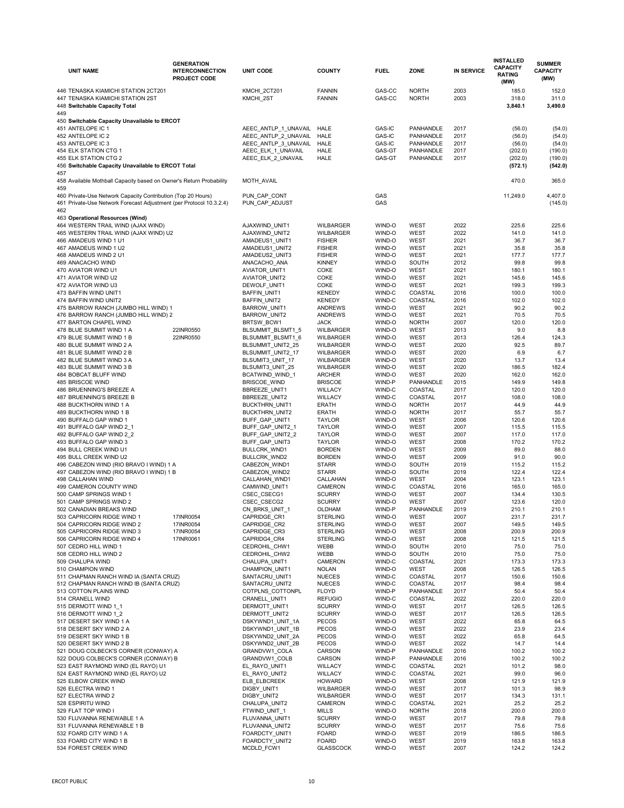| <b>UNIT NAME</b>                                                                                                                    | <b>GENERATION</b><br><b>INTERCONNECTION</b><br><b>PROJECT CODE</b> | <b>UNIT CODE</b>                             | <b>COUNTY</b>                        | <b>FUEL</b>             | <b>ZONE</b>                   | <b>IN SERVICE</b> | <b>INSTALLED</b><br><b>CAPACITY</b><br><b>RATING</b><br>(MW) | <b>SUMMER</b><br><b>CAPACITY</b><br>(MW) |
|-------------------------------------------------------------------------------------------------------------------------------------|--------------------------------------------------------------------|----------------------------------------------|--------------------------------------|-------------------------|-------------------------------|-------------------|--------------------------------------------------------------|------------------------------------------|
| 446 TENASKA KIAMICHI STATION 2CT201<br>447 TENASKA KIAMICHI STATION 2ST<br>448 Switchable Capacity Total                            |                                                                    | KMCHI_2CT201<br>KMCHI 2ST                    | <b>FANNIN</b><br><b>FANNIN</b>       | GAS-CC<br>GAS-CC        | <b>NORTH</b><br><b>NORTH</b>  | 2003<br>2003      | 185.0<br>318.0<br>3,840.1                                    | 152.0<br>311.0<br>3,490.0                |
| 449<br>450 Switchable Capacity Unavailable to ERCOT                                                                                 |                                                                    |                                              |                                      |                         |                               |                   |                                                              |                                          |
| 451 ANTELOPE IC 1                                                                                                                   |                                                                    | AEEC_ANTLP_1_UNAVAIL                         | <b>HALE</b>                          | GAS-IC                  | PANHANDLE                     | 2017              | (56.0)                                                       | (54.0)                                   |
| 452 ANTELOPE IC 2<br>453 ANTELOPE IC 3                                                                                              |                                                                    | AEEC_ANTLP_2_UNAVAIL<br>AEEC_ANTLP_3_UNAVAIL | <b>HALE</b><br><b>HALE</b>           | GAS-IC<br><b>GAS-IC</b> | <b>PANHANDLE</b><br>PANHANDLE | 2017<br>2017      | (56.0)<br>(56.0)                                             | (54.0)<br>(54.0)                         |
| 454 ELK STATION CTG 1                                                                                                               |                                                                    | AEEC_ELK_1_UNAVAIL                           | <b>HALE</b>                          | GAS-GT                  | PANHANDLE                     | 2017              | (202.0)                                                      | (190.0)                                  |
| 455 ELK STATION CTG 2                                                                                                               |                                                                    | AEEC_ELK_2_UNAVAIL                           | <b>HALE</b>                          | GAS-GT                  | <b>PANHANDLE</b>              | 2017              | (202.0)                                                      | (190.0)                                  |
| 456 Switchable Capacity Unavailable to ERCOT Total<br>457                                                                           |                                                                    |                                              |                                      |                         |                               |                   | (572.1)                                                      | (542.0)                                  |
| 458 Available Mothball Capacity based on Owner's Return Probability<br>459                                                          |                                                                    | MOTH_AVAIL                                   |                                      |                         |                               |                   | 470.0                                                        | 365.0                                    |
| 460 Private-Use Network Capacity Contribution (Top 20 Hours)<br>461 Private-Use Network Forecast Adjustment (per Protocol 10.3.2.4) |                                                                    | PUN_CAP_CONT<br>PUN_CAP_ADJUST               |                                      | GAS<br>GAS              |                               |                   | 11,249.0                                                     | 4,407.0<br>(145.0)                       |
| 462<br>463 Operational Resources (Wind)                                                                                             |                                                                    |                                              |                                      |                         |                               |                   |                                                              |                                          |
| 464 WESTERN TRAIL WIND (AJAX WIND)                                                                                                  |                                                                    | AJAXWIND_UNIT1                               | <b>WILBARGER</b>                     | WIND-O                  | <b>WEST</b>                   | 2022              | 225.6                                                        | 225.6                                    |
| 465 WESTERN TRAIL WIND (AJAX WIND) U2                                                                                               |                                                                    | AJAXWIND_UNIT2                               | <b>WILBARGER</b>                     | WIND-O                  | <b>WEST</b>                   | 2022              | 141.0                                                        | 141.0                                    |
| 466 AMADEUS WIND 1 U1                                                                                                               |                                                                    | AMADEUS1_UNIT1                               | <b>FISHER</b>                        | WIND-O                  | <b>WEST</b>                   | 2021              | 36.7                                                         | 36.7                                     |
| 467 AMADEUS WIND 1 U2<br>468 AMADEUS WIND 2 U1                                                                                      |                                                                    | AMADEUS1_UNIT2<br>AMADEUS2_UNIT3             | <b>FISHER</b><br><b>FISHER</b>       | WIND-O<br>WIND-O        | <b>WEST</b><br><b>WEST</b>    | 2021<br>2021      | 35.8<br>177.7                                                | 35.8<br>177.7                            |
| 469 ANACACHO WIND                                                                                                                   |                                                                    | ANACACHO_ANA                                 | <b>KINNEY</b>                        | WIND-O                  | <b>SOUTH</b>                  | 2012              | 99.8                                                         | 99.8                                     |
| 470 AVIATOR WIND U1                                                                                                                 |                                                                    | AVIATOR_UNIT1                                | <b>COKE</b>                          | WIND-O                  | <b>WEST</b>                   | 2021              | 180.1                                                        | 180.1                                    |
| 471 AVIATOR WIND U2                                                                                                                 |                                                                    | AVIATOR_UNIT2                                | COKE<br>COKE                         | WIND-O<br>WIND-O        | <b>WEST</b><br><b>WEST</b>    | 2021<br>2021      | 145.6<br>199.3                                               | 145.6<br>199.3                           |
| 472 AVIATOR WIND U3<br>473 BAFFIN WIND UNIT1                                                                                        |                                                                    | DEWOLF_UNIT1<br><b>BAFFIN_UNIT1</b>          | <b>KENEDY</b>                        | WIND-C                  | COASTAL                       | 2016              | 100.0                                                        | 100.0                                    |
| 474 BAFFIN WIND UNIT2                                                                                                               |                                                                    | <b>BAFFIN_UNIT2</b>                          | <b>KENEDY</b>                        | WIND-C                  | <b>COASTAL</b>                | 2016              | 102.0                                                        | 102.0                                    |
| 475 BARROW RANCH (JUMBO HILL WIND) 1                                                                                                |                                                                    | BARROW_UNIT1                                 | <b>ANDREWS</b>                       | WIND-O                  | <b>WEST</b>                   | 2021              | 90.2                                                         | 90.2                                     |
| 476 BARROW RANCH (JUMBO HILL WIND) 2<br>477 BARTON CHAPEL WIND                                                                      |                                                                    | BARROW_UNIT2<br>BRTSW_BCW1                   | <b>ANDREWS</b><br><b>JACK</b>        | WIND-O<br>WIND-O        | <b>WEST</b><br><b>NORTH</b>   | 2021<br>2007      | 70.5<br>120.0                                                | 70.5<br>120.0                            |
| 478 BLUE SUMMIT WIND 1 A                                                                                                            | 22INR0550                                                          | BLSUMMIT_BLSMT1_5                            | <b>WILBARGER</b>                     | WIND-O                  | <b>WEST</b>                   | 2013              | 9.0                                                          | 8.8                                      |
| 479 BLUE SUMMIT WIND 1 B                                                                                                            | 22INR0550                                                          | BLSUMMIT_BLSMT1_6                            | <b>WILBARGER</b>                     | WIND-O                  | <b>WEST</b>                   | 2013              | 126.4                                                        | 124.3                                    |
| 480 BLUE SUMMIT WIND 2 A                                                                                                            |                                                                    | BLSUMMIT_UNIT2_25                            | <b>WILBARGER</b>                     | WIND-O                  | WEST                          | 2020              | 92.5                                                         | 89.7                                     |
| 481 BLUE SUMMIT WIND 2 B<br>482 BLUE SUMMIT WIND 3 A                                                                                |                                                                    | BLSUMMIT_UNIT2_17<br>BLSUMIT3_UNIT_17        | <b>WILBARGER</b><br><b>WILBARGER</b> | WIND-O<br>WIND-O        | WEST<br><b>WEST</b>           | 2020<br>2020      | 6.9<br>13.7                                                  | 6.7<br>13.4                              |
| 483 BLUE SUMMIT WIND 3 B                                                                                                            |                                                                    | BLSUMIT3_UNIT_25                             | WILBARGER                            | WIND-O                  | WEST                          | 2020              | 186.5                                                        | 182.4                                    |
| 484 BOBCAT BLUFF WIND                                                                                                               |                                                                    | BCATWIND_WIND_1                              | <b>ARCHER</b>                        | WIND-O                  | <b>WEST</b>                   | 2020              | 162.0                                                        | 162.0                                    |
| 485 BRISCOE WIND                                                                                                                    |                                                                    | BRISCOE_WIND                                 | <b>BRISCOE</b><br><b>WILLACY</b>     | WIND-P<br>WIND-C        | PANHANDLE                     | 2015<br>2017      | 149.9                                                        | 149.8<br>120.0                           |
| 486 BRUENNING'S BREEZE A<br>487 BRUENNING'S BREEZE B                                                                                |                                                                    | BBREEZE_UNIT1<br>BBREEZE_UNIT2               | <b>WILLACY</b>                       | WIND-C                  | COASTAL<br>COASTAL            | 2017              | 120.0<br>108.0                                               | 108.0                                    |
| 488 BUCKTHORN WIND 1 A                                                                                                              |                                                                    | BUCKTHRN_UNIT1                               | <b>ERATH</b>                         | WIND-O                  | <b>NORTH</b>                  | 2017              | 44.9                                                         | 44.9                                     |
| 489 BUCKTHORN WIND 1 B                                                                                                              |                                                                    | <b>BUCKTHRN_UNIT2</b>                        | <b>ERATH</b>                         | WIND-O                  | <b>NORTH</b>                  | 2017              | 55.7                                                         | 55.7                                     |
| 490 BUFFALO GAP WIND 1<br>491 BUFFALO GAP WIND 2_1                                                                                  |                                                                    | BUFF_GAP_UNIT1<br>BUFF_GAP_UNIT2_1           | <b>TAYLOR</b><br><b>TAYLOR</b>       | WIND-O<br>WIND-O        | <b>WEST</b><br><b>WEST</b>    | 2006<br>2007      | 120.6<br>115.5                                               | 120.6<br>115.5                           |
| 492 BUFFALO GAP WIND 2_2                                                                                                            |                                                                    | BUFF_GAP_UNIT2_2                             | <b>TAYLOR</b>                        | WIND-O                  | <b>WEST</b>                   | 2007              | 117.0                                                        | 117.0                                    |
| 493 BUFFALO GAP WIND 3                                                                                                              |                                                                    | BUFF_GAP_UNIT3                               | <b>TAYLOR</b>                        | WIND-O                  | <b>WEST</b>                   | 2008              | 170.2                                                        | 170.2                                    |
| 494 BULL CREEK WIND U1                                                                                                              |                                                                    | BULLCRK_WND1                                 | <b>BORDEN</b>                        | WIND-O                  | <b>WEST</b>                   | 2009              | 89.0                                                         | 88.0                                     |
| 495 BULL CREEK WIND U2<br>496 CABEZON WIND (RIO BRAVO I WIND) 1 A                                                                   |                                                                    | BULLCRK_WND2<br>CABEZON_WIND1                | <b>BORDEN</b><br><b>STARR</b>        | WIND-O<br>WIND-O        | <b>WEST</b><br><b>SOUTH</b>   | 2009<br>2019      | 91.0<br>115.2                                                | 90.0<br>115.2                            |
| 497 CABEZON WIND (RIO BRAVO I WIND) 1 B                                                                                             |                                                                    | CABEZON_WIND2                                | <b>STARR</b>                         | WIND-O                  | <b>SOUTH</b>                  | 2019              | 122.4                                                        | 122.4                                    |
| 498 CALLAHAN WIND                                                                                                                   |                                                                    | CALLAHAN_WND1                                | CALLAHAN                             | WIND-O                  | <b>WEST</b>                   | 2004              | 123.1                                                        | 123.1                                    |
| 499 CAMERON COUNTY WIND                                                                                                             |                                                                    | CAMWIND_UNIT1                                | <b>CAMERON</b>                       | WIND-C                  | COASTAL                       | 2016              | 165.0                                                        | 165.0                                    |
| 500 CAMP SPRINGS WIND 1<br>501 CAMP SPRINGS WIND 2                                                                                  |                                                                    | CSEC_CSECG1                                  | <b>SCURRY</b><br><b>SCURRY</b>       | WIND-O<br>WIND-O        | WEST<br><b>WEST</b>           | 2007<br>2007      | 134.4                                                        | 130.5                                    |
| 502 CANADIAN BREAKS WIND                                                                                                            |                                                                    | CSEC_CSECG2<br>CN_BRKS_UNIT_1                | <b>OLDHAM</b>                        | WIND-P                  | PANHANDLE                     | 2019              | 123.6<br>210.1                                               | 120.0<br>210.1                           |
| 503 CAPRICORN RIDGE WIND 1                                                                                                          | 17INR0054                                                          | CAPRIDGE_CR1                                 | <b>STERLING</b>                      | WIND-O                  | <b>WEST</b>                   | 2007              | 231.7                                                        | 231.7                                    |
| 504 CAPRICORN RIDGE WIND 2                                                                                                          | 17INR0054                                                          | CAPRIDGE_CR2                                 | <b>STERLING</b>                      | WIND-O                  | <b>WEST</b>                   | 2007              | 149.5                                                        | 149.5                                    |
| 505 CAPRICORN RIDGE WIND 3<br>506 CAPRICORN RIDGE WIND 4                                                                            | 17INR0054<br>17INR0061                                             | CAPRIDGE_CR3<br>CAPRIDG4_CR4                 | <b>STERLING</b><br><b>STERLING</b>   | WIND-O<br>WIND-O        | <b>WEST</b><br><b>WEST</b>    | 2008<br>2008      | 200.9<br>121.5                                               | 200.9<br>121.5                           |
| 507 CEDRO HILL WIND 1                                                                                                               |                                                                    | CEDROHIL_CHW1                                | <b>WEBB</b>                          | WIND-O                  | <b>SOUTH</b>                  | 2010              | 75.0                                                         | 75.0                                     |
| 508 CEDRO HILL WIND 2                                                                                                               |                                                                    | CEDROHIL_CHW2                                | WEBB                                 | WIND-O                  | <b>SOUTH</b>                  | 2010              | 75.0                                                         | 75.0                                     |
| 509 CHALUPA WIND                                                                                                                    |                                                                    | CHALUPA_UNIT1                                | CAMERON                              | WIND-C                  | COASTAL                       | 2021              | 173.3                                                        | 173.3                                    |
| 510 CHAMPION WIND<br>511 CHAPMAN RANCH WIND IA (SANTA CRUZ)                                                                         |                                                                    | CHAMPION_UNIT1<br>SANTACRU_UNIT1             | <b>NOLAN</b><br><b>NUECES</b>        | WIND-O<br>WIND-C        | <b>WEST</b><br>COASTAL        | 2008<br>2017      | 126.5<br>150.6                                               | 126.5<br>150.6                           |
| 512 CHAPMAN RANCH WIND IB (SANTA CRUZ)                                                                                              |                                                                    | SANTACRU_UNIT2                               | <b>NUECES</b>                        | WIND-C                  | COASTAL                       | 2017              | 98.4                                                         | 98.4                                     |
| 513 COTTON PLAINS WIND                                                                                                              |                                                                    | COTPLNS_COTTONPL                             | <b>FLOYD</b>                         | WIND-P                  | <b>PANHANDLE</b>              | 2017              | 50.4                                                         | 50.4                                     |
| 514 CRANELL WIND                                                                                                                    |                                                                    | CRANELL_UNIT1                                | <b>REFUGIO</b>                       | WIND-C                  | COASTAL                       | 2022              | 220.0                                                        | 220.0                                    |
| 515 DERMOTT WIND 1 1<br>516 DERMOTT WIND 1 2                                                                                        |                                                                    | DERMOTT_UNIT1<br>DERMOTT_UNIT2               | <b>SCURRY</b><br><b>SCURRY</b>       | WIND-O<br>WIND-O        | <b>WEST</b><br><b>WEST</b>    | 2017<br>2017      | 126.5<br>126.5                                               | 126.5<br>126.5                           |
| 517 DESERT SKY WIND 1 A                                                                                                             |                                                                    | DSKYWND1_UNIT_1A                             | <b>PECOS</b>                         | WIND-O                  | <b>WEST</b>                   | 2022              | 65.8                                                         | 64.5                                     |
| 518 DESERT SKY WIND 2 A                                                                                                             |                                                                    | DSKYWND1_UNIT_1B                             | <b>PECOS</b>                         | WIND-O                  | WEST                          | 2022              | 23.9                                                         | 23.4                                     |
| 519 DESERT SKY WIND 1 B                                                                                                             |                                                                    | DSKYWND2_UNIT_2A                             | <b>PECOS</b>                         | WIND-O                  | <b>WEST</b>                   | 2022              | 65.8                                                         | 64.5                                     |
| 520 DESERT SKY WIND 2 B<br>521 DOUG COLBECK'S CORNER (CONWAY) A                                                                     |                                                                    | DSKYWND2_UNIT_2B<br>GRANDVW1_COLA            | <b>PECOS</b><br><b>CARSON</b>        | WIND-O<br>WIND-P        | <b>WEST</b><br>PANHANDLE      | 2022<br>2016      | 14.7<br>100.2                                                | 14.4<br>100.2                            |
| 522 DOUG COLBECK'S CORNER (CONWAY) B                                                                                                |                                                                    | GRANDVW1_COLB                                | CARSON                               | WIND-P                  | PANHANDLE                     | 2016              | 100.2                                                        | 100.2                                    |
| 523 EAST RAYMOND WIND (EL RAYO) U1                                                                                                  |                                                                    | EL_RAYO_UNIT1                                | <b>WILLACY</b>                       | WIND-C                  | COASTAL                       | 2021              | 101.2                                                        | 98.0                                     |
| 524 EAST RAYMOND WIND (EL RAYO) U2                                                                                                  |                                                                    | EL_RAYO_UNIT2                                | <b>WILLACY</b>                       | WIND-C                  | COASTAL                       | 2021              | 99.0                                                         | 96.0                                     |
| 525 ELBOW CREEK WIND<br>526 ELECTRA WIND 1                                                                                          |                                                                    | ELB_ELBCREEK<br>DIGBY_UNIT1                  | <b>HOWARD</b><br><b>WILBARGER</b>    | WIND-O<br>WIND-O        | <b>WEST</b><br><b>WEST</b>    | 2008<br>2017      | 121.9<br>101.3                                               | 121.9<br>98.9                            |
| 527 ELECTRA WIND 2                                                                                                                  |                                                                    | DIGBY_UNIT2                                  | <b>WILBARGER</b>                     | WIND-O                  | <b>WEST</b>                   | 2017              | 134.3                                                        | 131.1                                    |
| 528 ESPIRITU WIND                                                                                                                   |                                                                    | CHALUPA_UNIT2                                | <b>CAMERON</b>                       | WIND-C                  | COASTAL                       | 2021              | 25.2                                                         | 25.2                                     |
| 529 FLAT TOP WIND I                                                                                                                 |                                                                    | FTWIND_UNIT_1                                | <b>MILLS</b>                         | WIND-O                  | <b>NORTH</b>                  | 2018              | 200.0                                                        | 200.0                                    |
| 530 FLUVANNA RENEWABLE 1 A<br>531 FLUVANNA RENEWABLE 1 B                                                                            |                                                                    | FLUVANNA_UNIT1<br>FLUVANNA UNIT2             | <b>SCURRY</b><br><b>SCURRY</b>       | WIND-O<br>WIND-O        | <b>WEST</b><br>WEST           | 2017<br>2017      | 79.8<br>75.6                                                 | 79.8<br>75.6                             |
| 532 FOARD CITY WIND 1 A                                                                                                             |                                                                    | FOARDCTY_UNIT1                               | <b>FOARD</b>                         | WIND-O                  | <b>WEST</b>                   | 2019              | 186.5                                                        | 186.5                                    |
| 533 FOARD CITY WIND 1 B                                                                                                             |                                                                    | FOARDCTY_UNIT2                               | <b>FOARD</b>                         | WIND-O                  | <b>WEST</b>                   | 2019              | 163.8                                                        | 163.8                                    |
| 534 FOREST CREEK WIND                                                                                                               |                                                                    | MCDLD_FCW1                                   | <b>GLASSCOCK</b>                     | WIND-O                  | <b>WEST</b>                   | 2007              | 124.2                                                        | 124.2                                    |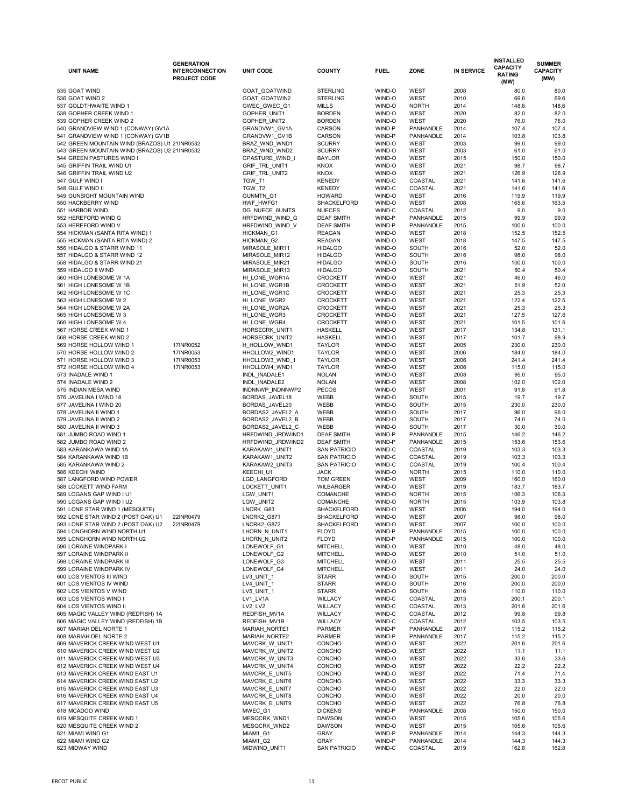| <b>UNIT NAME</b>                              | <b>GENERATION</b><br><b>INTERCONNECTION</b><br><b>PROJECT CODE</b> | <b>UNIT CODE</b>      | <b>COUNTY</b>              | <b>FUEL</b>      | <b>ZONE</b>            | <b>IN SERVICE</b> | <b>INSTALLED</b><br><b>CAPACITY</b><br><b>RATING</b><br>(MW) | <b>SUMMER</b><br><b>CAPACITY</b><br>(MW) |
|-----------------------------------------------|--------------------------------------------------------------------|-----------------------|----------------------------|------------------|------------------------|-------------------|--------------------------------------------------------------|------------------------------------------|
| 535 GOAT WIND                                 |                                                                    | GOAT_GOATWIND         | <b>STERLING</b>            | WIND-O           | <b>WEST</b>            | 2008              | 80.0                                                         | 80.0                                     |
| 536 GOAT WIND 2                               |                                                                    | GOAT_GOATWIN2         | <b>STERLING</b>            | WIND-O           | <b>WEST</b>            | 2010              | 69.6                                                         | 69.6                                     |
| 537 GOLDTHWAITE WIND 1                        |                                                                    | GWEC_GWEC_G1          | <b>MILLS</b>               | WIND-O           | <b>NORTH</b>           | 2014              | 148.6                                                        | 148.6                                    |
| 538 GOPHER CREEK WIND 1                       |                                                                    | GOPHER UNIT1          | <b>BORDEN</b>              | WIND-O           | <b>WEST</b>            | 2020              | 82.0                                                         | 82.0                                     |
| 539 GOPHER CREEK WIND 2                       |                                                                    | GOPHER_UNIT2          | <b>BORDEN</b>              | WIND-O           | <b>WEST</b>            | 2020              | 76.0                                                         | 76.0                                     |
| 540 GRANDVIEW WIND 1 (CONWAY) GV1A            |                                                                    | GRANDVW1_GV1A         | <b>CARSON</b>              | WIND-P           | <b>PANHANDLE</b>       | 2014              | 107.4                                                        | 107.4                                    |
| 541 GRANDVIEW WIND 1 (CONWAY) GV1B            |                                                                    | GRANDVW1_GV1B         | <b>CARSON</b>              | WIND-P           | <b>PANHANDLE</b>       | 2014              | 103.8                                                        | 103.8                                    |
| 542 GREEN MOUNTAIN WIND (BRAZOS) U1 21INR0532 |                                                                    | BRAZ_WND_WND1         | <b>SCURRY</b>              | WIND-O           | <b>WEST</b>            | 2003              | 99.0                                                         | 99.0                                     |
| 543 GREEN MOUNTAIN WIND (BRAZOS) U2 21INR0532 |                                                                    | BRAZ_WND_WND2         | <b>SCURRY</b>              | WIND-O           | <b>WEST</b>            | 2003              | 61.0                                                         | 61.0                                     |
| 544 GREEN PASTURES WIND I                     |                                                                    | GPASTURE_WIND_I       | <b>BAYLOR</b>              | WIND-O           | <b>WEST</b>            | 2015              | 150.0                                                        | 150.0                                    |
| 545 GRIFFIN TRAIL WIND U1                     |                                                                    | GRIF_TRL_UNIT1        | <b>KNOX</b>                | WIND-O           | <b>WEST</b>            | 2021              | 98.7                                                         | 98.7                                     |
| 546 GRIFFIN TRAIL WIND U2                     |                                                                    | GRIF_TRL_UNIT2        | <b>KNOX</b>                | WIND-O           | <b>WEST</b>            | 2021              | 126.9                                                        | 126.9                                    |
| 547 GULF WIND I                               |                                                                    | TGW_T1                | <b>KENEDY</b>              | WIND-C           | <b>COASTAL</b>         | 2021              | 141.6                                                        | 141.6                                    |
| 548 GULF WIND II                              |                                                                    | TGW_T2                | <b>KENEDY</b>              | WIND-C           | COASTAL                | 2021              | 141.6                                                        | 141.6                                    |
| 549 GUNSIGHT MOUNTAIN WIND                    |                                                                    | GUNMTN_G1             | <b>HOWARD</b>              | WIND-O           | <b>WEST</b>            | 2016              | 119.9                                                        | 119.9                                    |
| 550 HACKBERRY WIND                            |                                                                    | HWF HWFG1             | SHACKELFORD                | WIND-O           | <b>WEST</b>            | 2008              | 165.6                                                        | 163.5                                    |
| 551 HARBOR WIND                               |                                                                    | DG_NUECE_6UNITS       | <b>NUECES</b>              | WIND-C           | COASTAL                | 2012              | 9.0                                                          | 9.0                                      |
| 552 HEREFORD WIND G                           |                                                                    | HRFDWIND_WIND_G       | <b>DEAF SMITH</b>          | WIND-P           | <b>PANHANDLE</b>       | 2015              | 99.9                                                         | 99.9                                     |
| 553 HEREFORD WIND V                           |                                                                    | HRFDWIND_WIND_V       | <b>DEAF SMITH</b>          | WIND-P           | <b>PANHANDLE</b>       | 2015              | 100.0                                                        | 100.0                                    |
| 554 HICKMAN (SANTA RITA WIND) 1               |                                                                    | HICKMAN <sub>G1</sub> | <b>REAGAN</b>              | WIND-O           | <b>WEST</b>            | 2018              | 152.5                                                        | 152.5                                    |
| 555 HICKMAN (SANTA RITA WIND) 2               |                                                                    | HICKMAN <sub>G2</sub> | <b>REAGAN</b>              | WIND-O           | <b>WEST</b>            | 2018              | 147.5                                                        | 147.5                                    |
| 556 HIDALGO & STARR WIND 11                   |                                                                    | MIRASOLE_MIR11        | <b>HIDALGO</b>             | WIND-O           | <b>SOUTH</b>           | 2016              | 52.0                                                         | 52.0                                     |
| 557 HIDALGO & STARR WIND 12                   |                                                                    | MIRASOLE_MIR12        | <b>HIDALGO</b>             | WIND-O           | <b>SOUTH</b>           | 2016              | 98.0                                                         | 98.0                                     |
| 558 HIDALGO & STARR WIND 21                   |                                                                    | MIRASOLE_MIR21        | <b>HIDALGO</b>             | WIND-O           | <b>SOUTH</b>           | 2016              | 100.0                                                        | 100.0                                    |
| 559 HIDALGO II WIND                           |                                                                    | MIRASOLE_MIR13        | <b>HIDALGO</b>             | WIND-O           | <b>SOUTH</b>           | 2021              | 50.4                                                         | 50.4                                     |
| 560 HIGH LONESOME W 1A                        |                                                                    | HI_LONE_WGR1A         | <b>CROCKETT</b>            | WIND-O           | <b>WEST</b>            | 2021              | 46.0                                                         | 46.0                                     |
| 561 HIGH LONESOME W 1B                        |                                                                    | HI LONE WGR1B         | <b>CROCKETT</b>            | WIND-O           | <b>WEST</b>            | 2021              | 51.9                                                         | 52.0                                     |
| 562 HIGH LONESOME W 1C                        |                                                                    | HI_LONE_WGR1C         | <b>CROCKETT</b>            | WIND-O           | <b>WEST</b>            | 2021              | 25.3                                                         | 25.3                                     |
| 563 HIGH LONESOME W 2                         |                                                                    | HI LONE WGR2          | <b>CROCKETT</b>            | WIND-O           | <b>WEST</b>            | 2021              | 122.4                                                        | 122.5                                    |
| 564 HIGH LONESOME W 2A                        |                                                                    | HI_LONE_WGR2A         | <b>CROCKETT</b>            | WIND-O           | <b>WEST</b>            | 2021              | 25.3                                                         | 25.3                                     |
| 565 HIGH LONESOME W 3                         |                                                                    | HI_LONE_WGR3          | <b>CROCKETT</b>            | WIND-O           | <b>WEST</b>            | 2021              | 127.5                                                        | 127.6                                    |
| 566 HIGH LONESOME W 4                         |                                                                    | HI_LONE_WGR4          | <b>CROCKETT</b>            | WIND-O           | <b>WEST</b>            | 2021              | 101.5                                                        | 101.6                                    |
| 567 HORSE CREEK WIND 1                        |                                                                    | HORSECRK_UNIT1        | <b>HASKELL</b>             | WIND-O           | <b>WEST</b>            | 2017              | 134.8                                                        | 131.1                                    |
| 568 HORSE CREEK WIND 2                        |                                                                    | HORSECRK_UNIT2        | <b>HASKELL</b>             | WIND-O           | <b>WEST</b>            | 2017              | 101.7                                                        | 98.9                                     |
| 569 HORSE HOLLOW WIND 1                       | 17INR0052                                                          | H HOLLOW WND1         | <b>TAYLOR</b>              | WIND-O           | <b>WEST</b>            | 2005              | 230.0                                                        | 230.0                                    |
| 570 HORSE HOLLOW WIND 2                       | 17INR0053                                                          | HHOLLOW2_WIND1        | <b>TAYLOR</b>              | WIND-O           | <b>WEST</b>            | 2006              | 184.0                                                        | 184.0                                    |
| 571 HORSE HOLLOW WIND 3                       | 17INR0053                                                          | HHOLLOW3_WND_1        | <b>TAYLOR</b>              | WIND-O           | <b>WEST</b>            | 2006              | 241.4                                                        | 241.4                                    |
| 572 HORSE HOLLOW WIND 4                       | 17INR0053                                                          | HHOLLOW4_WND1         | <b>TAYLOR</b>              | WIND-O           | <b>WEST</b>            | 2006              | 115.0                                                        | 115.0                                    |
| 573 INADALE WIND 1                            |                                                                    | INDL_INADALE1         | <b>NOLAN</b>               | WIND-O           | <b>WEST</b>            | 2008              | 95.0                                                         | 95.0                                     |
| 574 INADALE WIND 2                            |                                                                    | INDL_INADALE2         | <b>NOLAN</b>               | WIND-O           | <b>WEST</b>            | 2008              | 102.0                                                        | 102.0                                    |
| 575 INDIAN MESA WIND                          |                                                                    | INDNNWP_INDNNWP2      | <b>PECOS</b>               | WIND-O           | <b>WEST</b>            | 2001              | 91.8                                                         | 91.8                                     |
| 576 JAVELINA I WIND 18                        |                                                                    | BORDAS_JAVEL18        | <b>WEBB</b>                | WIND-O           | <b>SOUTH</b>           | 2015              | 19.7                                                         | 19.7                                     |
| 577 JAVELINA I WIND 20                        |                                                                    | BORDAS_JAVEL20        | <b>WEBB</b>                | WIND-O           | <b>SOUTH</b>           | 2015              | 230.0                                                        | 230.0                                    |
| 578 JAVELINA II WIND 1                        |                                                                    | BORDAS2_JAVEL2_A      | WEBB                       | WIND-O           | <b>SOUTH</b>           | 2017              | 96.0                                                         | 96.0                                     |
| 579 JAVELINA II WIND 2                        |                                                                    | BORDAS2_JAVEL2_B      | WEBB                       | WIND-O           | <b>SOUTH</b>           | 2017              | 74.0                                                         | 74.0                                     |
| 580 JAVELINA II WIND 3                        |                                                                    | BORDAS2_JAVEL2_C      | WEBB                       | WIND-O           | <b>SOUTH</b>           | 2017              | 30.0                                                         | 30.0                                     |
| 581 JUMBO ROAD WIND 1                         |                                                                    | HRFDWIND_JRDWIND1     | <b>DEAF SMITH</b>          | WIND-P           | PANHANDLE              | 2015              | 146.2                                                        | 146.2                                    |
| 582 JUMBO ROAD WIND 2                         |                                                                    | HRFDWIND_JRDWIND2     | <b>DEAF SMITH</b>          | WIND-P           | <b>PANHANDLE</b>       | 2015              | 153.6                                                        | 153.6                                    |
| 583 KARANKAWA WIND 1A                         |                                                                    | KARAKAW1_UNIT1        | <b>SAN PATRICIO</b>        | WIND-C           | <b>COASTAL</b>         | 2019              | 103.3                                                        | 103.3                                    |
| 584 KARANKAWA WIND 1B                         |                                                                    | KARAKAW1_UNIT2        | <b>SAN PATRICIO</b>        | WIND-C           | <b>COASTAL</b>         | 2019              | 103.3                                                        | 103.3                                    |
| 585 KARANKAWA WIND 2                          |                                                                    | KARAKAW2_UNIT3        | <b>SAN PATRICIO</b>        | WIND-C           | <b>COASTAL</b>         | 2019              | 100.4                                                        | 100.4                                    |
| 586 KEECHI WIND                               |                                                                    | KEECHI_U1             | <b>JACK</b>                | WIND-O           | <b>NORTH</b>           | 2015              | 110.0                                                        | 110.0                                    |
| 587 LANGFORD WIND POWER                       |                                                                    | LGD_LANGFORD          | <b>TOM GREEN</b>           | WIND-O           | <b>WEST</b>            | 2009              | 160.0                                                        | 160.0                                    |
| 588 LOCKETT WIND FARM                         |                                                                    | LOCKETT_UNIT1         | WILBARGER                  | WIND-O           | <b>WEST</b>            | 2019              | 183.7                                                        | 183.7                                    |
| 589 LOGANS GAP WIND I U1                      |                                                                    | LGW_UNIT1             | <b>COMANCHE</b>            | WIND-O           | <b>NORTH</b>           | 2015              | 106.3                                                        | 106.3                                    |
| 590 LOGANS GAP WIND I U2                      |                                                                    | LGW_UNIT2             | <b>COMANCHE</b>            | WIND-O           | <b>NORTH</b>           | 2015              | 103.9                                                        | 103.8                                    |
| 591 LONE STAR WIND 1 (MESQUITE)               |                                                                    | LNCRK_G83             | SHACKELFORD                | WIND-O           | <b>WEST</b>            | 2006              | 194.0                                                        | 194.0                                    |
| 592 LONE STAR WIND 2 (POST OAK) U1            | 22INR0479                                                          | LNCRK2_G871           | SHACKELFORD                | WIND-O           | <b>WEST</b>            | 2007              | 98.0                                                         | 98.0                                     |
| 593 LONE STAR WIND 2 (POST OAK) U2            | 22INR0479                                                          | LNCRK2_G872           | <b>SHACKELFORD</b>         | WIND-O           | <b>WEST</b>            | 2007              | 100.0                                                        | 100.0                                    |
| 594 LONGHORN WIND NORTH U1                    |                                                                    | LHORN_N_UNIT1         | <b>FLOYD</b>               | WIND-P           | PANHANDLE              | 2015              | 100.0                                                        | 100.0                                    |
| 595 LONGHORN WIND NORTH U2                    |                                                                    | LHORN N UNIT2         | <b>FLOYD</b>               | WIND-P           | <b>PANHANDLE</b>       | 2015              | 100.0                                                        | 100.0                                    |
| 596 LORAINE WINDPARK I                        |                                                                    | LONEWOLF_G1           | <b>MITCHELL</b>            | WIND-O           | WEST                   | 2010              | 48.0                                                         | 48.0                                     |
| 597 LORAINE WINDPARK II                       |                                                                    | LONEWOLF_G2           | <b>MITCHELL</b>            | WIND-O           | <b>WEST</b>            | 2010              | 51.0                                                         | 51.0                                     |
| 598 LORAINE WINDPARK III                      |                                                                    | LONEWOLF_G3           | <b>MITCHELL</b>            | WIND-O           | <b>WEST</b>            | 2011              | 25.5                                                         | 25.5                                     |
| 599 LORAINE WINDPARK IV                       |                                                                    | LONEWOLF G4           | <b>MITCHELL</b>            | WIND-O           | <b>WEST</b>            | 2011              | 24.0                                                         | 24.0                                     |
| 600 LOS VIENTOS III WIND                      |                                                                    | LV3_UNIT_1            | <b>STARR</b>               | WIND-O           | <b>SOUTH</b>           | 2015              | 200.0                                                        | 200.0                                    |
| 601 LOS VIENTOS IV WIND                       |                                                                    | LV4_UNIT_1            | <b>STARR</b>               | WIND-O           | <b>SOUTH</b>           | 2016              | 200.0                                                        | 200.0                                    |
| 602 LOS VIENTOS V WIND                        |                                                                    | LV5_UNIT_1            | <b>STARR</b>               | WIND-O           | <b>SOUTH</b>           | 2016              | 110.0                                                        | 110.0                                    |
| 603 LOS VIENTOS WIND I                        |                                                                    | LV1_LV1A              | <b>WILLACY</b>             | WIND-C           | COASTAL                | 2013              | 200.1                                                        | 200.1                                    |
| 604 LOS VIENTOS WIND II                       |                                                                    | LV2_LV2               | <b>WILLACY</b>             | WIND-C           | COASTAL                | 2013              | 201.6                                                        | 201.6                                    |
| 605 MAGIC VALLEY WIND (REDFISH) 1A            |                                                                    | REDFISH_MV1A          | <b>WILLACY</b>             | WIND-C           | COASTAL                | 2012              | 99.8                                                         | 99.8                                     |
| 606 MAGIC VALLEY WIND (REDFISH) 1B            |                                                                    | REDFISH_MV1B          | <b>WILLACY</b>             | WIND-C           | COASTAL                | 2012              | 103.5                                                        | 103.5                                    |
| 607 MARIAH DEL NORTE 1                        |                                                                    | MARIAH_NORTE1         | <b>PARMER</b>              | WIND-P           | <b>PANHANDLE</b>       | 2017              | 115.2                                                        | 115.2                                    |
| 608 MARIAH DEL NORTE 2                        |                                                                    | MARIAH_NORTE2         | <b>PARMER</b>              | WIND-P           | PANHANDLE              | 2017              | 115.2                                                        | 115.2                                    |
| 609 MAVERICK CREEK WIND WEST U1               |                                                                    | MAVCRK W_UNIT1        | <b>CONCHO</b>              | WIND-O           | <b>WEST</b>            | 2022              | 201.6                                                        | 201.6                                    |
| 610 MAVERICK CREEK WIND WEST U2               |                                                                    | MAVCRK W_UNIT2        | <b>CONCHO</b>              | WIND-O           | <b>WEST</b>            | 2022              | 11.1                                                         | 11.1                                     |
| 611 MAVERICK CREEK WIND WEST U3               |                                                                    | MAVCRK_W_UNIT3        | <b>CONCHO</b>              | WIND-O           | <b>WEST</b>            | 2022              | 33.6                                                         | 33.6                                     |
| 612 MAVERICK CREEK WIND WEST U4               |                                                                    | MAVCRK_W_UNIT4        | <b>CONCHO</b>              | WIND-O           | <b>WEST</b>            | 2022              | 22.2                                                         | 22.2                                     |
| 613 MAVERICK CREEK WIND EAST U1               |                                                                    | MAVCRK_E_UNIT5        | <b>CONCHO</b>              | WIND-O           | <b>WEST</b>            | 2022              | 71.4                                                         | 71.4                                     |
| 614 MAVERICK CREEK WIND EAST U2               |                                                                    | MAVCRK E UNIT6        | <b>CONCHO</b>              | WIND-O           | <b>WEST</b>            | 2022              | 33.3                                                         | 33.3                                     |
| 615 MAVERICK CREEK WIND EAST U3               |                                                                    | MAVCRK E_UNIT7        | <b>CONCHO</b>              | WIND-O           | <b>WEST</b>            | 2022              | 22.0                                                         | 22.0                                     |
| 616 MAVERICK CREEK WIND EAST U4               |                                                                    | MAVCRK E_UNIT8        | <b>CONCHO</b>              | WIND-O           | <b>WEST</b>            | 2022              | 20.0                                                         | 20.0                                     |
| 617 MAVERICK CREEK WIND EAST U5               |                                                                    | MAVCRK E_UNIT9        | <b>CONCHO</b>              | WIND-O           | <b>WEST</b>            | 2022              | 76.8                                                         | 76.8                                     |
| 618 MCADOO WIND                               |                                                                    | MWEC_G1               | <b>DICKENS</b>             | WIND-P           | <b>PANHANDLE</b>       | 2008              | 150.0                                                        | 150.0                                    |
| 619 MESQUITE CREEK WIND 1                     |                                                                    | MESQCRK_WND1          | <b>DAWSON</b>              | WIND-O           | <b>WEST</b>            | 2015              | 105.6                                                        | 105.6                                    |
| 620 MESQUITE CREEK WIND 2                     |                                                                    | MESQCRK_WND2          | <b>DAWSON</b>              | WIND-O           | <b>WEST</b>            | 2015              | 105.6                                                        | 105.6                                    |
| 621 MIAMI WIND G1<br>622 MIAMI WIND G2        |                                                                    | MIAM1_G1<br>MIAM1_G2  | <b>GRAY</b><br><b>GRAY</b> | WIND-P<br>WIND-P | PANHANDLE<br>PANHANDLE | 2014              | 144.3<br>144.3                                               | 144.3                                    |
| 623 MIDWAY WIND                               |                                                                    | MIDWIND_UNIT1         | <b>SAN PATRICIO</b>        | WIND-C           | COASTAL                | 2014<br>2019      | 162.8                                                        | 144.3<br>162.8                           |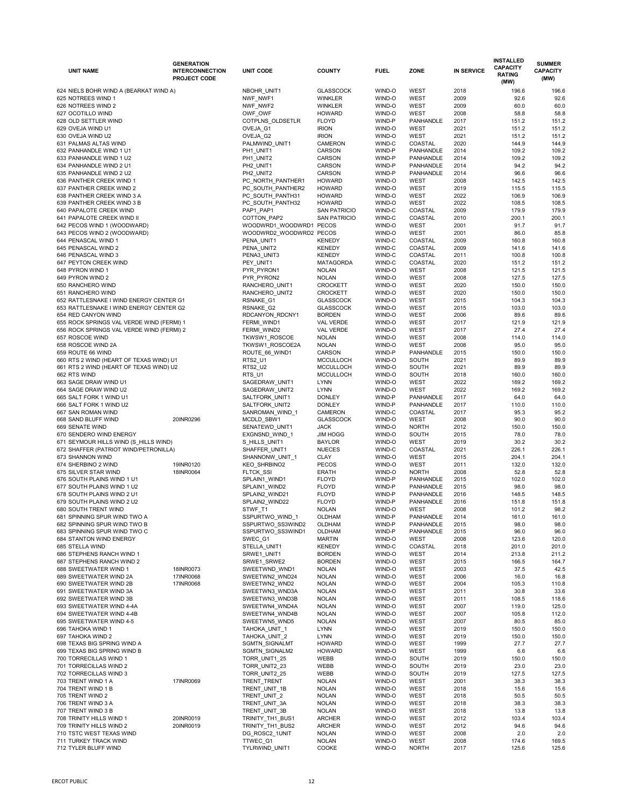| <b>UNIT NAME</b>                                               | <b>GENERATION</b><br><b>INTERCONNECTION</b><br><b>PROJECT CODE</b> | <b>UNIT CODE</b>                 | <b>COUNTY</b>                        | <b>FUEL</b>      | <b>ZONE</b>                | <b>IN SERVICE</b> | <b>INSTALLED</b><br><b>CAPACITY</b><br><b>RATING</b><br>(MW) | <b>SUMMER</b><br><b>CAPACITY</b><br>(MW) |
|----------------------------------------------------------------|--------------------------------------------------------------------|----------------------------------|--------------------------------------|------------------|----------------------------|-------------------|--------------------------------------------------------------|------------------------------------------|
| 624 NIELS BOHR WIND A (BEARKAT WIND A)                         |                                                                    | NBOHR_UNIT1                      | <b>GLASSCOCK</b>                     | WIND-O           | <b>WEST</b>                | 2018              | 196.6                                                        | 196.6                                    |
| 625 NOTREES WIND 1                                             |                                                                    | NWF_NWF1                         | <b>WINKLER</b>                       | WIND-O           | <b>WEST</b>                | 2009              | 92.6                                                         | 92.6                                     |
| 626 NOTREES WIND 2                                             |                                                                    | NWF_NWF2                         | <b>WINKLER</b>                       | WIND-O           | <b>WEST</b>                | 2009              | 60.0                                                         | 60.0                                     |
| 627 OCOTILLO WIND                                              |                                                                    | OWF_OWF                          | <b>HOWARD</b>                        | WIND-O           | <b>WEST</b>                | 2008              | 58.8                                                         | 58.8                                     |
| 628 OLD SETTLER WIND                                           |                                                                    | COTPLNS_OLDSETLR                 | <b>FLOYD</b>                         | WIND-P           | <b>PANHANDLE</b>           | 2017              | 151.2                                                        | 151.2                                    |
| 629 OVEJA WIND U1                                              |                                                                    | OVEJA_G1                         | <b>IRION</b>                         | WIND-O           | <b>WEST</b>                | 2021              | 151.2                                                        | 151.2                                    |
| 630 OVEJA WIND U2                                              |                                                                    | OVEJA G2                         | <b>IRION</b>                         | WIND-O           | <b>WEST</b>                | 2021              | 151.2                                                        | 151.2                                    |
| 631 PALMAS ALTAS WIND                                          |                                                                    | PALMWIND_UNIT1                   | <b>CAMERON</b>                       | WIND-C           | COASTAL                    | 2020              | 144.9                                                        | 144.9                                    |
| 632 PANHANDLE WIND 1 U1                                        |                                                                    | PH1_UNIT1                        | <b>CARSON</b>                        | WIND-P           | <b>PANHANDLE</b>           | 2014              | 109.2                                                        | 109.2                                    |
| 633 PANHANDLE WIND 1 U2                                        |                                                                    | PH1_UNIT2                        | CARSON                               | WIND-P           | <b>PANHANDLE</b>           | 2014              | 109.2                                                        | 109.2                                    |
| 634 PANHANDLE WIND 2 U1                                        |                                                                    | PH2_UNIT1                        | CARSON                               | WIND-P           | <b>PANHANDLE</b>           | 2014              | 94.2                                                         | 94.2                                     |
| 635 PANHANDLE WIND 2 U2                                        |                                                                    | PH2_UNIT2                        | CARSON                               | WIND-P           | <b>PANHANDLE</b>           | 2014              | 96.6                                                         | 96.6                                     |
| 636 PANTHER CREEK WIND 1                                       |                                                                    | PC_NORTH_PANTHER1                | <b>HOWARD</b>                        | WIND-O           | <b>WEST</b>                | 2008              | 142.5                                                        | 142.5                                    |
| 637 PANTHER CREEK WIND 2                                       |                                                                    | PC_SOUTH_PANTHER2                | <b>HOWARD</b>                        | WIND-O           | <b>WEST</b>                | 2019              | 115.5                                                        | 115.5                                    |
| 638 PANTHER CREEK WIND 3 A                                     |                                                                    | PC_SOUTH_PANTH31                 | <b>HOWARD</b>                        | WIND-O           | <b>WEST</b>                | 2022              | 106.9                                                        | 106.9                                    |
| 639 PANTHER CREEK WIND 3 B                                     |                                                                    | PC_SOUTH_PANTH32                 | <b>HOWARD</b>                        | WIND-O           | <b>WEST</b>                | 2022              | 108.5                                                        | 108.5                                    |
| 640 PAPALOTE CREEK WIND                                        |                                                                    | PAP1_PAP1                        | <b>SAN PATRICIO</b>                  | WIND-C           | COASTAL                    | 2009              | 179.9                                                        | 179.9                                    |
| 641 PAPALOTE CREEK WIND II                                     |                                                                    | COTTON_PAP2                      | <b>SAN PATRICIO</b>                  | WIND-C           | COASTAL                    | 2010              | 200.1                                                        | 200.1                                    |
| 642 PECOS WIND 1 (WOODWARD)                                    |                                                                    | WOODWRD1_WOODWRD1_PECOS          |                                      | WIND-O           | <b>WEST</b>                | 2001              | 91.7                                                         | 91.7                                     |
| 643 PECOS WIND 2 (WOODWARD)                                    |                                                                    | WOODWRD2_WOODWRD2_PECOS          |                                      | WIND-O           | <b>WEST</b>                | 2001              | 86.0                                                         | 85.8                                     |
| 644 PENASCAL WIND 1                                            |                                                                    | PENA_UNIT1                       | <b>KENEDY</b>                        | WIND-C           | COASTAL                    | 2009              | 160.8                                                        | 160.8                                    |
| 645 PENASCAL WIND 2                                            |                                                                    | PENA_UNIT2                       | <b>KENEDY</b>                        | WIND-C           | COASTAL                    | 2009              | 141.6                                                        | 141.6                                    |
| 646 PENASCAL WIND 3                                            |                                                                    | PENA3_UNIT3                      | <b>KENEDY</b>                        | WIND-C           | COASTAL                    | 2011              | 100.8                                                        | 100.8                                    |
| 647 PEYTON CREEK WIND                                          |                                                                    | PEY_UNIT1                        | <b>MATAGORDA</b>                     | WIND-C           | COASTAL                    | 2020              | 151.2                                                        | 151.2                                    |
| 648 PYRON WIND 1                                               |                                                                    | PYR PYRON1                       | <b>NOLAN</b>                         | WIND-O           | <b>WEST</b>                | 2008              | 121.5                                                        | 121.5                                    |
| 649 PYRON WIND 2<br>650 RANCHERO WIND                          |                                                                    | PYR_PYRON2                       | <b>NOLAN</b><br><b>CROCKETT</b>      | WIND-O           | <b>WEST</b>                | 2008<br>2020      | 127.5                                                        | 127.5<br>150.0                           |
| 651 RANCHERO WIND                                              |                                                                    | RANCHERO_UNIT1                   | <b>CROCKETT</b>                      | WIND-O<br>WIND-O | <b>WEST</b><br><b>WEST</b> |                   | 150.0                                                        |                                          |
|                                                                |                                                                    | RANCHERO_UNIT2                   |                                      | WIND-O           |                            | 2020<br>2015      | 150.0<br>104.3                                               | 150.0<br>104.3                           |
| 652 RATTLESNAKE I WIND ENERGY CENTER G1                        |                                                                    | RSNAKE_G1                        | <b>GLASSCOCK</b>                     |                  | <b>WEST</b>                |                   |                                                              |                                          |
| 653 RATTLESNAKE I WIND ENERGY CENTER G2<br>654 RED CANYON WIND |                                                                    | RSNAKE_G2                        | <b>GLASSCOCK</b><br><b>BORDEN</b>    | WIND-O<br>WIND-O | <b>WEST</b><br><b>WEST</b> | 2015<br>2006      | 103.0<br>89.6                                                | 103.0<br>89.6                            |
|                                                                |                                                                    | RDCANYON_RDCNY1                  |                                      |                  |                            |                   |                                                              |                                          |
| 655 ROCK SPRINGS VAL VERDE WIND (FERMI) 1                      |                                                                    | FERMI_WIND1                      | <b>VAL VERDE</b><br><b>VAL VERDE</b> | WIND-O<br>WIND-O | <b>WEST</b><br><b>WEST</b> | 2017<br>2017      | 121.9<br>27.4                                                | 121.9<br>27.4                            |
| 656 ROCK SPRINGS VAL VERDE WIND (FERMI) 2<br>657 ROSCOE WIND   |                                                                    | FERMI_WIND2                      | <b>NOLAN</b>                         | WIND-O           | <b>WEST</b>                | 2008              | 114.0                                                        | 114.0                                    |
| 658 ROSCOE WIND 2A                                             |                                                                    | TKWSW1_ROSCOE<br>TKWSW1_ROSCOE2A | <b>NOLAN</b>                         | WIND-O           | <b>WEST</b>                | 2008              | 95.0                                                         | 95.0                                     |
| 659 ROUTE 66 WIND                                              |                                                                    | ROUTE 66 WIND1                   | <b>CARSON</b>                        | WIND-P           | PANHANDLE                  | 2015              | 150.0                                                        | 150.0                                    |
| 660 RTS 2 WIND (HEART OF TEXAS WIND) U1                        |                                                                    | RTS2_U1                          | <b>MCCULLOCH</b>                     | WIND-O           | <b>SOUTH</b>               | 2021              | 89.9                                                         | 89.9                                     |
| 661 RTS 2 WIND (HEART OF TEXAS WIND) U2                        |                                                                    | RTS2_U2                          | <b>MCCULLOCH</b>                     | WIND-O           | <b>SOUTH</b>               | 2021              | 89.9                                                         | 89.9                                     |
| 662 RTS WIND                                                   |                                                                    | RTS_U1                           | <b>MCCULLOCH</b>                     | WIND-O           | <b>SOUTH</b>               | 2018              | 160.0                                                        | 160.0                                    |
| 663 SAGE DRAW WIND U1                                          |                                                                    | SAGEDRAW_UNIT1                   | <b>LYNN</b>                          | WIND-O           | <b>WEST</b>                | 2022              | 169.2                                                        | 169.2                                    |
| 664 SAGE DRAW WIND U2                                          |                                                                    | SAGEDRAW_UNIT2                   | <b>LYNN</b>                          | WIND-O           | <b>WEST</b>                | 2022              | 169.2                                                        | 169.2                                    |
| 665 SALT FORK 1 WIND U1                                        |                                                                    | SALTFORK_UNIT1                   | <b>DONLEY</b>                        | WIND-P           | PANHANDLE                  | 2017              | 64.0                                                         | 64.0                                     |
| 666 SALT FORK 1 WIND U2                                        |                                                                    | SALTFORK_UNIT2                   | <b>DONLEY</b>                        | WIND-P           | PANHANDLE                  | 2017              | 110.0                                                        | 110.0                                    |
| 667 SAN ROMAN WIND                                             |                                                                    | SANROMAN_WIND_1                  | <b>CAMERON</b>                       | WIND-C           | COASTAL                    | 2017              | 95.3                                                         | 95.2                                     |
| 668 SAND BLUFF WIND                                            | 20INR0296                                                          | MCDLD_SBW1                       | <b>GLASSCOCK</b>                     | WIND-O           | <b>WEST</b>                | 2008              | 90.0                                                         | 90.0                                     |
| 669 SENATE WIND                                                |                                                                    | SENATEWD_UNIT1                   | <b>JACK</b>                          | WIND-O           | <b>NORTH</b>               | 2012              | 150.0                                                        | 150.0                                    |
| 670 SENDERO WIND ENERGY                                        |                                                                    | EXGNSND_WIND_1                   | <b>JIM HOGG</b>                      | WIND-O           | SOUTH                      | 2015              | 78.0                                                         | 78.0                                     |
| 671 SEYMOUR HILLS WIND (S_HILLS WIND)                          |                                                                    | S_HILLS_UNIT1                    | <b>BAYLOR</b>                        | WIND-O           | <b>WEST</b>                | 2019              | 30.2                                                         | 30.2                                     |
| 672 SHAFFER (PATRIOT WIND/PETRONILLA)                          |                                                                    | SHAFFER_UNIT1                    | <b>NUECES</b>                        | WIND-C           | COASTAL                    | 2021              | 226.1                                                        | 226.1                                    |
| 673 SHANNON WIND                                               |                                                                    | SHANNONW_UNIT_1                  | <b>CLAY</b>                          | WIND-O           | <b>WEST</b>                | 2015              | 204.1                                                        | 204.1                                    |
| 674 SHERBINO 2 WIND                                            | 19INR0120                                                          | KEO_SHRBINO2                     | <b>PECOS</b>                         | WIND-O           | <b>WEST</b>                | 2011              | 132.0                                                        | 132.0                                    |
| 675 SILVER STAR WIND                                           | 18INR0064                                                          | FLTCK_SSI                        | <b>ERATH</b>                         | WIND-O           | <b>NORTH</b>               | 2008              | 52.8                                                         | 52.8                                     |
| 676 SOUTH PLAINS WIND 1 U1                                     |                                                                    | SPLAIN1_WIND1                    | <b>FLOYD</b>                         | WIND-P           | PANHANDLE                  | 2015              | 102.0                                                        | 102.0                                    |
| 677 SOUTH PLAINS WIND 1 U2                                     |                                                                    | SPLAIN1_WIND2                    | <b>FLOYD</b>                         | WIND-P           | PANHANDLE                  | 2015              | 98.0                                                         | 98.0                                     |
| 678 SOUTH PLAINS WIND 2 U1                                     |                                                                    | SPLAIN2_WIND21                   | <b>FLOYD</b>                         | WIND-P           | PANHANDLE                  | 2016              | 148.5                                                        | 148.5                                    |
| 679 SOUTH PLAINS WIND 2 U2                                     |                                                                    | SPLAIN2_WIND22                   | <b>FLOYD</b>                         | WIND-P           | PANHANDLE                  | 2016              | 151.8                                                        | 151.8                                    |
| 680 SOUTH TRENT WIND                                           |                                                                    | STWF_T1                          | <b>NOLAN</b>                         | WIND-O           | <b>WEST</b>                | 2008              | 101.2                                                        | 98.2                                     |
| 681 SPINNING SPUR WIND TWO A                                   |                                                                    | SSPURTWO_WIND_1                  | OLDHAM                               | WIND-P           | <b>PANHANDLE</b>           | 2014              | 161.0                                                        | 161.0                                    |
| 682 SPINNING SPUR WIND TWO B                                   |                                                                    | SSPURTWO_SS3WIND2                | <b>OLDHAM</b>                        | WIND-P           | PANHANDLE                  | 2015              | 98.0                                                         | 98.0                                     |
| 683 SPINNING SPUR WIND TWO C                                   |                                                                    | SSPURTWO_SS3WIND1                | <b>OLDHAM</b>                        | WIND-P           | PANHANDLE                  | 2015              | 96.0                                                         | 96.0                                     |
| 684 STANTON WIND ENERGY                                        |                                                                    | SWEC_G1                          | <b>MARTIN</b>                        | WIND-O           | WEST                       | 2008              | 123.6                                                        | 120.0                                    |
| 685 STELLA WIND                                                |                                                                    | STELLA_UNIT1                     | <b>KENEDY</b>                        | WIND-C           | COASTAL                    | 2018              | 201.0                                                        | 201.0                                    |
| 686 STEPHENS RANCH WIND 1                                      |                                                                    | SRWE1_UNIT1                      | <b>BORDEN</b>                        | WIND-O           | <b>WEST</b>                | 2014              | 213.8                                                        | 211.2                                    |
| 687 STEPHENS RANCH WIND 2                                      |                                                                    | SRWE1_SRWE2                      | <b>BORDEN</b>                        | WIND-O           | <b>WEST</b>                | 2015              | 166.5                                                        | 164.7                                    |
| 688 SWEETWATER WIND 1                                          | 18INR0073                                                          | SWEETWND_WND1                    | <b>NOLAN</b>                         | WIND-O           | <b>WEST</b>                | 2003              | 37.5                                                         | 42.5                                     |
| 689 SWEETWATER WIND 2A                                         | 17INR0068                                                          | SWEETWN2_WND24                   | <b>NOLAN</b>                         | WIND-O           | <b>WEST</b>                | 2006              | 16.0                                                         | 16.8                                     |
| 690 SWEETWATER WIND 2B                                         | 17INR0068                                                          | SWEETWN2 WND2                    | <b>NOLAN</b>                         | WIND-O           | <b>WEST</b>                | 2004              | 105.3                                                        | 110.8                                    |
| 691 SWEETWATER WIND 3A                                         |                                                                    | SWEETWN3_WND3A                   | <b>NOLAN</b>                         | WIND-O           | <b>WEST</b>                | 2011              | 30.8                                                         | 33.6                                     |
| 692 SWEETWATER WIND 3B                                         |                                                                    | SWEETWN3_WND3B                   | <b>NOLAN</b>                         | WIND-O           | <b>WEST</b>                | 2011              | 108.5                                                        | 118.6                                    |
| 693 SWEETWATER WIND 4-4A                                       |                                                                    | SWEETWN4_WND4A                   | <b>NOLAN</b>                         | WIND-O           | <b>WEST</b>                | 2007              | 119.0                                                        | 125.0                                    |
| 694 SWEETWATER WIND 4-4B                                       |                                                                    | SWEETWN4_WND4B                   | <b>NOLAN</b>                         | WIND-O           | <b>WEST</b>                | 2007              | 105.8                                                        | 112.0                                    |
| 695 SWEETWATER WIND 4-5                                        |                                                                    | SWEETWN5_WND5                    | <b>NOLAN</b>                         | WIND-O           | <b>WEST</b>                | 2007              | 80.5                                                         | 85.0                                     |
| 696 TAHOKA WIND 1                                              |                                                                    | TAHOKA_UNIT_1                    | <b>LYNN</b>                          | WIND-O           | <b>WEST</b>                | 2019              | 150.0                                                        | 150.0                                    |
| 697 TAHOKA WIND 2                                              |                                                                    | TAHOKA_UNIT_2                    | <b>LYNN</b>                          | WIND-O           | <b>WEST</b>                | 2019              | 150.0                                                        | 150.0                                    |
| 698 TEXAS BIG SPRING WIND A<br>699 TEXAS BIG SPRING WIND B     |                                                                    | SGMTN_SIGNALMT<br>SGMTN_SIGNALM2 | <b>HOWARD</b><br><b>HOWARD</b>       | WIND-O<br>WIND-O | <b>WEST</b><br><b>WEST</b> | 1999<br>1999      | 27.7<br>6.6                                                  | 27.7<br>6.6                              |
| 700 TORRECILLAS WIND 1                                         |                                                                    | TORR_UNIT1_25                    | <b>WEBB</b>                          | WIND-O           | <b>SOUTH</b>               | 2019              | 150.0                                                        | 150.0                                    |
| 701 TORRECILLAS WIND 2                                         |                                                                    | TORR_UNIT2_23                    | WEBB                                 | WIND-O           | <b>SOUTH</b>               | 2019              | 23.0                                                         | 23.0                                     |
| 702 TORRECILLAS WIND 3                                         |                                                                    | TORR_UNIT2_25                    | WEBB                                 | WIND-O           | <b>SOUTH</b>               | 2019              | 127.5                                                        | 127.5                                    |
| 703 TRENT WIND 1 A                                             | 17INR0069                                                          | TRENT_TRENT                      | <b>NOLAN</b>                         | WIND-O           | <b>WEST</b>                | 2001              | 38.3                                                         | 38.3                                     |
| 704 TRENT WIND 1 B                                             |                                                                    | TRENT_UNIT_1B                    | <b>NOLAN</b>                         | WIND-O           | <b>WEST</b>                | 2018              | 15.6                                                         | 15.6                                     |
| 705 TRENT WIND 2                                               |                                                                    | TRENT_UNIT_2                     | <b>NOLAN</b>                         | WIND-O           | <b>WEST</b>                | 2018              | 50.5                                                         | 50.5                                     |
| 706 TRENT WIND 3 A                                             |                                                                    | TRENT_UNIT_3A                    | <b>NOLAN</b>                         | WIND-O           | <b>WEST</b>                | 2018              | 38.3                                                         | 38.3                                     |
| 707 TRENT WIND 3 B                                             |                                                                    | TRENT_UNIT_3B                    | <b>NOLAN</b>                         | WIND-O           | <b>WEST</b>                | 2018              | 13.8                                                         | 13.8                                     |
| 708 TRINITY HILLS WIND 1                                       | 20INR0019                                                          | TRINITY_TH1_BUS1                 | <b>ARCHER</b>                        | WIND-O           | <b>WEST</b>                | 2012              | 103.4                                                        | 103.4                                    |
| 709 TRINITY HILLS WIND 2                                       | 20INR0019                                                          | TRINITY_TH1_BUS2                 | <b>ARCHER</b>                        | WIND-O           | <b>WEST</b>                | 2012              | 94.6                                                         | 94.6                                     |
| 710 TSTC WEST TEXAS WIND                                       |                                                                    | DG_ROSC2_1UNIT                   | <b>NOLAN</b>                         | WIND-O           | <b>WEST</b>                | 2008              | 2.0                                                          | 2.0                                      |
| 711 TURKEY TRACK WIND                                          |                                                                    | TTWEC_G1                         | <b>NOLAN</b>                         | WIND-O           | <b>WEST</b>                | 2008              | 174.6                                                        | 169.5                                    |
| 712 TYLER BLUFF WIND                                           |                                                                    | TYLRWIND_UNIT1                   | COOKE                                | WIND-O           | <b>NORTH</b>               | 2017              | 125.6                                                        | 125.6                                    |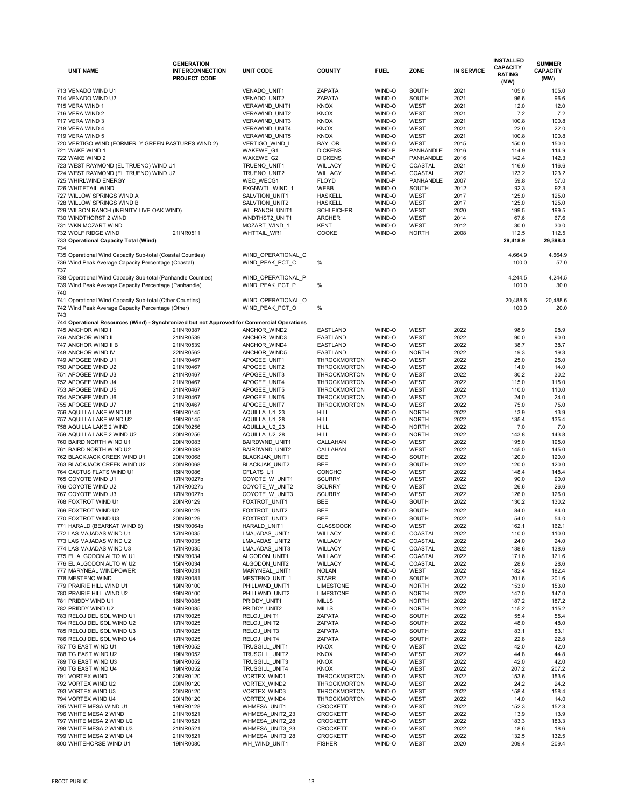| <b>UNIT NAME</b>                                                                                                      | <b>GENERATION</b><br><b>INTERCONNECTION</b><br><b>PROJECT CODE</b> | <b>UNIT CODE</b>                      | <b>COUNTY</b>                  | <b>FUEL</b>      | <b>ZONE</b>                  | <b>IN SERVICE</b> | <b>INSTALLED</b><br><b>CAPACITY</b><br><b>RATING</b> | <b>SUMMER</b><br><b>CAPACITY</b><br>(MW) |
|-----------------------------------------------------------------------------------------------------------------------|--------------------------------------------------------------------|---------------------------------------|--------------------------------|------------------|------------------------------|-------------------|------------------------------------------------------|------------------------------------------|
|                                                                                                                       |                                                                    |                                       |                                |                  |                              |                   | (MW)                                                 |                                          |
| 713 VENADO WIND U1<br>714 VENADO WIND U2                                                                              |                                                                    | VENADO_UNIT1<br><b>VENADO UNIT2</b>   | <b>ZAPATA</b><br><b>ZAPATA</b> | WIND-O<br>WIND-O | <b>SOUTH</b><br><b>SOUTH</b> | 2021<br>2021      | 105.0<br>96.6                                        | 105.0<br>96.6                            |
| 715 VERA WIND 1                                                                                                       |                                                                    | VERAWIND_UNIT1                        | <b>KNOX</b>                    | WIND-O           | <b>WEST</b>                  | 2021              | 12.0                                                 | 12.0                                     |
| 716 VERA WIND 2                                                                                                       |                                                                    | VERAWIND_UNIT2                        | <b>KNOX</b>                    | WIND-O           | <b>WEST</b>                  | 2021              | 7.2                                                  | 7.2                                      |
| 717 VERA WIND 3                                                                                                       |                                                                    | <b>VERAWIND UNIT3</b>                 | <b>KNOX</b>                    | WIND-O           | <b>WEST</b>                  | 2021              | 100.8                                                | 100.8                                    |
| 718 VERA WIND 4                                                                                                       |                                                                    | VERAWIND_UNIT4                        | <b>KNOX</b>                    | WIND-O           | <b>WEST</b>                  | 2021              | 22.0                                                 | 22.0                                     |
| 719 VERA WIND 5                                                                                                       |                                                                    | VERAWIND_UNIT5                        | <b>KNOX</b>                    | WIND-O           | <b>WEST</b>                  | 2021              | 100.8                                                | 100.8                                    |
| 720 VERTIGO WIND (FORMERLY GREEN PASTURES WIND 2)                                                                     |                                                                    | VERTIGO_WIND_I                        | <b>BAYLOR</b>                  | WIND-O           | <b>WEST</b>                  | 2015              | 150.0                                                | 150.0                                    |
| 721 WAKE WIND 1                                                                                                       |                                                                    | WAKEWE_G1                             | <b>DICKENS</b>                 | WIND-P           | <b>PANHANDLE</b>             | 2016              | 114.9                                                | 114.9                                    |
| 722 WAKE WIND 2                                                                                                       |                                                                    | WAKEWE_G2                             | <b>DICKENS</b>                 | WIND-P           | <b>PANHANDLE</b>             | 2016              | 142.4                                                | 142.3                                    |
| 723 WEST RAYMOND (EL TRUENO) WIND U1                                                                                  |                                                                    | TRUENO_UNIT1                          | <b>WILLACY</b>                 | WIND-C           | COASTAL                      | 2021              | 116.6                                                | 116.6                                    |
| 724 WEST RAYMOND (EL TRUENO) WIND U2                                                                                  |                                                                    | TRUENO_UNIT2                          | <b>WILLACY</b>                 | WIND-C           | COASTAL                      | 2021              | 123.2                                                | 123.2                                    |
| 725 WHIRLWIND ENERGY                                                                                                  |                                                                    | WEC WECG1                             | <b>FLOYD</b>                   | WIND-P           | <b>PANHANDLE</b>             | 2007              | 59.8                                                 | 57.0                                     |
| 726 WHITETAIL WIND<br>727 WILLOW SPRINGS WIND A                                                                       |                                                                    | EXGNWTL_WIND_1<br>SALVTION_UNIT1      | <b>WEBB</b><br><b>HASKELL</b>  | WIND-O<br>WIND-O | <b>SOUTH</b><br><b>WEST</b>  | 2012<br>2017      | 92.3<br>125.0                                        | 92.3<br>125.0                            |
| 728 WILLOW SPRINGS WIND B                                                                                             |                                                                    | SALVTION_UNIT2                        | <b>HASKELL</b>                 | WIND-O           | <b>WEST</b>                  | 2017              | 125.0                                                | 125.0                                    |
| 729 WILSON RANCH (INFINITY LIVE OAK WIND)                                                                             |                                                                    | <b>WL_RANCH_UNIT1</b>                 | <b>SCHLEICHER</b>              | WIND-O           | <b>WEST</b>                  | 2020              | 199.5                                                | 199.5                                    |
| 730 WINDTHORST 2 WIND                                                                                                 |                                                                    | WNDTHST2_UNIT1                        | <b>ARCHER</b>                  | WIND-O           | <b>WEST</b>                  | 2014              | 67.6                                                 | 67.6                                     |
| 731 WKN MOZART WIND                                                                                                   |                                                                    | MOZART_WIND_1                         | <b>KENT</b>                    | WIND-O           | <b>WEST</b>                  | 2012              | 30.0                                                 | 30.0                                     |
| 732 WOLF RIDGE WIND                                                                                                   | 21INR0511                                                          | WHTTAIL_WR1                           | <b>COOKE</b>                   | WIND-O           | <b>NORTH</b>                 | 2008              | 112.5                                                | 112.5                                    |
| 733 Operational Capacity Total (Wind)                                                                                 |                                                                    |                                       |                                |                  |                              |                   | 29,418.9                                             | 29,398.0                                 |
| 734                                                                                                                   |                                                                    |                                       |                                |                  |                              |                   |                                                      |                                          |
| 735 Operational Wind Capacity Sub-total (Coastal Counties)                                                            |                                                                    | WIND OPERATIONAL C                    |                                |                  |                              |                   | 4,664.9                                              | 4,664.9                                  |
| 736 Wind Peak Average Capacity Percentage (Coastal)                                                                   |                                                                    | WIND PEAK PCT C                       | %                              |                  |                              |                   | 100.0                                                | 57.0                                     |
| 737                                                                                                                   |                                                                    |                                       |                                |                  |                              |                   |                                                      |                                          |
| 738 Operational Wind Capacity Sub-total (Panhandle Counties)<br>739 Wind Peak Average Capacity Percentage (Panhandle) |                                                                    | WIND OPERATIONAL P<br>WIND PEAK PCT P | %                              |                  |                              |                   | 4,244.5<br>100.0                                     | 4,244.5<br>30.0                          |
| 740                                                                                                                   |                                                                    |                                       |                                |                  |                              |                   |                                                      |                                          |
| 741 Operational Wind Capacity Sub-total (Other Counties)                                                              |                                                                    | WIND OPERATIONAL O                    |                                |                  |                              |                   | 20,488.6                                             | 20,488.6                                 |
| 742 Wind Peak Average Capacity Percentage (Other)                                                                     |                                                                    | WIND_PEAK_PCT_O                       | $\%$                           |                  |                              |                   | 100.0                                                | 20.0                                     |
| 743                                                                                                                   |                                                                    |                                       |                                |                  |                              |                   |                                                      |                                          |
| 744 Operational Resources (Wind) - Synchronized but not Approved for Commercial Operations                            |                                                                    |                                       |                                |                  |                              |                   |                                                      |                                          |
| 745 ANCHOR WIND I                                                                                                     | 21INR0387                                                          | ANCHOR WIND2                          | <b>EASTLAND</b>                | WIND-O           | <b>WEST</b>                  | 2022              | 98.9                                                 | 98.9                                     |
| 746 ANCHOR WIND II                                                                                                    | 21INR0539                                                          | ANCHOR_WIND3                          | <b>EASTLAND</b>                | WIND-O           | <b>WEST</b>                  | 2022              | 90.0                                                 | 90.0                                     |
| 747 ANCHOR WIND II B                                                                                                  | 21INR0539                                                          | ANCHOR_WIND4                          | <b>EASTLAND</b>                | WIND-O           | <b>WEST</b>                  | 2022              | 38.7                                                 | 38.7                                     |
| 748 ANCHOR WIND IV                                                                                                    | 22INR0562                                                          | ANCHOR WIND5                          | <b>EASTLAND</b>                | WIND-O           | <b>NORTH</b>                 | 2022              | 19.3                                                 | 19.3                                     |
| 749 APOGEE WIND U1                                                                                                    | 21INR0467                                                          | APOGEE_UNIT1                          | <b>THROCKMORTON</b>            | WIND-O           | <b>WEST</b>                  | 2022              | 25.0                                                 | 25.0                                     |
| 750 APOGEE WIND U2                                                                                                    | 21INR0467                                                          | APOGEE_UNIT2                          | <b>THROCKMORTON</b>            | WIND-O           | <b>WEST</b>                  | 2022              | 14.0                                                 | 14.0                                     |
| 751 APOGEE WIND U3                                                                                                    | 21INR0467                                                          | APOGEE_UNIT3                          | <b>THROCKMORTON</b>            | WIND-O           | <b>WEST</b>                  | 2022              | 30.2                                                 | 30.2                                     |
| 752 APOGEE WIND U4                                                                                                    | 21INR0467                                                          | APOGEE_UNIT4                          | <b>THROCKMORTON</b>            | WIND-O           | <b>WEST</b>                  | 2022              | 115.0                                                | 115.0                                    |
| 753 APOGEE WIND U5                                                                                                    | 21INR0467                                                          | APOGEE_UNIT5                          | <b>THROCKMORTON</b>            | WIND-O           | <b>WEST</b>                  | 2022              | 110.0                                                | 110.0                                    |
| 754 APOGEE WIND U6                                                                                                    | 21INR0467                                                          | APOGEE_UNIT6                          | <b>THROCKMORTON</b>            | WIND-O           | <b>WEST</b>                  | 2022              | 24.0                                                 | 24.0                                     |
| 755 APOGEE WIND U7<br>756 AQUILLA LAKE WIND U1                                                                        | 21INR0467<br>19INR0145                                             | APOGEE_UNIT7                          | <b>THROCKMORTON</b>            | WIND-O<br>WIND-O | <b>WEST</b><br><b>NORTH</b>  | 2022<br>2022      | 75.0<br>13.9                                         | 75.0<br>13.9                             |
| 757 AQUILLA LAKE WIND U2                                                                                              | 19INR0145                                                          | AQUILLA_U1_23<br>AQUILLA_U1_28        | <b>HILL</b><br><b>HILL</b>     | WIND-O           | <b>NORTH</b>                 | 2022              | 135.4                                                | 135.4                                    |
| 758 AQUILLA LAKE 2 WIND                                                                                               | 20INR0256                                                          | AQUILLA_U2_23                         | <b>HILL</b>                    | WIND-O           | <b>NORTH</b>                 | 2022              | 7.0                                                  | 7.0                                      |
| 759 AQUILLA LAKE 2 WIND U2                                                                                            | 20INR0256                                                          | AQUILLA_U2_28                         | <b>HILL</b>                    | WIND-O           | <b>NORTH</b>                 | 2022              | 143.8                                                | 143.8                                    |
| 760 BAIRD NORTH WIND U1                                                                                               | 20INR0083                                                          | BAIRDWND_UNIT1                        | CALLAHAN                       | WIND-O           | <b>WEST</b>                  | 2022              | 195.0                                                | 195.0                                    |
| 761 BAIRD NORTH WIND U2                                                                                               | 20INR0083                                                          | BAIRDWND_UNIT2                        | CALLAHAN                       | WIND-O           | <b>WEST</b>                  | 2022              | 145.0                                                | 145.0                                    |
| 762 BLACKJACK CREEK WIND U1                                                                                           | 20INR0068                                                          | BLACKJAK_UNIT1                        | <b>BEE</b>                     | WIND-O           | <b>SOUTH</b>                 | 2022              | 120.0                                                | 120.0                                    |
| 763 BLACKJACK CREEK WIND U2                                                                                           | 20INR0068                                                          | BLACKJAK_UNIT2                        | <b>BEE</b>                     | WIND-O           | <b>SOUTH</b>                 | 2022              | 120.0                                                | 120.0                                    |
| 764 CACTUS FLATS WIND U1                                                                                              | 16INR0086                                                          | CFLATS U1                             | <b>CONCHO</b>                  | WIND-O           | <b>WEST</b>                  | 2022              | 148.4                                                | 148.4                                    |
| 765 COYOTE WIND U1                                                                                                    | 17INR0027b                                                         | COYOTE W UNIT1                        | <b>SCURRY</b>                  | WIND-O           | <b>WEST</b>                  | 2022              | 90.0                                                 | 90.0                                     |
| 766 COYOTE WIND U2                                                                                                    | 17INR0027b                                                         | COYOTE W UNIT2                        | <b>SCURRY</b>                  | WIND-O           | <b>WEST</b>                  | 2022              | 26.6                                                 | 26.6                                     |
| 767 COYOTE WIND U3                                                                                                    | 17INR0027b                                                         | COYOTE W UNIT3                        | <b>SCURRY</b><br><b>BEE</b>    | WIND-O<br>WIND-O | <b>WEST</b><br><b>SOUTH</b>  | 2022<br>2022      | 126.0                                                | 126.0                                    |
| 768 FOXTROT WIND U1                                                                                                   | 20INR0129                                                          | FOXTROT_UNIT1                         |                                |                  |                              |                   | 130.2                                                | 130.2                                    |
| 769 FOXTROT WIND U2                                                                                                   | 20INR0129                                                          | FOXTROT_UNIT2                         | <b>BEE</b>                     | WIND-O           | <b>SOUTH</b>                 | 2022              | 84.0                                                 | 84.0                                     |
| 770 FOXTROT WIND U3                                                                                                   | 20INR0129                                                          | FOXTROT_UNIT3                         | <b>BEE</b><br><b>GLASSCOCK</b> | WIND-O<br>WIND-O | <b>SOUTH</b><br><b>WEST</b>  | 2022              | 54.0                                                 | 54.0<br>162.1                            |
| 771 HARALD (BEARKAT WIND B)<br>772 LAS MAJADAS WIND U1                                                                | 15INR0064b<br>17INR0035                                            | HARALD_UNIT1<br>LMAJADAS_UNIT1        | <b>WILLACY</b>                 | WIND-C           | COASTAL                      | 2022<br>2022      | 162.1<br>110.0                                       | 110.0                                    |
| 773 LAS MAJADAS WIND U2                                                                                               | 17INR0035                                                          | LMAJADAS UNIT2                        | <b>WILLACY</b>                 | WIND-C           | COASTAL                      | 2022              | 24.0                                                 | 24.0                                     |
| 774 LAS MAJADAS WIND U3                                                                                               | 17INR0035                                                          | LMAJADAS_UNIT3                        | <b>WILLACY</b>                 | WIND-C           | COASTAL                      | 2022              | 138.6                                                | 138.6                                    |
| 775 EL ALGODON ALTO W U1                                                                                              | 15INR0034                                                          | ALGODON_UNIT1                         | <b>WILLACY</b>                 | WIND-C           | COASTAL                      | 2022              | 171.6                                                | 171.6                                    |
| 776 EL ALGODON ALTO W U2                                                                                              | 15INR0034                                                          | ALGODON_UNIT2                         | <b>WILLACY</b>                 | WIND-C           | COASTAL                      | 2022              | 28.6                                                 | 28.6                                     |
| 777 MARYNEAL WINDPOWER                                                                                                | 18INR0031                                                          | MARYNEAL_UNIT1                        | <b>NOLAN</b>                   | WIND-O           | <b>WEST</b>                  | 2022              | 182.4                                                | 182.4                                    |
| 778 MESTENO WIND                                                                                                      | 16INR0081                                                          | MESTENO UNIT 1                        | <b>STARR</b>                   | WIND-O           | <b>SOUTH</b>                 | 2022              | 201.6                                                | 201.6                                    |
| 779 PRAIRIE HILL WIND U1                                                                                              | 19INR0100                                                          | PHILLWND_UNIT1                        | <b>LIMESTONE</b>               | WIND-O           | <b>NORTH</b>                 | 2022              | 153.0                                                | 153.0                                    |
| 780 PRAIRIE HILL WIND U2                                                                                              | 19INR0100                                                          | PHILLWND_UNIT2                        | <b>LIMESTONE</b>               | WIND-O           | <b>NORTH</b>                 | 2022              | 147.0                                                | 147.0                                    |
| 781 PRIDDY WIND U1                                                                                                    | 16INR0085                                                          | PRIDDY_UNIT1                          | <b>MILLS</b>                   | WIND-O           | <b>NORTH</b>                 | 2022              | 187.2                                                | 187.2                                    |
| 782 PRIDDY WIND U2                                                                                                    | 16INR0085                                                          | PRIDDY_UNIT2                          | <b>MILLS</b>                   | WIND-O           | <b>NORTH</b>                 | 2022              | 115.2                                                | 115.2                                    |
| 783 RELOJ DEL SOL WIND U1                                                                                             | 17INR0025                                                          | RELOJ_UNIT1                           | <b>ZAPATA</b>                  | WIND-O           | <b>SOUTH</b>                 | 2022              | 55.4                                                 | 55.4                                     |
| 784 RELOJ DEL SOL WIND U2<br>785 RELOJ DEL SOL WIND U3                                                                | 17INR0025<br>17INR0025                                             | RELOJ_UNIT2<br>RELOJ_UNIT3            | ZAPATA<br>ZAPATA               | WIND-O<br>WIND-O | SOUTH<br><b>SOUTH</b>        | 2022<br>2022      | 48.0<br>83.1                                         | 48.0<br>83.1                             |
| 786 RELOJ DEL SOL WIND U4                                                                                             | 17INR0025                                                          | RELOJ UNIT4                           | <b>ZAPATA</b>                  | WIND-O           | <b>SOUTH</b>                 | 2022              | 22.8                                                 | 22.8                                     |
| 787 TG EAST WIND U1                                                                                                   | 19INR0052                                                          | TRUSGILL_UNIT1                        | <b>KNOX</b>                    | WIND-O           | <b>WEST</b>                  | 2022              | 42.0                                                 | 42.0                                     |
| 788 TG EAST WIND U2                                                                                                   | 19INR0052                                                          | TRUSGILL_UNIT2                        | <b>KNOX</b>                    | WIND-O           | <b>WEST</b>                  | 2022              | 44.8                                                 | 44.8                                     |
| 789 TG EAST WIND U3                                                                                                   | 19INR0052                                                          | TRUSGILL_UNIT3                        | <b>KNOX</b>                    | WIND-O           | <b>WEST</b>                  | 2022              | 42.0                                                 | 42.0                                     |
| 790 TG EAST WIND U4                                                                                                   | 19INR0052                                                          | TRUSGILL_UNIT4                        | <b>KNOX</b>                    | WIND-O           | <b>WEST</b>                  | 2022              | 207.2                                                | 207.2                                    |
| 791 VORTEX WIND                                                                                                       | 20INR0120                                                          | VORTEX_WIND1                          | <b>THROCKMORTON</b>            | WIND-O           | <b>WEST</b>                  | 2022              | 153.6                                                | 153.6                                    |
| 792 VORTEX WIND U2                                                                                                    | 20INR0120                                                          | VORTEX_WIND2                          | <b>THROCKMORTON</b>            | WIND-O           | <b>WEST</b>                  | 2022              | 24.2                                                 | 24.2                                     |
| 793 VORTEX WIND U3                                                                                                    | 20INR0120                                                          | VORTEX_WIND3                          | <b>THROCKMORTON</b>            | WIND-O           | <b>WEST</b>                  | 2022              | 158.4                                                | 158.4                                    |
| 794 VORTEX WIND U4                                                                                                    | 20INR0120                                                          | VORTEX_WIND4                          | <b>THROCKMORTON</b>            | WIND-O           | <b>WEST</b>                  | 2022              | 14.0                                                 | 14.0                                     |
| 795 WHITE MESA WIND U1                                                                                                | 19INR0128                                                          | WHMESA_UNIT1                          | <b>CROCKETT</b>                | WIND-O           | <b>WEST</b>                  | 2022              | 152.3                                                | 152.3                                    |
| 796 WHITE MESA 2 WIND                                                                                                 | 21INR0521                                                          | WHMESA_UNIT2_23                       | <b>CROCKETT</b>                | WIND-O           | <b>WEST</b>                  | 2022              | 13.9                                                 | 13.9                                     |
| 797 WHITE MESA 2 WIND U2                                                                                              | 21INR0521                                                          | WHMESA_UNIT2_28                       | <b>CROCKETT</b>                | WIND-O           | <b>WEST</b>                  | 2022              | 183.3                                                | 183.3                                    |
| 798 WHITE MESA 2 WIND U3                                                                                              | 21INR0521                                                          | WHMESA UNIT3 23                       | <b>CROCKETT</b>                | WIND-O           | <b>WEST</b>                  | 2022              | 18.6                                                 | 18.6                                     |
| 799 WHITE MESA 2 WIND U4                                                                                              | 21INR0521                                                          | WHMESA_UNIT3_28                       | <b>CROCKETT</b>                | WIND-O           | <b>WEST</b>                  | 2022              | 132.5                                                | 132.5                                    |
| 800 WHITEHORSE WIND U1                                                                                                | 19INR0080                                                          | WH_WIND_UNIT1                         | <b>FISHER</b>                  | WIND-O           | <b>WEST</b>                  | 2020              | 209.4                                                | 209.4                                    |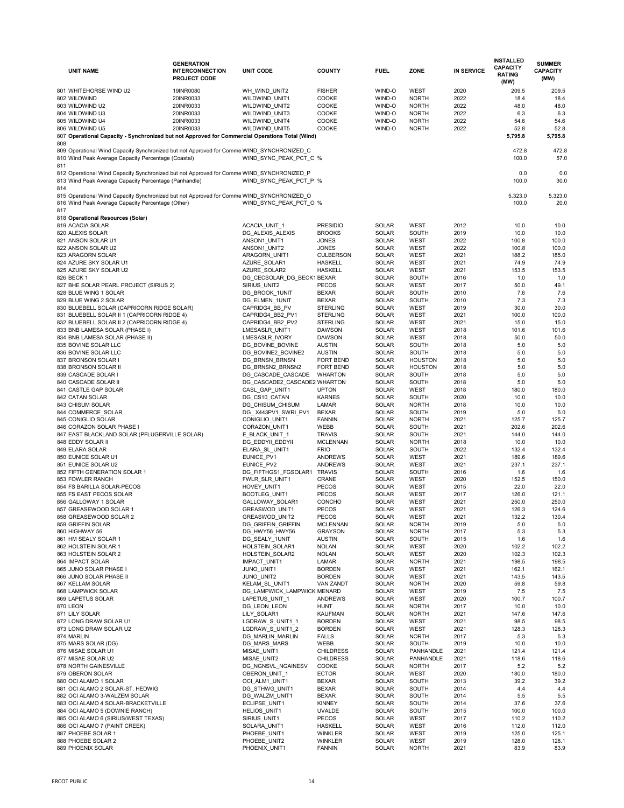|     |                                                                                                                                                  | <b>GENERATION</b>                             |                                      |                                |                              |                                  |                   | <b>INSTALLED</b>                 | <b>SUMMER</b>           |
|-----|--------------------------------------------------------------------------------------------------------------------------------------------------|-----------------------------------------------|--------------------------------------|--------------------------------|------------------------------|----------------------------------|-------------------|----------------------------------|-------------------------|
|     | <b>UNIT NAME</b>                                                                                                                                 | <b>INTERCONNECTION</b><br><b>PROJECT CODE</b> | <b>UNIT CODE</b>                     | <b>COUNTY</b>                  | <b>FUEL</b>                  | <b>ZONE</b>                      | <b>IN SERVICE</b> | <b>CAPACITY</b><br><b>RATING</b> | <b>CAPACITY</b><br>(MW) |
|     |                                                                                                                                                  |                                               |                                      |                                |                              |                                  |                   | (MW)                             |                         |
|     | 801 WHITEHORSE WIND U2                                                                                                                           | 19INR0080                                     | WH_WIND_UNIT2                        | <b>FISHER</b>                  | WIND-O                       | <b>WEST</b>                      | 2020              | 209.5                            | 209.5                   |
|     | 802 WILDWIND                                                                                                                                     | 20INR0033                                     | WILDWIND UNIT1                       | COOKE                          | WIND-O                       | <b>NORTH</b>                     | 2022              | 18.4                             | 18.4                    |
|     | 803 WILDWIND U2                                                                                                                                  | 20INR0033                                     | WILDWIND_UNIT2                       | COOKE                          | WIND-O                       | <b>NORTH</b>                     | 2022              | 48.0                             | 48.0                    |
|     | 804 WILDWIND U3                                                                                                                                  | 20INR0033                                     | <b>WILDWIND UNIT3</b>                | COOKE                          | WIND-O                       | <b>NORTH</b>                     | 2022              | 6.3                              | 6.3                     |
|     | 805 WILDWIND U4                                                                                                                                  | 20INR0033                                     | <b>WILDWIND UNIT4</b>                | COOKE                          | WIND-O                       | <b>NORTH</b>                     | 2022              | 54.6                             | 54.6                    |
|     | 806 WILDWIND U5                                                                                                                                  | 20INR0033                                     | WILDWIND_UNIT5                       | COOKE                          | WIND-O                       | <b>NORTH</b>                     | 2022              | 52.8                             | 52.8                    |
| 808 | 807 Operational Capacity - Synchronized but not Approved for Commercial Operations Total (Wind)                                                  |                                               |                                      |                                |                              |                                  |                   | 5,795.8                          | 5,795.8                 |
|     | 809 Operational Wind Capacity Synchronized but not Approved for Comme WIND_SYNCHRONIZED_C<br>810 Wind Peak Average Capacity Percentage (Coastal) |                                               | WIND SYNC PEAK PCT C %               |                                |                              |                                  |                   | 472.8<br>100.0                   | 472.8<br>57.0           |
| 811 | 812 Operational Wind Capacity Synchronized but not Approved for Comme WIND_SYNCHRONIZED_P                                                        |                                               |                                      |                                |                              |                                  |                   | 0.0                              | 0.0                     |
| 814 | 813 Wind Peak Average Capacity Percentage (Panhandle)                                                                                            |                                               | WIND_SYNC_PEAK_PCT_P %               |                                |                              |                                  |                   | 100.0                            | 30.0                    |
| 817 | 815 Operational Wind Capacity Synchronized but not Approved for Comme WIND_SYNCHRONIZED_O<br>816 Wind Peak Average Capacity Percentage (Other)   |                                               | WIND SYNC PEAK PCT O %               |                                |                              |                                  |                   | 5,323.0<br>100.0                 | 5,323.0<br>20.0         |
|     | 818 Operational Resources (Solar)<br>819 ACACIA SOLAR                                                                                            |                                               | ACACIA_UNIT_1                        | <b>PRESIDIO</b>                | <b>SOLAR</b>                 | <b>WEST</b>                      | 2012              | 10.0                             | 10.0                    |
|     | 820 ALEXIS SOLAR                                                                                                                                 |                                               | DG_ALEXIS_ALEXIS                     | <b>BROOKS</b>                  | <b>SOLAR</b>                 | <b>SOUTH</b>                     | 2019              | 10.0                             | 10.0                    |
|     | 821 ANSON SOLAR U1                                                                                                                               |                                               | ANSON1_UNIT1                         | <b>JONES</b>                   | <b>SOLAR</b>                 | <b>WEST</b>                      | 2022              | 100.8                            | 100.0                   |
|     | 822 ANSON SOLAR U2                                                                                                                               |                                               | ANSON1_UNIT2                         | <b>JONES</b>                   | <b>SOLAR</b>                 | <b>WEST</b>                      | 2022              | 100.8                            | 100.0                   |
|     | 823 ARAGORN SOLAR                                                                                                                                |                                               | ARAGORN_UNIT1                        | <b>CULBERSON</b>               | <b>SOLAR</b>                 | <b>WEST</b>                      | 2021              | 188.2                            | 185.0                   |
|     | 824 AZURE SKY SOLAR U1                                                                                                                           |                                               | AZURE_SOLAR1                         | <b>HASKELL</b>                 | <b>SOLAR</b>                 | <b>WEST</b>                      | 2021              | 74.9                             | 74.9                    |
|     | 825 AZURE SKY SOLAR U2                                                                                                                           |                                               | AZURE_SOLAR2                         | <b>HASKELL</b>                 | <b>SOLAR</b>                 | <b>WEST</b>                      | 2021              | 153.5                            | 153.5                   |
|     | 826 BECK 1                                                                                                                                       |                                               | DG_CECSOLAR_DG_BECK1BEXAR            |                                | <b>SOLAR</b>                 | <b>SOUTH</b>                     | 2016              | 1.0                              | 1.0                     |
|     | 827 BHE SOLAR PEARL PROJECT (SIRIUS 2)                                                                                                           |                                               | SIRIUS_UNIT2                         | <b>PECOS</b>                   | <b>SOLAR</b>                 | <b>WEST</b>                      | 2017              | 50.0                             | 49.1                    |
|     | 828 BLUE WING 1 SOLAR                                                                                                                            |                                               | DG_BROOK_1UNIT                       | <b>BEXAR</b>                   | <b>SOLAR</b>                 | <b>SOUTH</b>                     | 2010              | 7.6                              | 7.6                     |
|     | 829 BLUE WING 2 SOLAR                                                                                                                            |                                               | DG_ELMEN_1UNIT                       | <b>BEXAR</b>                   | <b>SOLAR</b>                 | <b>SOUTH</b>                     | 2010              | 7.3                              | 7.3                     |
|     | 830 BLUEBELL SOLAR (CAPRICORN RIDGE SOLAR)                                                                                                       |                                               | CAPRIDG4_BB_PV                       | <b>STERLING</b>                | <b>SOLAR</b>                 | <b>WEST</b>                      | 2019              | 30.0                             | 30.0                    |
|     | 831 BLUEBELL SOLAR II 1 (CAPRICORN RIDGE 4)                                                                                                      |                                               | CAPRIDG4_BB2_PV1                     | <b>STERLING</b>                | <b>SOLAR</b>                 | <b>WEST</b>                      | 2021              | 100.0                            | 100.0                   |
|     | 832 BLUEBELL SOLAR II 2 (CAPRICORN RIDGE 4)                                                                                                      |                                               | CAPRIDG4_BB2_PV2                     | <b>STERLING</b>                | <b>SOLAR</b>                 | <b>WEST</b>                      | 2021              | 15.0                             | 15.0                    |
|     | 833 BNB LAMESA SOLAR (PHASE I)                                                                                                                   |                                               | LMESASLR_UNIT1                       | <b>DAWSON</b>                  | <b>SOLAR</b>                 | WEST                             | 2018              | 101.6                            | 101.6                   |
|     | 834 BNB LAMESA SOLAR (PHASE II)                                                                                                                  |                                               | LMESASLR_IVORY                       | <b>DAWSON</b>                  | <b>SOLAR</b>                 | WEST                             | 2018              | 50.0                             | 50.0                    |
|     | 835 BOVINE SOLAR LLC                                                                                                                             |                                               | DG_BOVINE_BOVINE                     | <b>AUSTIN</b>                  | <b>SOLAR</b>                 | <b>SOUTH</b>                     | 2018              | 5.0                              | 5.0                     |
|     | 836 BOVINE SOLAR LLC                                                                                                                             |                                               | DG_BOVINE2_BOVINE2                   | <b>AUSTIN</b>                  | <b>SOLAR</b>                 | <b>SOUTH</b>                     | 2018              | $5.0$                            | 5.0                     |
|     | 837 BRONSON SOLAR I<br>838 BRONSON SOLAR II                                                                                                      |                                               | DG_BRNSN_BRNSN<br>DG_BRNSN2_BRNSN2   | FORT BEND<br>FORT BEND         | <b>SOLAR</b><br><b>SOLAR</b> | <b>HOUSTON</b><br><b>HOUSTON</b> | 2018<br>2018      | 5.0<br>5.0                       | 5.0<br>5.0              |
|     | 839 CASCADE SOLAR I                                                                                                                              |                                               | DG_CASCADE_CASCADE                   | <b>WHARTON</b>                 | <b>SOLAR</b>                 | <b>SOUTH</b>                     | 2018              | 5.0                              | $5.0$                   |
|     | 840 CASCADE SOLAR II                                                                                                                             |                                               | DG_CASCADE2_CASCADE2 WHARTON         |                                | <b>SOLAR</b>                 | <b>SOUTH</b>                     | 2018              | 5.0                              | 5.0                     |
|     | 841 CASTLE GAP SOLAR                                                                                                                             |                                               | CASL_GAP_UNIT1                       | <b>UPTON</b>                   | <b>SOLAR</b>                 | WEST                             | 2018              | 180.0                            | 180.0                   |
|     | 842 CATAN SOLAR                                                                                                                                  |                                               | DG_CS10_CATAN                        | <b>KARNES</b>                  | <b>SOLAR</b>                 | <b>SOUTH</b>                     | 2020              | 10.0                             | 10.0                    |
|     | 843 CHISUM SOLAR                                                                                                                                 |                                               | DG_CHISUM_CHISUM                     | LAMAR                          | <b>SOLAR</b>                 | <b>NORTH</b>                     | 2018              | 10.0                             | 10.0                    |
|     | 844 COMMERCE_SOLAR                                                                                                                               |                                               | DG_X443PV1_SWRI_PV1                  | <b>BEXAR</b>                   | <b>SOLAR</b>                 | <b>SOUTH</b>                     | 2019              | 5.0                              | 5.0                     |
|     | 845 CONIGLIO SOLAR                                                                                                                               |                                               | CONIGLIO_UNIT1                       | <b>FANNIN</b>                  | <b>SOLAR</b>                 | <b>NORTH</b>                     | 2021              | 125.7                            | 125.7                   |
|     | 846 CORAZON SOLAR PHASE I                                                                                                                        |                                               | CORAZON_UNIT1                        | WEBB                           | <b>SOLAR</b>                 | <b>SOUTH</b>                     | 2021              | 202.6                            | 202.6                   |
|     | 847 EAST BLACKLAND SOLAR (PFLUGERVILLE SOLAR)                                                                                                    |                                               | E_BLACK_UNIT_1                       | <b>TRAVIS</b>                  | <b>SOLAR</b>                 | <b>SOUTH</b>                     | 2021              | 144.0                            | 144.0                   |
|     | 848 EDDY SOLAR II                                                                                                                                |                                               | DG_EDDYII_EDDYII                     | <b>MCLENNAN</b>                | <b>SOLAR</b>                 | <b>NORTH</b>                     | 2018              | 10.0                             | 10.0                    |
|     | 849 ELARA SOLAR                                                                                                                                  |                                               | ELARA_SL_UNIT1                       | <b>FRIO</b>                    | <b>SOLAR</b>                 | <b>SOUTH</b>                     | 2022              | 132.4                            | 132.4                   |
|     | 850 EUNICE SOLAR U1                                                                                                                              |                                               | EUNICE_PV1                           | <b>ANDREWS</b>                 | <b>SOLAR</b>                 | <b>WEST</b>                      | 2021              | 189.6                            | 189.6                   |
|     | 851 EUNICE SOLAR U2                                                                                                                              |                                               | EUNICE_PV2                           | <b>ANDREWS</b>                 | <b>SOLAR</b>                 | <b>WEST</b>                      | 2021              | 237.1                            | 237.1                   |
|     | 852 FIFTH GENERATION SOLAR 1                                                                                                                     |                                               | DG_FIFTHGS1_FGSOLAR1                 | TRAVIS                         | <b>SOLAR</b>                 | <b>SOUTH</b>                     | 2016              | 1.6                              | 1.6                     |
|     | 853 FOWLER RANCH                                                                                                                                 |                                               | FWLR_SLR_UNIT1                       | <b>CRANE</b>                   | <b>SOLAR</b>                 | <b>WEST</b>                      | 2020              | 152.5                            | 150.0                   |
|     | 854 FS BARILLA SOLAR-PECOS                                                                                                                       |                                               | HOVEY_UNIT1                          | PECOS                          | <b>SOLAR</b>                 | <b>WEST</b>                      | 2015              | 22.0                             | 22.0                    |
|     | 855 FS EAST PECOS SOLAR<br>856 GALLOWAY 1 SOLAR                                                                                                  |                                               | BOOTLEG_UNIT1<br>GALLOWAY_SOLAR1     | <b>PECOS</b><br><b>CONCHO</b>  | <b>SOLAR</b><br><b>SOLAR</b> | <b>WEST</b><br><b>WEST</b>       | 2017<br>2021      | 126.0<br>250.0                   | 121.1<br>250.0          |
|     | 857 GREASEWOOD SOLAR 1                                                                                                                           |                                               | GREASWOD_UNIT1                       | <b>PECOS</b>                   | <b>SOLAR</b>                 | <b>WEST</b>                      | 2021              | 126.3                            | 124.6                   |
|     | 858 GREASEWOOD SOLAR 2                                                                                                                           |                                               | <b>GREASWOD_UNIT2</b>                | <b>PECOS</b>                   | <b>SOLAR</b>                 | <b>WEST</b>                      | 2021              | 132.2                            | 130.4                   |
|     | 859 GRIFFIN SOLAR                                                                                                                                |                                               | DG_GRIFFIN_GRIFFIN                   | <b>MCLENNAN</b>                | <b>SOLAR</b>                 | <b>NORTH</b>                     | 2019              | 5.0                              | 5.0                     |
|     | 860 HIGHWAY 56                                                                                                                                   |                                               | DG_HWY56_HWY56                       | <b>GRAYSON</b>                 | <b>SOLAR</b>                 | <b>NORTH</b>                     | 2017              | 5.3                              | 5.3                     |
|     | 861 HM SEALY SOLAR 1                                                                                                                             |                                               | DG_SEALY_1UNIT                       | <b>AUSTIN</b>                  | <b>SOLAR</b>                 | <b>SOUTH</b>                     | 2015              | 1.6                              | 1.6                     |
|     | 862 HOLSTEIN SOLAR 1                                                                                                                             |                                               | HOLSTEIN_SOLAR1                      | <b>NOLAN</b>                   | <b>SOLAR</b>                 | <b>WEST</b>                      | 2020              | 102.2                            | 102.2                   |
|     | 863 HOLSTEIN SOLAR 2                                                                                                                             |                                               | HOLSTEIN_SOLAR2                      | <b>NOLAN</b>                   | <b>SOLAR</b>                 | WEST                             | 2020              | 102.3                            | 102.3                   |
|     | 864 IMPACT SOLAR                                                                                                                                 |                                               | IMPACT_UNIT1                         | LAMAR                          | <b>SOLAR</b>                 | <b>NORTH</b>                     | 2021              | 198.5                            | 198.5                   |
|     | 865 JUNO SOLAR PHASE I                                                                                                                           |                                               | JUNO_UNIT1                           | <b>BORDEN</b>                  | <b>SOLAR</b>                 | <b>WEST</b>                      | 2021              | 162.1                            | 162.1                   |
|     | 866 JUNO SOLAR PHASE II                                                                                                                          |                                               | JUNO_UNIT2                           | <b>BORDEN</b>                  | <b>SOLAR</b>                 | <b>WEST</b>                      | 2021              | 143.5                            | 143.5                   |
|     | 867 KELLAM SOLAR                                                                                                                                 |                                               | KELAM_SL_UNIT1                       | <b>VAN ZANDT</b>               | <b>SOLAR</b>                 | <b>NORTH</b>                     | 2020              | 59.8                             | 59.8                    |
|     | 868 LAMPWICK SOLAR                                                                                                                               |                                               | DG_LAMPWICK_LAMPWICK MENARD          |                                | <b>SOLAR</b>                 | <b>WEST</b>                      | 2019              | 7.5                              | 7.5                     |
|     | 869 LAPETUS SOLAR                                                                                                                                |                                               | LAPETUS_UNIT_1                       | <b>ANDREWS</b>                 | <b>SOLAR</b>                 | <b>WEST</b>                      | 2020              | 100.7                            | 100.7                   |
|     | 870 LEON                                                                                                                                         |                                               | DG_LEON_LEON                         | <b>HUNT</b>                    | <b>SOLAR</b>                 | <b>NORTH</b>                     | 2017              | 10.0                             | 10.0                    |
|     | 871 LILY SOLAR                                                                                                                                   |                                               | LILY_SOLAR1                          | <b>KAUFMAN</b>                 | <b>SOLAR</b>                 | <b>NORTH</b>                     | 2021              | 147.6                            | 147.6                   |
|     | 872 LONG DRAW SOLAR U1<br>873 LONG DRAW SOLAR U2                                                                                                 |                                               | LGDRAW S UNIT1 1<br>LGDRAW S UNIT1 2 | <b>BORDEN</b><br><b>BORDEN</b> | <b>SOLAR</b><br><b>SOLAR</b> | <b>WEST</b><br><b>WEST</b>       | 2021<br>2021      | 98.5<br>128.3                    | 98.5<br>128.3           |
|     | 874 MARLIN                                                                                                                                       |                                               | DG_MARLIN_MARLIN                     | <b>FALLS</b>                   | <b>SOLAR</b>                 | <b>NORTH</b>                     | 2017              | 5.3                              | 5.3                     |
|     | 875 MARS SOLAR (DG)                                                                                                                              |                                               | DG_MARS_MARS                         | WEBB                           | <b>SOLAR</b>                 | <b>SOUTH</b>                     | 2019              | 10.0                             | 10.0                    |
|     | 876 MISAE SOLAR U1                                                                                                                               |                                               | MISAE_UNIT1                          | <b>CHILDRESS</b>               | <b>SOLAR</b>                 | <b>PANHANDLE</b>                 | 2021              | 121.4                            | 121.4                   |
|     | 877 MISAE SOLAR U2                                                                                                                               |                                               | MISAE_UNIT2                          | <b>CHILDRESS</b>               | <b>SOLAR</b>                 | PANHANDLE                        | 2021              | 118.6                            | 118.6                   |
|     | 878 NORTH GAINESVILLE                                                                                                                            |                                               | DG NGNSVL NGAINESV                   | <b>COOKE</b>                   | <b>SOLAR</b>                 | <b>NORTH</b>                     | 2017              | 5.2                              | $5.2\,$                 |
|     | 879 OBERON SOLAR                                                                                                                                 |                                               | OBERON_UNIT_1                        | <b>ECTOR</b>                   | <b>SOLAR</b>                 | <b>WEST</b>                      | 2020              | 180.0                            | 180.0                   |
|     | 880 OCI ALAMO 1 SOLAR                                                                                                                            |                                               | OCI_ALM1_UNIT1                       | <b>BEXAR</b>                   | <b>SOLAR</b>                 | <b>SOUTH</b>                     | 2013              | 39.2                             | 39.2                    |
|     | 881 OCI ALAMO 2 SOLAR-ST. HEDWIG                                                                                                                 |                                               | DG_STHWG_UNIT1                       | <b>BEXAR</b>                   | <b>SOLAR</b>                 | <b>SOUTH</b>                     | 2014              | 4.4                              | 4.4                     |
|     | 882 OCI ALAMO 3-WALZEM SOLAR                                                                                                                     |                                               | DG_WALZM_UNIT1                       | <b>BEXAR</b>                   | <b>SOLAR</b>                 | <b>SOUTH</b>                     | 2014              | 5.5                              | 5.5                     |
|     | 883 OCI ALAMO 4 SOLAR-BRACKETVILLE                                                                                                               |                                               | ECLIPSE_UNIT1                        | <b>KINNEY</b>                  | <b>SOLAR</b>                 | <b>SOUTH</b>                     | 2014              | 37.6                             | 37.6                    |
|     | 884 OCI ALAMO 5 (DOWNIE RANCH)                                                                                                                   |                                               | HELIOS_UNIT1                         | <b>UVALDE</b>                  | <b>SOLAR</b>                 | <b>SOUTH</b>                     | 2015              | 100.0                            | 100.0                   |
|     | 885 OCI ALAMO 6 (SIRIUS/WEST TEXAS)                                                                                                              |                                               | SIRIUS_UNIT1                         | <b>PECOS</b>                   | <b>SOLAR</b>                 | WEST                             | 2017              | 110.2                            | 110.2                   |
|     | 886 OCI ALAMO 7 (PAINT CREEK)                                                                                                                    |                                               | SOLARA_UNIT1                         | <b>HASKELL</b>                 | <b>SOLAR</b>                 | <b>WEST</b>                      | 2016              | 112.0                            | 112.0                   |
|     | 887 PHOEBE SOLAR 1                                                                                                                               |                                               | PHOEBE_UNIT1                         | <b>WINKLER</b>                 | <b>SOLAR</b>                 | <b>WEST</b>                      | 2019              | 125.0                            | 125.1                   |
|     | 888 PHOEBE SOLAR 2                                                                                                                               |                                               | PHOEBE_UNIT2                         | <b>WINKLER</b>                 | <b>SOLAR</b>                 | <b>WEST</b>                      | 2019              | 128.0                            | 128.1                   |
|     | 889 PHOENIX SOLAR                                                                                                                                |                                               | PHOENIX_UNIT1                        | <b>FANNIN</b>                  | <b>SOLAR</b>                 | <b>NORTH</b>                     | 2021              | 83.9                             | 83.9                    |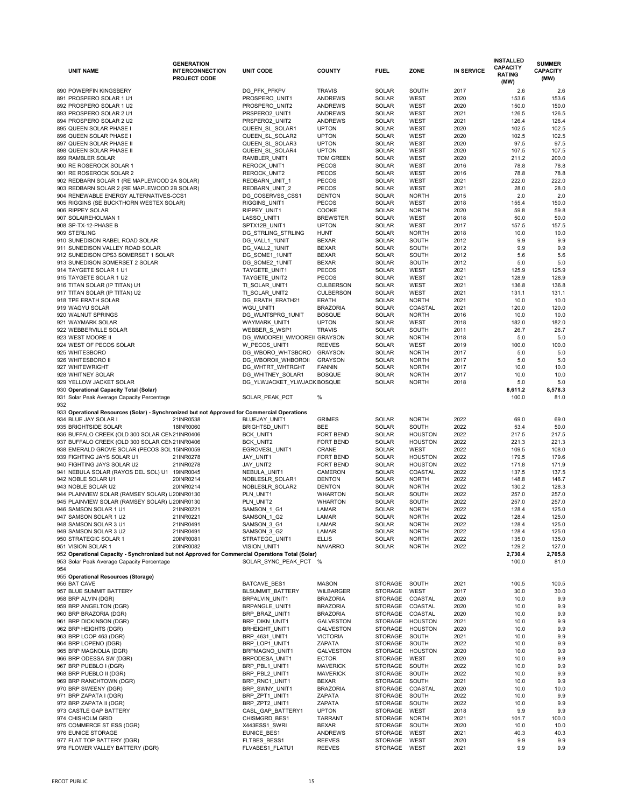|     | <b>UNIT NAME</b>                                                                                 | <b>GENERATION</b><br><b>INTERCONNECTION</b><br><b>PROJECT CODE</b> | <b>UNIT CODE</b>             | <b>COUNTY</b>    | <b>FUEL</b>    | <b>ZONE</b>    | <b>IN SERVICE</b> | <b>INSTALLED</b><br><b>CAPACITY</b><br><b>RATING</b><br>(MW) | <b>SUMMER</b><br><b>CAPACITY</b><br>(MW) |
|-----|--------------------------------------------------------------------------------------------------|--------------------------------------------------------------------|------------------------------|------------------|----------------|----------------|-------------------|--------------------------------------------------------------|------------------------------------------|
|     | 890 POWERFIN KINGSBERY                                                                           |                                                                    | DG_PFK_PFKPV                 | <b>TRAVIS</b>    | <b>SOLAR</b>   | <b>SOUTH</b>   | 2017              | 2.6                                                          | 2.6                                      |
|     | 891 PROSPERO SOLAR 1 U1                                                                          |                                                                    | PROSPERO_UNIT1               | <b>ANDREWS</b>   | <b>SOLAR</b>   | <b>WEST</b>    | 2020              | 153.6                                                        | 153.6                                    |
|     | 892 PROSPERO SOLAR 1 U2                                                                          |                                                                    | PROSPERO_UNIT2               | <b>ANDREWS</b>   | SOLAR          | <b>WEST</b>    | 2020              | 150.0                                                        | 150.0                                    |
|     | 893 PROSPERO SOLAR 2 U1                                                                          |                                                                    | PRSPERO2_UNIT1               | <b>ANDREWS</b>   | SOLAR          | <b>WEST</b>    | 2021              | 126.5                                                        | 126.5                                    |
|     | 894 PROSPERO SOLAR 2 U2                                                                          |                                                                    | PRSPERO2_UNIT2               | <b>ANDREWS</b>   | SOLAR          | <b>WEST</b>    | 2021              | 126.4                                                        | 126.4                                    |
|     | 895 QUEEN SOLAR PHASE I                                                                          |                                                                    | QUEEN_SL_SOLAR1              | <b>UPTON</b>     | SOLAR          | <b>WEST</b>    | 2020              | 102.5                                                        | 102.5                                    |
|     | 896 QUEEN SOLAR PHASE I                                                                          |                                                                    | QUEEN SL SOLAR2              | <b>UPTON</b>     | SOLAR          | <b>WEST</b>    | 2020              | 102.5                                                        | 102.5                                    |
|     | 897 QUEEN SOLAR PHASE II                                                                         |                                                                    | QUEEN SL_SOLAR3              | <b>UPTON</b>     | SOLAR          | <b>WEST</b>    | 2020              | 97.5                                                         | 97.5                                     |
|     | 898 QUEEN SOLAR PHASE II                                                                         |                                                                    | QUEEN SL_SOLAR4              | <b>UPTON</b>     | <b>SOLAR</b>   | <b>WEST</b>    | 2020              | 107.5                                                        | 107.5                                    |
|     | 899 RAMBLER SOLAR                                                                                |                                                                    | RAMBLER_UNIT1                | <b>TOM GREEN</b> | <b>SOLAR</b>   | <b>WEST</b>    | 2020              | 211.2                                                        | 200.0                                    |
|     | 900 RE ROSEROCK SOLAR 1                                                                          |                                                                    | REROCK_UNIT1                 | <b>PECOS</b>     | <b>SOLAR</b>   | <b>WEST</b>    | 2016              | 78.8                                                         | 78.8                                     |
|     | 901 RE ROSEROCK SOLAR 2                                                                          |                                                                    | REROCK_UNIT2                 | <b>PECOS</b>     | <b>SOLAR</b>   | <b>WEST</b>    | 2016              | 78.8                                                         | 78.8                                     |
|     | 902 REDBARN SOLAR 1 (RE MAPLEWOOD 2A SOLAR)                                                      |                                                                    | <b>REDBARN UNIT 1</b>        | <b>PECOS</b>     | <b>SOLAR</b>   | <b>WEST</b>    | 2021              | 222.0                                                        | 222.0                                    |
|     | 903 REDBARN SOLAR 2 (RE MAPLEWOOD 2B SOLAR)                                                      |                                                                    | REDBARN_UNIT_2               | <b>PECOS</b>     | <b>SOLAR</b>   | <b>WEST</b>    | 2021              | 28.0                                                         | 28.0                                     |
|     | 904 RENEWABLE ENERGY ALTERNATIVES-CCS1                                                           |                                                                    | DG_COSERVSS_CSS1             | <b>DENTON</b>    | SOLAR          | <b>NORTH</b>   | 2015              | 2.0                                                          | 2.0                                      |
|     | 905 RIGGINS (SE BUCKTHORN WESTEX SOLAR)                                                          |                                                                    | RIGGINS_UNIT1                | <b>PECOS</b>     | <b>SOLAR</b>   | <b>WEST</b>    | 2018              | 155.4                                                        | 150.0                                    |
|     | 906 RIPPEY SOLAR                                                                                 |                                                                    | RIPPEY_UNIT1                 | COOKE            | <b>SOLAR</b>   | <b>NORTH</b>   | 2020              | 59.8                                                         | 59.8                                     |
|     | 907 SOLAIREHOLMAN 1                                                                              |                                                                    | LASSO_UNIT1                  | <b>BREWSTER</b>  | <b>SOLAR</b>   | <b>WEST</b>    | 2018              | 50.0                                                         | 50.0                                     |
|     | 908 SP-TX-12-PHASE B                                                                             |                                                                    | SPTX12B_UNIT1                | <b>UPTON</b>     | SOLAR          | <b>WEST</b>    | 2017              | 157.5                                                        | 157.5                                    |
|     | 909 STERLING                                                                                     |                                                                    | DG_STRLING_STRLING           | <b>HUNT</b>      | <b>SOLAR</b>   | <b>NORTH</b>   | 2018              | 10.0                                                         | 10.0                                     |
|     | 910 SUNEDISON RABEL ROAD SOLAR                                                                   |                                                                    | DG_VALL1_1UNIT               | <b>BEXAR</b>     | <b>SOLAR</b>   | <b>SOUTH</b>   | 2012              | 9.9                                                          | 9.9                                      |
|     | 911 SUNEDISON VALLEY ROAD SOLAR                                                                  |                                                                    | DG_VALL2_1UNIT               | <b>BEXAR</b>     | SOLAR          | <b>SOUTH</b>   | 2012              | 9.9                                                          | 9.9                                      |
|     | 912 SUNEDISON CPS3 SOMERSET 1 SOLAR                                                              |                                                                    | DG_SOME1_1UNIT               | <b>BEXAR</b>     | <b>SOLAR</b>   | <b>SOUTH</b>   | 2012              | 5.6                                                          | 5.6                                      |
|     | 913 SUNEDISON SOMERSET 2 SOLAR                                                                   |                                                                    | DG_SOME2_1UNIT               | <b>BEXAR</b>     | <b>SOLAR</b>   | <b>SOUTH</b>   | 2012              | 5.0                                                          | 5.0                                      |
|     | 914 TAYGETE SOLAR 1 U1                                                                           |                                                                    | TAYGETE_UNIT1                | <b>PECOS</b>     | <b>SOLAR</b>   | <b>WEST</b>    | 2021              | 125.9                                                        | 125.9                                    |
|     | 915 TAYGETE SOLAR 1 U2                                                                           |                                                                    | TAYGETE_UNIT2                | <b>PECOS</b>     | SOLAR          | <b>WEST</b>    | 2021              | 128.9                                                        | 128.9                                    |
|     | 916 TITAN SOLAR (IP TITAN) U1                                                                    |                                                                    | TI_SOLAR_UNIT1               | <b>CULBERSON</b> | SOLAR          | <b>WEST</b>    | 2021              | 136.8                                                        | 136.8                                    |
|     | 917 TITAN SOLAR (IP TITAN) U2                                                                    |                                                                    | TI_SOLAR_UNIT2               | <b>CULBERSON</b> | <b>SOLAR</b>   | <b>WEST</b>    | 2021              | 131.1                                                        | 131.1                                    |
|     | 918 TPE ERATH SOLAR                                                                              |                                                                    | DG_ERATH_ERATH21             | <b>ERATH</b>     | <b>SOLAR</b>   | <b>NORTH</b>   | 2021              | 10.0                                                         | 10.0                                     |
|     | 919 WAGYU SOLAR                                                                                  |                                                                    | WGU UNIT1                    | <b>BRAZORIA</b>  | <b>SOLAR</b>   | COASTAL        | 2021              | 120.0                                                        | 120.0                                    |
|     | 920 WALNUT SPRINGS                                                                               |                                                                    | DG_WLNTSPRG_1UNIT            | <b>BOSQUE</b>    | SOLAR          | <b>NORTH</b>   | 2016              | 10.0                                                         | 10.0                                     |
|     | 921 WAYMARK SOLAR                                                                                |                                                                    | WAYMARK_UNIT1                | <b>UPTON</b>     | SOLAR          | WEST           | 2018              | 182.0                                                        | 182.0                                    |
|     | 922 WEBBERVILLE SOLAR                                                                            |                                                                    | WEBBER_S_WSP1                | <b>TRAVIS</b>    | SOLAR          | <b>SOUTH</b>   | 2011              | 26.7                                                         | 26.7                                     |
|     | 923 WEST MOORE II                                                                                |                                                                    | DG_WMOOREII_WMOOREII_GRAYSON |                  | <b>SOLAR</b>   | <b>NORTH</b>   | 2018              | 5.0                                                          | 5.0                                      |
|     | 924 WEST OF PECOS SOLAR                                                                          |                                                                    | W_PECOS_UNIT1                | <b>REEVES</b>    | SOLAR          | <b>WEST</b>    | 2019              | 100.0                                                        | 100.0                                    |
|     | 925 WHITESBORO                                                                                   |                                                                    | DG_WBORO_WHTSBORO GRAYSON    |                  | <b>SOLAR</b>   | <b>NORTH</b>   | 2017              | 5.0                                                          | 5.0                                      |
|     | 926 WHITESBORO II                                                                                |                                                                    | DG WBOROII WHBOROII          | <b>GRAYSON</b>   | <b>SOLAR</b>   | <b>NORTH</b>   | 2017              | 5.0                                                          | $5.0\,$                                  |
|     | 927 WHITEWRIGHT                                                                                  |                                                                    | DG_WHTRT_WHTRGHT             | <b>FANNIN</b>    | SOLAR          | <b>NORTH</b>   | 2017              | 10.0                                                         | 10.0                                     |
|     | 928 WHITNEY SOLAR                                                                                |                                                                    | DG_WHITNEY_SOLAR1            | <b>BOSQUE</b>    | SOLAR          | <b>NORTH</b>   | 2017              | 10.0                                                         | 10.0                                     |
|     | 929 YELLOW JACKET SOLAR                                                                          |                                                                    | DG_YLWJACKET_YLWJACKBOSQUE   |                  | <b>SOLAR</b>   | <b>NORTH</b>   | 2018              | 5.0                                                          | 5.0                                      |
|     | 930 Operational Capacity Total (Solar)                                                           |                                                                    |                              |                  |                |                |                   | 8,611.2                                                      | 8,578.3                                  |
|     | 931 Solar Peak Average Capacity Percentage                                                       |                                                                    | SOLAR_PEAK_PCT               | $\%$             |                |                |                   | 100.0                                                        | 81.0                                     |
| 932 |                                                                                                  |                                                                    |                              |                  |                |                |                   |                                                              |                                          |
|     | 933 Operational Resources (Solar) - Synchronized but not Approved for Commercial Operations      |                                                                    |                              |                  |                |                |                   |                                                              |                                          |
|     | 934 BLUE JAY SOLAR I                                                                             | 21INR0538                                                          | BLUEJAY_UNIT1                | <b>GRIMES</b>    | <b>SOLAR</b>   | <b>NORTH</b>   | 2022              | 69.0                                                         | 69.0                                     |
|     | 935 BRIGHTSIDE SOLAR                                                                             | 18INR0060                                                          | BRIGHTSD_UNIT1               | <b>BEE</b>       | <b>SOLAR</b>   | <b>SOUTH</b>   | 2022              | 53.4                                                         | 50.0                                     |
|     | 936 BUFFALO CREEK (OLD 300 SOLAR CEN 21INR0406                                                   |                                                                    | BCK_UNIT1                    | FORT BEND        | <b>SOLAR</b>   | <b>HOUSTON</b> | 2022              | 217.5                                                        | 217.5                                    |
|     | 937 BUFFALO CREEK (OLD 300 SOLAR CEN 21INR0406                                                   |                                                                    | BCK_UNIT2                    | <b>FORT BEND</b> | SOLAR          | <b>HOUSTON</b> | 2022              | 221.3                                                        | 221.3                                    |
|     | 938 EMERALD GROVE SOLAR (PECOS SOL 15INR0059                                                     |                                                                    | EGROVESL_UNIT1               | <b>CRANE</b>     | <b>SOLAR</b>   | <b>WEST</b>    | 2022              | 109.5                                                        | 108.0                                    |
|     | 939 FIGHTING JAYS SOLAR U1                                                                       | 21INR0278                                                          | JAY_UNIT1                    | FORT BEND        | <b>SOLAR</b>   | <b>HOUSTON</b> | 2022              | 179.5                                                        | 179.6                                    |
|     | 940 FIGHTING JAYS SOLAR U2                                                                       | 21INR0278                                                          | JAY_UNIT2                    | FORT BEND        | <b>SOLAR</b>   | <b>HOUSTON</b> | 2022              | 171.8                                                        | 171.9                                    |
|     | 941 NEBULA SOLAR (RAYOS DEL SOL) U1 19INR0045                                                    |                                                                    | NEBULA_UNIT1                 | <b>CAMERON</b>   | <b>SOLAR</b>   | COASTAL        | 2022              | 137.5                                                        | 137.5                                    |
|     | 942 NOBLE SOLAR U1                                                                               | 20INR0214                                                          | NOBLESLR_SOLAR1              | <b>DENTON</b>    | SOLAR          | <b>NORTH</b>   | 2022              | 148.8                                                        | 146.7                                    |
|     | 943 NOBLE SOLAR U2                                                                               | 20INR0214                                                          | NOBLESLR_SOLAR2              | <b>DENTON</b>    | SOLAR          | <b>NORTH</b>   | 2022              | 130.2                                                        | 128.3                                    |
|     | 944 PLAINVIEW SOLAR (RAMSEY SOLAR) U20INR0130                                                    |                                                                    | PLN_UNIT1                    | <b>WHARTON</b>   | <b>SOLAR</b>   | <b>SOUTH</b>   | 2022              | 257.0                                                        | 257.0                                    |
|     | 945 PLAINVIEW SOLAR (RAMSEY SOLAR) U20INR0130                                                    |                                                                    | PLN_UNIT2                    | <b>WHARTON</b>   | SOLAR          | <b>SOUTH</b>   | 2022              | 257.0                                                        | 257.0                                    |
|     | 946 SAMSON SOLAR 1 U1                                                                            | 21INR0221                                                          | SAMSON <sub>_1</sub> _G1     | <b>LAMAR</b>     | SOLAR          | <b>NORTH</b>   | 2022              | 128.4                                                        | 125.0                                    |
|     | 947 SAMSON SOLAR 1 U2                                                                            | 21INR0221                                                          | SAMSON <sub>_1</sub> _G2     | LAMAR            | SOLAR          | <b>NORTH</b>   | 2022              | 128.4                                                        | 125.0                                    |
|     | 948 SAMSON SOLAR 3 U1                                                                            | 21INR0491                                                          | SAMSON <sub>3</sub> G1       | LAMAR            | <b>SOLAR</b>   | <b>NORTH</b>   | 2022              | 128.4                                                        | 125.0                                    |
|     | 949 SAMSON SOLAR 3 U2                                                                            | 21INR0491                                                          | SAMSON_3_G2                  | LAMAR            | SOLAR          | <b>NORTH</b>   | 2022              | 128.4                                                        | 125.0                                    |
|     | 950 STRATEGIC SOLAR 1                                                                            | 20INR0081                                                          | STRATEGC_UNIT1               | <b>ELLIS</b>     | SOLAR          | <b>NORTH</b>   | 2022              | 135.0                                                        | 135.0                                    |
|     | 951 VISION SOLAR 1                                                                               | 20INR0082                                                          | VISION_UNIT1                 | <b>NAVARRO</b>   | <b>SOLAR</b>   | <b>NORTH</b>   | 2022              | 129.2                                                        | 127.0                                    |
|     | 952 Operational Capacity - Synchronized but not Approved for Commercial Operations Total (Solar) |                                                                    |                              |                  |                |                |                   | 2,730.4                                                      | 2,705.8                                  |
|     | 953 Solar Peak Average Capacity Percentage                                                       |                                                                    | SOLAR SYNC PEAK PCT %        |                  |                |                |                   | 100.0                                                        | 81.0                                     |
| 954 |                                                                                                  |                                                                    |                              |                  |                |                |                   |                                                              |                                          |
|     | 955 Operational Resources (Storage)                                                              |                                                                    |                              |                  |                |                |                   |                                                              |                                          |
|     | 956 BAT CAVE                                                                                     |                                                                    | BATCAVE_BES1                 | <b>MASON</b>     | STORAGE        | SOUTH          | 2021              | 100.5                                                        | 100.5                                    |
|     | 957 BLUE SUMMIT BATTERY                                                                          |                                                                    | <b>BLSUMMIT_BATTERY</b>      | <b>WILBARGER</b> | <b>STORAGE</b> | <b>WEST</b>    | 2017              | 30.0                                                         | 30.0                                     |
|     | 958 BRP ALVIN (DGR)                                                                              |                                                                    | BRPALVIN_UNIT1               | <b>BRAZORIA</b>  | <b>STORAGE</b> | COASTAL        | 2020              | 10.0                                                         | 9.9                                      |
|     | 959 BRP ANGELTON (DGR)                                                                           |                                                                    | BRPANGLE_UNIT1               | <b>BRAZORIA</b>  | <b>STORAGE</b> | COASTAL        | 2020              | 10.0                                                         | 9.9                                      |
|     | 960 BRP BRAZORIA (DGR)                                                                           |                                                                    | BRP_BRAZ_UNIT1               | <b>BRAZORIA</b>  | <b>STORAGE</b> | COASTAL        | 2020              | 10.0                                                         | 9.9                                      |
|     | 961 BRP DICKINSON (DGR)                                                                          |                                                                    | BRP_DIKN_UNIT1               | <b>GALVESTON</b> | <b>STORAGE</b> | <b>HOUSTON</b> | 2021              | 10.0                                                         | 9.9                                      |
|     | 962 BRP HEIGHTS (DGR)                                                                            |                                                                    | <b>BRHEIGHT_UNIT1</b>        | <b>GALVESTON</b> | <b>STORAGE</b> | <b>HOUSTON</b> | 2020              | 10.0                                                         | 9.9                                      |
|     | 963 BRP LOOP 463 (DGR)                                                                           |                                                                    | BRP_4631_UNIT1               | <b>VICTORIA</b>  | <b>STORAGE</b> | <b>SOUTH</b>   | 2021              | 10.0                                                         | 9.9                                      |
|     | 964 BRP LOPENO (DGR)                                                                             |                                                                    | BRP_LOP1_UNIT1               | <b>ZAPATA</b>    | <b>STORAGE</b> | SOUTH          | 2022              | 10.0                                                         | 9.9                                      |
|     | 965 BRP MAGNOLIA (DGR)                                                                           |                                                                    | BRPMAGNO_UNIT1               | <b>GALVESTON</b> | <b>STORAGE</b> | <b>HOUSTON</b> | 2020              | 10.0                                                         | 9.9                                      |
|     | 966 BRP ODESSA SW (DGR)                                                                          |                                                                    | BRPODESA_UNIT1               | <b>ECTOR</b>     | <b>STORAGE</b> | <b>WEST</b>    | 2020              | 10.0                                                         | 9.9                                      |
|     | 967 BRP PUEBLO I (DGR)                                                                           |                                                                    | BRP_PBL1_UNIT1               | <b>MAVERICK</b>  | <b>STORAGE</b> | SOUTH          | 2022              | 10.0                                                         | 9.9                                      |
|     |                                                                                                  |                                                                    |                              |                  |                |                |                   |                                                              | 9.9                                      |
|     | 968 BRP PUEBLO II (DGR)                                                                          |                                                                    | BRP_PBL2_UNIT1               | <b>MAVERICK</b>  | <b>STORAGE</b> | <b>SOUTH</b>   | 2022              | 10.0                                                         |                                          |
|     | 969 BRP RANCHTOWN (DGR)                                                                          |                                                                    | BRP_RNC1_UNIT1               | <b>BEXAR</b>     | <b>STORAGE</b> | SOUTH          | 2021              | 10.0                                                         | 9.9                                      |
|     | 970 BRP SWEENY (DGR)                                                                             |                                                                    | BRP SWNY UNIT1               | <b>BRAZORIA</b>  | <b>STORAGE</b> | <b>COASTAL</b> | 2020              | 10.0                                                         | 10.0                                     |
|     | 971 BRP ZAPATA I (DGR)                                                                           |                                                                    | BRP_ZPT1_UNIT1               | <b>ZAPATA</b>    | <b>STORAGE</b> | SOUTH          | 2022              | 10.0                                                         | 9.9                                      |
|     | 972 BRP ZAPATA II (DGR)                                                                          |                                                                    | BRP_ZPT2_UNIT1               | <b>ZAPATA</b>    | <b>STORAGE</b> | <b>SOUTH</b>   | 2022              | 10.0                                                         | 9.9                                      |
|     | 973 CASTLE GAP BATTERY                                                                           |                                                                    | CASL_GAP_BATTERY1            | <b>UPTON</b>     | <b>STORAGE</b> | <b>WEST</b>    | 2018              | 9.9                                                          | 9.9                                      |
|     | 974 CHISHOLM GRID                                                                                |                                                                    | CHISMGRD_BES1                | <b>TARRANT</b>   | <b>STORAGE</b> | <b>NORTH</b>   | 2021              | 101.7                                                        | 100.0                                    |
|     | 975 COMMERCE ST ESS (DGR)                                                                        |                                                                    | X443ESS1_SWRI                | <b>BEXAR</b>     | <b>STORAGE</b> | SOUTH          | 2020              | 10.0                                                         | 10.0                                     |
|     | 976 EUNICE STORAGE                                                                               |                                                                    | EUNICE_BES1                  | <b>ANDREWS</b>   | <b>STORAGE</b> | <b>WEST</b>    | 2021              | 40.3                                                         | 40.3                                     |
|     | 977 FLAT TOP BATTERY (DGR)                                                                       |                                                                    | FLTBES_BESS1                 | <b>REEVES</b>    | <b>STORAGE</b> | <b>WEST</b>    | 2020              | 9.9                                                          | 9.9                                      |
|     | 978 FLOWER VALLEY BATTERY (DGR)                                                                  |                                                                    | FLVABES1_FLATU1              | <b>REEVES</b>    | <b>STORAGE</b> | WEST           | 2021              | 9.9                                                          | 9.9                                      |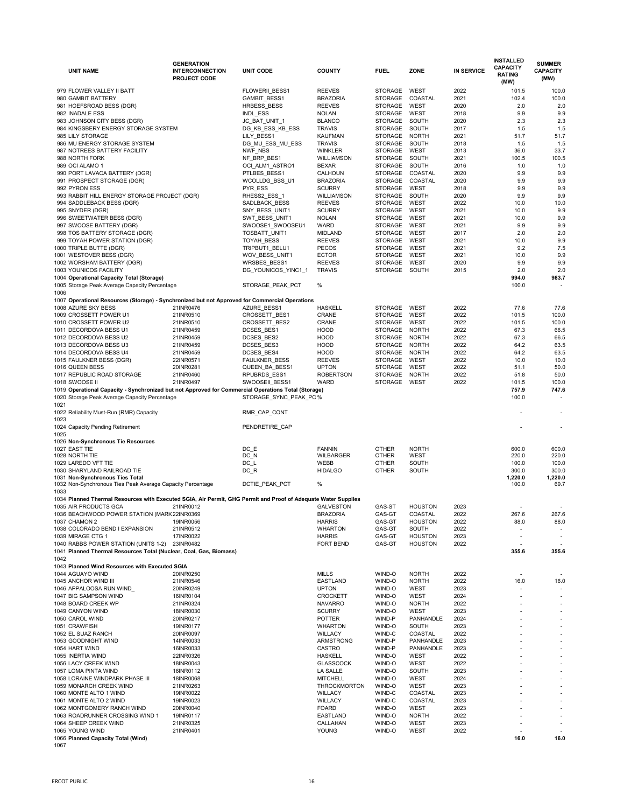| <b>UNIT NAME</b>                                                                                                                                     | <b>GENERATION</b><br><b>INTERCONNECTION</b><br><b>PROJECT CODE</b> | <b>UNIT CODE</b>                | <b>COUNTY</b>                     | <b>FUEL</b>                      | <b>ZONE</b>                      | <b>IN SERVICE</b> | <b>INSTALLED</b><br><b>CAPACITY</b><br><b>RATING</b><br>(MW) | <b>SUMMER</b><br><b>CAPACITY</b><br>(MW) |
|------------------------------------------------------------------------------------------------------------------------------------------------------|--------------------------------------------------------------------|---------------------------------|-----------------------------------|----------------------------------|----------------------------------|-------------------|--------------------------------------------------------------|------------------------------------------|
| 979 FLOWER VALLEY II BATT                                                                                                                            |                                                                    | FLOWERII_BESS1                  | <b>REEVES</b>                     | <b>STORAGE</b>                   | <b>WEST</b>                      | 2022              | 101.5                                                        | 100.0                                    |
| 980 GAMBIT BATTERY                                                                                                                                   |                                                                    | GAMBIT_BESS1                    | <b>BRAZORIA</b>                   | <b>STORAGE</b>                   | <b>COASTAL</b>                   | 2021              | 102.4                                                        | 100.0                                    |
| 981 HOEFSROAD BESS (DGR)                                                                                                                             |                                                                    | HRBESS BESS                     | <b>REEVES</b>                     | <b>STORAGE</b>                   | <b>WEST</b>                      | 2020              | 2.0                                                          | 2.0                                      |
| 982 INADALE ESS                                                                                                                                      |                                                                    | INDL_ESS                        | <b>NOLAN</b>                      | <b>STORAGE</b>                   | <b>WEST</b>                      | 2018              | 9.9                                                          | 9.9                                      |
| 983 JOHNSON CITY BESS (DGR)                                                                                                                          |                                                                    | JC_BAT_UNIT_1                   | <b>BLANCO</b>                     | <b>STORAGE</b>                   | SOUTH                            | 2020              | 2.3                                                          | 2.3                                      |
| 984 KINGSBERY ENERGY STORAGE SYSTEM                                                                                                                  |                                                                    | DG_KB_ESS_KB_ESS                | <b>TRAVIS</b>                     | <b>STORAGE</b>                   | SOUTH                            | 2017              | 1.5                                                          | 1.5                                      |
| 985 LILY STORAGE<br>986 MU ENERGY STORAGE SYSTEM                                                                                                     |                                                                    | LILY_BESS1<br>DG_MU_ESS_MU_ESS  | <b>KAUFMAN</b><br><b>TRAVIS</b>   | <b>STORAGE</b><br><b>STORAGE</b> | <b>NORTH</b><br>SOUTH            | 2021<br>2018      | 51.7<br>1.5                                                  | 51.7<br>1.5                              |
| 987 NOTREES BATTERY FACILITY                                                                                                                         |                                                                    | NWF_NBS                         | <b>WINKLER</b>                    | <b>STORAGE</b>                   | <b>WEST</b>                      | 2013              | 36.0                                                         | 33.7                                     |
| 988 NORTH FORK                                                                                                                                       |                                                                    | NF_BRP_BES1                     | <b>WILLIAMSON</b>                 | <b>STORAGE</b>                   | SOUTH                            | 2021              | 100.5                                                        | 100.5                                    |
| 989 OCI ALAMO 1                                                                                                                                      |                                                                    | OCI_ALM1_ASTRO1                 | <b>BEXAR</b>                      | <b>STORAGE</b>                   | SOUTH                            | 2016              | 1.0                                                          | 1.0                                      |
| 990 PORT LAVACA BATTERY (DGR)                                                                                                                        |                                                                    | PTLBES_BESS1                    | <b>CALHOUN</b>                    | <b>STORAGE</b>                   | COASTAL                          | 2020              | 9.9                                                          | 9.9                                      |
| 991 PROSPECT STORAGE (DGR)                                                                                                                           |                                                                    | WCOLLDG BSS U1                  | <b>BRAZORIA</b>                   | <b>STORAGE</b>                   | COASTAL                          | 2020              | 9.9                                                          | 9.9                                      |
| 992 PYRON ESS                                                                                                                                        |                                                                    | PYR_ESS                         | <b>SCURRY</b>                     | <b>STORAGE</b>                   | <b>WEST</b>                      | 2018              | 9.9                                                          | 9.9                                      |
| 993 RABBIT HILL ENERGY STORAGE PROJECT (DGR)                                                                                                         |                                                                    | RHESS2_ESS_1                    | <b>WILLIAMSON</b>                 | <b>STORAGE</b>                   | SOUTH                            | 2020              | 9.9                                                          | 9.9                                      |
| 994 SADDLEBACK BESS (DGR)<br>995 SNYDER (DGR)                                                                                                        |                                                                    | SADLBACK BESS<br>SNY_BESS_UNIT1 | <b>REEVES</b><br><b>SCURRY</b>    | <b>STORAGE</b><br><b>STORAGE</b> | <b>WEST</b><br><b>WEST</b>       | 2022<br>2021      | 10.0<br>10.0                                                 | 10.0<br>9.9                              |
| 996 SWEETWATER BESS (DGR)                                                                                                                            |                                                                    | SWT_BESS_UNIT1                  | <b>NOLAN</b>                      | <b>STORAGE</b>                   | <b>WEST</b>                      | 2021              | 10.0                                                         | 9.9                                      |
| 997 SWOOSE BATTERY (DGR)                                                                                                                             |                                                                    | SWOOSE1_SWOOSEU1                | <b>WARD</b>                       | <b>STORAGE</b>                   | <b>WEST</b>                      | 2021              | 9.9                                                          | 9.9                                      |
| 998 TOS BATTERY STORAGE (DGR)                                                                                                                        |                                                                    | TOSBATT_UNIT1                   | <b>MIDLAND</b>                    | <b>STORAGE</b>                   | <b>WEST</b>                      | 2017              | 2.0                                                          | 2.0                                      |
| 999 TOYAH POWER STATION (DGR)                                                                                                                        |                                                                    | TOYAH_BESS                      | <b>REEVES</b>                     | <b>STORAGE</b>                   | <b>WEST</b>                      | 2021              | 10.0                                                         | 9.9                                      |
| 1000 TRIPLE BUTTE (DGR)                                                                                                                              |                                                                    | TRIPBUT1_BELU1                  | <b>PECOS</b>                      | <b>STORAGE</b>                   | <b>WEST</b>                      | 2021              | 9.2                                                          | 7.5                                      |
| 1001 WESTOVER BESS (DGR)                                                                                                                             |                                                                    | WOV_BESS_UNIT1                  | <b>ECTOR</b>                      | <b>STORAGE</b>                   | <b>WEST</b>                      | 2021              | 10.0                                                         | 9.9                                      |
| 1002 WORSHAM BATTERY (DGR)                                                                                                                           |                                                                    | <b>WRSBES BESS1</b>             | <b>REEVES</b>                     | <b>STORAGE</b>                   | <b>WEST</b>                      | 2020              | 9.9                                                          | 9.9                                      |
| <b>1003 YOUNICOS FACILITY</b>                                                                                                                        |                                                                    | DG_YOUNICOS_YINC1_1             | <b>TRAVIS</b>                     | <b>STORAGE</b>                   | SOUTH                            | 2015              | 2.0                                                          | 2.0                                      |
| 1004 Operational Capacity Total (Storage)<br>1005 Storage Peak Average Capacity Percentage                                                           |                                                                    | STORAGE_PEAK_PCT                | $\%$                              |                                  |                                  |                   | 994.0<br>100.0                                               | 983.7                                    |
| 1006                                                                                                                                                 |                                                                    |                                 |                                   |                                  |                                  |                   |                                                              |                                          |
| 1007 Operational Resources (Storage) - Synchronized but not Approved for Commercial Operations                                                       |                                                                    |                                 |                                   |                                  |                                  |                   |                                                              |                                          |
| 1008 AZURE SKY BESS                                                                                                                                  | 21INR0476                                                          | AZURE_BESS1                     | <b>HASKELL</b>                    | <b>STORAGE</b>                   | <b>WEST</b>                      | 2022              | 77.6                                                         | 77.6                                     |
| 1009 CROSSETT POWER U1                                                                                                                               | 21INR0510                                                          | CROSSETT_BES1                   | <b>CRANE</b>                      | <b>STORAGE</b>                   | <b>WEST</b>                      | 2022              | 101.5                                                        | 100.0                                    |
| 1010 CROSSETT POWER U2                                                                                                                               | 21INR0510                                                          | CROSSETT_BES2                   | <b>CRANE</b>                      | <b>STORAGE</b>                   | <b>WEST</b>                      | 2022              | 101.5                                                        | 100.0                                    |
| 1011 DECORDOVA BESS U1                                                                                                                               | 21INR0459                                                          | DCSES_BES1                      | <b>HOOD</b>                       | <b>STORAGE</b>                   | <b>NORTH</b>                     | 2022              | 67.3                                                         | 66.5                                     |
| 1012 DECORDOVA BESS U2                                                                                                                               | 21INR0459                                                          | DCSES_BES2                      | <b>HOOD</b><br><b>HOOD</b>        | <b>STORAGE</b><br><b>STORAGE</b> | <b>NORTH</b><br><b>NORTH</b>     | 2022<br>2022      | 67.3<br>64.2                                                 | 66.5<br>63.5                             |
| 1013 DECORDOVA BESS U3<br>1014 DECORDOVA BESS U4                                                                                                     | 21INR0459<br>21INR0459                                             | DCSES_BES3<br>DCSES_BES4        | <b>HOOD</b>                       | <b>STORAGE</b>                   | <b>NORTH</b>                     | 2022              | 64.2                                                         | 63.5                                     |
| 1015 FAULKNER BESS (DGR)                                                                                                                             | 22INR0571                                                          | FAULKNER BESS                   | <b>REEVES</b>                     | <b>STORAGE</b>                   | <b>WEST</b>                      | 2022              | 10.0                                                         | 10.0                                     |
| 1016 QUEEN BESS                                                                                                                                      | 20INR0281                                                          | QUEEN BA BESS1                  | <b>UPTON</b>                      | <b>STORAGE</b>                   | <b>WEST</b>                      | 2022              | 51.1                                                         | 50.0                                     |
| 1017 REPUBLIC ROAD STORAGE                                                                                                                           | 21INR0460                                                          | RPUBRDS_ESS1                    | <b>ROBERTSON</b>                  | <b>STORAGE</b>                   | <b>NORTH</b>                     | 2022              | 51.8                                                         | 50.0                                     |
| 1018 SWOOSE II                                                                                                                                       | 21INR0497                                                          | SWOOSEII BESS1                  | <b>WARD</b>                       | <b>STORAGE</b>                   | <b>WEST</b>                      | 2022              | 101.5                                                        | 100.0                                    |
| 1019 Operational Capacity - Synchronized but not Approved for Commercial Operations Total (Storage)<br>1020 Storage Peak Average Capacity Percentage |                                                                    | STORAGE_SYNC_PEAK_PC%           |                                   |                                  |                                  |                   | 757.9<br>100.0                                               | 747.6                                    |
| 1021<br>1022 Reliability Must-Run (RMR) Capacity<br>1023                                                                                             |                                                                    | RMR_CAP_CONT                    |                                   |                                  |                                  |                   |                                                              |                                          |
| 1024 Capacity Pending Retirement<br>1025                                                                                                             |                                                                    | PENDRETIRE_CAP                  |                                   |                                  |                                  |                   |                                                              |                                          |
| 1026 Non-Synchronous Tie Resources                                                                                                                   |                                                                    |                                 |                                   |                                  |                                  |                   |                                                              |                                          |
| 1027 EAST TIE                                                                                                                                        |                                                                    | DC E                            | <b>FANNIN</b>                     | <b>OTHER</b>                     | <b>NORTH</b>                     |                   | 600.0                                                        | 600.0                                    |
| 1028 NORTH TIE                                                                                                                                       |                                                                    | $DC_N$                          | <b>WILBARGER</b>                  | <b>OTHER</b>                     | <b>WEST</b>                      |                   | 220.0                                                        | 220.0                                    |
| 1029 LAREDO VFT TIE<br>1030 SHARYLAND RAILROAD TIE                                                                                                   |                                                                    | $DC_L$<br>$DC_R$                | <b>WEBB</b><br><b>HIDALGO</b>     | <b>OTHER</b><br><b>OTHER</b>     | <b>SOUTH</b><br>SOUTH            |                   | 100.0<br>300.0                                               | 100.0<br>300.0                           |
| 1031 Non-Synchronous Ties Total                                                                                                                      |                                                                    |                                 |                                   |                                  |                                  |                   | 1,220.0                                                      | 1,220.0                                  |
| 1032 Non-Synchronous Ties Peak Average Capacity Percentage                                                                                           |                                                                    | DCTIE_PEAK_PCT                  | %                                 |                                  |                                  |                   | 100.0                                                        | 69.7                                     |
| 1033                                                                                                                                                 |                                                                    |                                 |                                   |                                  |                                  |                   |                                                              |                                          |
| 1034 Planned Thermal Resources with Executed SGIA, Air Permit, GHG Permit and Proof of Adequate Water Supplies                                       |                                                                    |                                 |                                   |                                  |                                  |                   |                                                              |                                          |
| 1035 AIR PRODUCTS GCA                                                                                                                                | 21INR0012                                                          |                                 | <b>GALVESTON</b>                  | GAS-ST                           | <b>HOUSTON</b>                   | 2023              |                                                              |                                          |
| 1036 BEACHWOOD POWER STATION (MARK 22INR0369<br>1037 CHAMON 2                                                                                        | 19INR0056                                                          |                                 | <b>BRAZORIA</b><br><b>HARRIS</b>  | GAS-GT<br>GAS-GT                 | <b>COASTAL</b><br><b>HOUSTON</b> | 2022<br>2022      | 267.6<br>88.0                                                | 267.6<br>88.0                            |
| 1038 COLORADO BEND I EXPANSION                                                                                                                       | 21INR0512                                                          |                                 | <b>WHARTON</b>                    | GAS-GT                           | <b>SOUTH</b>                     | 2022              |                                                              |                                          |
| 1039 MIRAGE CTG 1                                                                                                                                    | 17INR0022                                                          |                                 | <b>HARRIS</b>                     | GAS-GT                           | <b>HOUSTON</b>                   | 2023              |                                                              |                                          |
| 1040 RABBS POWER STATION (UNITS 1-2)                                                                                                                 | 23INR0482                                                          |                                 | <b>FORT BEND</b>                  | GAS-GT                           | <b>HOUSTON</b>                   | 2022              |                                                              |                                          |
| 1041 Planned Thermal Resources Total (Nuclear, Coal, Gas, Biomass)                                                                                   |                                                                    |                                 |                                   |                                  |                                  |                   | 355.6                                                        | 355.6                                    |
| 1042                                                                                                                                                 |                                                                    |                                 |                                   |                                  |                                  |                   |                                                              |                                          |
| 1043 Planned Wind Resources with Executed SGIA<br>1044 AGUAYO WIND                                                                                   | 20INR0250                                                          |                                 | <b>MILLS</b>                      | WIND-O                           | <b>NORTH</b>                     | 2022              |                                                              |                                          |
| 1045 ANCHOR WIND III                                                                                                                                 | 21INR0546                                                          |                                 | <b>EASTLAND</b>                   | WIND-O                           | <b>NORTH</b>                     | 2022              | 16.0                                                         | 16.0                                     |
| 1046 APPALOOSA RUN WIND                                                                                                                              | 20INR0249                                                          |                                 | <b>UPTON</b>                      | WIND-O                           | <b>WEST</b>                      | 2023              |                                                              |                                          |
| 1047 BIG SAMPSON WIND                                                                                                                                | 16INR0104                                                          |                                 | <b>CROCKETT</b>                   | WIND-O                           | <b>WEST</b>                      | 2024              |                                                              |                                          |
| 1048 BOARD CREEK WP                                                                                                                                  | 21INR0324                                                          |                                 | <b>NAVARRO</b>                    | WIND-O                           | <b>NORTH</b>                     | 2022              |                                                              |                                          |
| 1049 CANYON WIND                                                                                                                                     | 18INR0030                                                          |                                 | <b>SCURRY</b>                     | WIND-O                           | <b>WEST</b>                      | 2023              |                                                              |                                          |
| 1050 CAROL WIND                                                                                                                                      | 20INR0217                                                          |                                 | <b>POTTER</b>                     | WIND-P                           | <b>PANHANDLE</b>                 | 2024              |                                                              |                                          |
| 1051 CRAWFISH                                                                                                                                        | 19INR0177                                                          |                                 | <b>WHARTON</b>                    | WIND-O                           | <b>SOUTH</b>                     | 2023              |                                                              |                                          |
| 1052 EL SUAZ RANCH                                                                                                                                   | 20INR0097                                                          |                                 | <b>WILLACY</b>                    | WIND-C                           | <b>COASTAL</b>                   | 2022              |                                                              |                                          |
| 1053 GOODNIGHT WIND<br>1054 HART WIND                                                                                                                | 14INR0033<br>16INR0033                                             |                                 | <b>ARMSTRONG</b><br><b>CASTRO</b> | WIND-P<br>WIND-P                 | PANHANDLE<br><b>PANHANDLE</b>    | 2023<br>2023      |                                                              |                                          |
| 1055 INERTIA WIND                                                                                                                                    | 22INR0326                                                          |                                 | <b>HASKELL</b>                    | WIND-O                           | <b>WEST</b>                      | 2022              |                                                              |                                          |
| 1056 LACY CREEK WIND                                                                                                                                 | 18INR0043                                                          |                                 | <b>GLASSCOCK</b>                  | WIND-O                           | <b>WEST</b>                      | 2022              |                                                              |                                          |
| 1057 LOMA PINTA WIND                                                                                                                                 | 16INR0112                                                          |                                 | <b>LA SALLE</b>                   | WIND-O                           | <b>SOUTH</b>                     | 2023              |                                                              |                                          |
| 1058 LORAINE WINDPARK PHASE III                                                                                                                      | 18INR0068                                                          |                                 | <b>MITCHELL</b>                   | WIND-O                           | <b>WEST</b>                      | 2024              |                                                              |                                          |
| 1059 MONARCH CREEK WIND                                                                                                                              | 21INR0263                                                          |                                 | <b>THROCKMORTON</b>               | WIND-O                           | <b>WEST</b>                      | 2023              |                                                              |                                          |
| 1060 MONTE ALTO 1 WIND                                                                                                                               | 19INR0022                                                          |                                 | <b>WILLACY</b>                    | WIND-C                           | COASTAL                          | 2023              |                                                              |                                          |
| 1061 MONTE ALTO 2 WIND<br>1062 MONTGOMERY RANCH WIND                                                                                                 | 19INR0023                                                          |                                 | <b>WILLACY</b><br><b>FOARD</b>    | WIND-C<br>WIND-O                 | COASTAL<br><b>WEST</b>           | 2023<br>2023      |                                                              |                                          |
| 1063 ROADRUNNER CROSSING WIND 1                                                                                                                      | 20INR0040<br>19INR0117                                             |                                 | <b>EASTLAND</b>                   | WIND-O                           | <b>NORTH</b>                     | 2022              |                                                              |                                          |
| 1064 SHEEP CREEK WIND                                                                                                                                | 21INR0325                                                          |                                 | CALLAHAN                          | WIND-O                           | <b>WEST</b>                      | 2023              |                                                              |                                          |
| 1065 YOUNG WIND                                                                                                                                      | 21INR0401                                                          |                                 | <b>YOUNG</b>                      | WIND-O                           | <b>WEST</b>                      | 2022              |                                                              |                                          |
| 1066 Planned Capacity Total (Wind)                                                                                                                   |                                                                    |                                 |                                   |                                  |                                  |                   | 16.0                                                         | 16.0                                     |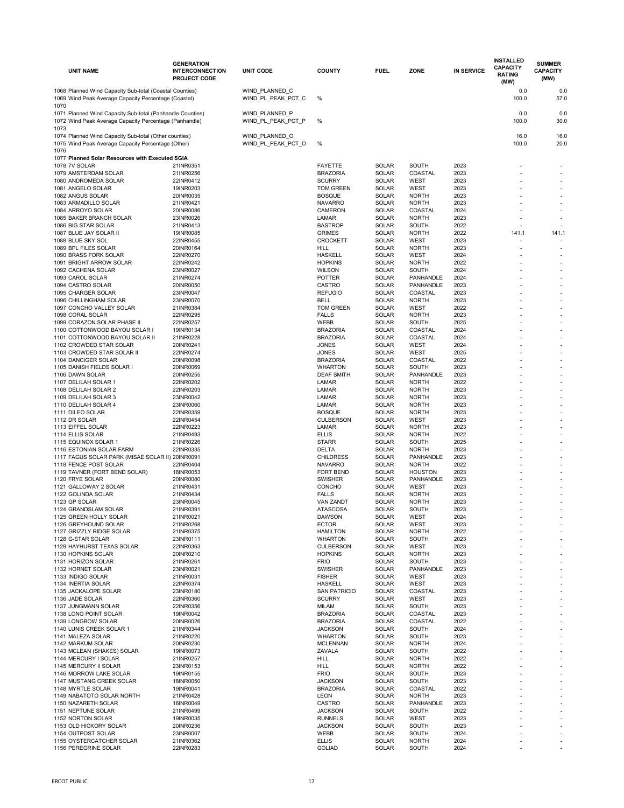|      | <b>UNIT NAME</b>                                                                                                    | <b>GENERATION</b><br><b>INTERCONNECTION</b><br><b>PROJECT CODE</b> | <b>UNIT CODE</b>                     | <b>COUNTY</b>                      | <b>FUEL</b>                  | <b>ZONE</b>                    | <b>IN SERVICE</b> | <b>INSTALLED</b><br><b>CAPACITY</b><br><b>RATING</b><br>(MW) | <b>SUMMER</b><br><b>CAPACITY</b><br>(MW) |
|------|---------------------------------------------------------------------------------------------------------------------|--------------------------------------------------------------------|--------------------------------------|------------------------------------|------------------------------|--------------------------------|-------------------|--------------------------------------------------------------|------------------------------------------|
|      | 1068 Planned Wind Capacity Sub-total (Coastal Counties)<br>1069 Wind Peak Average Capacity Percentage (Coastal)     |                                                                    | WIND PLANNED C<br>WIND PL PEAK PCT C | $\%$                               |                              |                                |                   | 0.0<br>100.0                                                 | 0.0<br>57.0                              |
| 1070 | 1071 Planned Wind Capacity Sub-total (Panhandle Counties)<br>1072 Wind Peak Average Capacity Percentage (Panhandle) |                                                                    | WIND_PLANNED_P<br>WIND PL PEAK PCT P | $\%$                               |                              |                                |                   | 0.0<br>100.0                                                 | 0.0<br>30.0                              |
| 1073 | 1074 Planned Wind Capacity Sub-total (Other counties)<br>1075 Wind Peak Average Capacity Percentage (Other)         |                                                                    | WIND PLANNED O<br>WIND PL PEAK PCT O | %                                  |                              |                                |                   | 16.0<br>100.0                                                | 16.0<br>20.0                             |
| 1076 |                                                                                                                     |                                                                    |                                      |                                    |                              |                                |                   |                                                              |                                          |
|      | 1077 Planned Solar Resources with Executed SGIA                                                                     |                                                                    |                                      |                                    |                              |                                |                   |                                                              |                                          |
|      | 1078 7V SOLAR                                                                                                       | 21INR0351                                                          |                                      | <b>FAYETTE</b>                     | <b>SOLAR</b>                 | <b>SOUTH</b><br><b>COASTAL</b> | 2023              |                                                              |                                          |
|      | 1079 AMSTERDAM SOLAR<br>1080 ANDROMEDA SOLAR                                                                        | 21INR0256<br>22INR0412                                             |                                      | <b>BRAZORIA</b><br><b>SCURRY</b>   | <b>SOLAR</b><br><b>SOLAR</b> | <b>WEST</b>                    | 2023<br>2023      |                                                              |                                          |
|      | 1081 ANGELO SOLAR                                                                                                   | 19INR0203                                                          |                                      | <b>TOM GREEN</b>                   | <b>SOLAR</b>                 | <b>WEST</b>                    | 2023              |                                                              |                                          |
|      | 1082 ANGUS SOLAR                                                                                                    | 20INR0035                                                          |                                      | <b>BOSQUE</b>                      | <b>SOLAR</b>                 | <b>NORTH</b>                   | 2023              |                                                              |                                          |
|      | 1083 ARMADILLO SOLAR                                                                                                | 21INR0421                                                          |                                      | <b>NAVARRO</b>                     | <b>SOLAR</b>                 | <b>NORTH</b>                   | 2023              |                                                              |                                          |
|      | 1084 ARROYO SOLAR                                                                                                   | 20INR0086                                                          |                                      | <b>CAMERON</b>                     | <b>SOLAR</b>                 | COASTAL                        | 2024              |                                                              |                                          |
|      | 1085 BAKER BRANCH SOLAR<br>1086 BIG STAR SOLAR                                                                      | 23INR0026<br>21INR0413                                             |                                      | <b>LAMAR</b><br><b>BASTROP</b>     | <b>SOLAR</b><br><b>SOLAR</b> | <b>NORTH</b><br><b>SOUTH</b>   | 2023<br>2022      |                                                              |                                          |
|      | 1087 BLUE JAY SOLAR II                                                                                              | 19INR0085                                                          |                                      | <b>GRIMES</b>                      | <b>SOLAR</b>                 | <b>NORTH</b>                   | 2022              | 141.1                                                        | 141.1                                    |
|      | 1088 BLUE SKY SOL                                                                                                   | 22INR0455                                                          |                                      | <b>CROCKETT</b>                    | <b>SOLAR</b>                 | <b>WEST</b>                    | 2023              |                                                              |                                          |
|      | 1089 BPL FILES SOLAR                                                                                                | 20INR0164                                                          |                                      | <b>HILL</b>                        | <b>SOLAR</b>                 | <b>NORTH</b>                   | 2023              |                                                              |                                          |
|      | 1090 BRASS FORK SOLAR                                                                                               | 22INR0270                                                          |                                      | <b>HASKELL</b>                     | <b>SOLAR</b>                 | <b>WEST</b>                    | 2024              |                                                              |                                          |
|      | 1091 BRIGHT ARROW SOLAR                                                                                             | 22INR0242                                                          |                                      | <b>HOPKINS</b>                     | <b>SOLAR</b>                 | <b>NORTH</b>                   | 2022<br>2024      |                                                              |                                          |
|      | 1092 CACHENA SOLAR<br>1093 CAROL SOLAR                                                                              | 23INR0027<br>21INR0274                                             |                                      | <b>WILSON</b><br><b>POTTER</b>     | <b>SOLAR</b><br><b>SOLAR</b> | <b>SOUTH</b><br>PANHANDLE      | 2024              |                                                              |                                          |
|      | 1094 CASTRO SOLAR                                                                                                   | 20INR0050                                                          |                                      | <b>CASTRO</b>                      | <b>SOLAR</b>                 | PANHANDLE                      | 2023              |                                                              |                                          |
|      | 1095 CHARGER SOLAR                                                                                                  | 23INR0047                                                          |                                      | <b>REFUGIO</b>                     | <b>SOLAR</b>                 | COASTAL                        | 2023              |                                                              |                                          |
|      | 1096 CHILLINGHAM SOLAR                                                                                              | 23INR0070                                                          |                                      | <b>BELL</b>                        | <b>SOLAR</b>                 | <b>NORTH</b>                   | 2023              |                                                              |                                          |
|      | 1097 CONCHO VALLEY SOLAR                                                                                            | 21INR0384                                                          |                                      | TOM GREEN                          | <b>SOLAR</b>                 | <b>WEST</b>                    | 2022              |                                                              |                                          |
|      | 1098 CORAL SOLAR                                                                                                    | 22INR0295                                                          |                                      | <b>FALLS</b>                       | <b>SOLAR</b>                 | <b>NORTH</b>                   | 2023              |                                                              |                                          |
|      | 1099 CORAZON SOLAR PHASE II                                                                                         | 22INR0257                                                          |                                      | <b>WEBB</b>                        | <b>SOLAR</b>                 | SOUTH                          | 2025              |                                                              |                                          |
|      | 1100 COTTONWOOD BAYOU SOLAR I                                                                                       | 19INR0134                                                          |                                      | <b>BRAZORIA</b>                    | <b>SOLAR</b>                 | COASTAL                        | 2024              |                                                              |                                          |
|      | 1101 COTTONWOOD BAYOU SOLAR II<br>1102 CROWDED STAR SOLAR                                                           | 21INR0228<br>20INR0241                                             |                                      | <b>BRAZORIA</b><br><b>JONES</b>    | <b>SOLAR</b><br><b>SOLAR</b> | COASTAL<br><b>WEST</b>         | 2024<br>2024      |                                                              |                                          |
|      | 1103 CROWDED STAR SOLAR II                                                                                          | 22INR0274                                                          |                                      | <b>JONES</b>                       | <b>SOLAR</b>                 | <b>WEST</b>                    | 2025              |                                                              |                                          |
|      | 1104 DANCIGER SOLAR                                                                                                 | 20INR0098                                                          |                                      | <b>BRAZORIA</b>                    | <b>SOLAR</b>                 | COASTAL                        | 2022              |                                                              |                                          |
|      | 1105 DANISH FIELDS SOLAR I                                                                                          | 20INR0069                                                          |                                      | <b>WHARTON</b>                     | <b>SOLAR</b>                 | SOUTH                          | 2023              |                                                              |                                          |
|      | 1106 DAWN SOLAR                                                                                                     | 20INR0255                                                          |                                      | <b>DEAF SMITH</b>                  | <b>SOLAR</b>                 | PANHANDLE                      | 2023              |                                                              |                                          |
|      | 1107 DELILAH SOLAR 1                                                                                                | 22INR0202                                                          |                                      | <b>LAMAR</b>                       | <b>SOLAR</b>                 | <b>NORTH</b>                   | 2022              |                                                              |                                          |
|      | 1108 DELILAH SOLAR 2                                                                                                | 22INR0203                                                          |                                      | <b>LAMAR</b>                       | <b>SOLAR</b>                 | <b>NORTH</b>                   | 2023              |                                                              |                                          |
|      | 1109 DELILAH SOLAR 3<br>1110 DELILAH SOLAR 4                                                                        | 23INR0042<br>23INR0060                                             |                                      | <b>LAMAR</b><br><b>LAMAR</b>       | <b>SOLAR</b><br><b>SOLAR</b> | <b>NORTH</b><br><b>NORTH</b>   | 2023<br>2023      |                                                              |                                          |
|      | 1111 DILEO SOLAR                                                                                                    | 22INR0359                                                          |                                      | <b>BOSQUE</b>                      | <b>SOLAR</b>                 | <b>NORTH</b>                   | 2023              |                                                              |                                          |
|      | 1112 DR SOLAR                                                                                                       | 22INR0454                                                          |                                      | <b>CULBERSON</b>                   | <b>SOLAR</b>                 | <b>WEST</b>                    | 2023              |                                                              |                                          |
|      | 1113 EIFFEL SOLAR                                                                                                   | 22INR0223                                                          |                                      | <b>LAMAR</b>                       | <b>SOLAR</b>                 | <b>NORTH</b>                   | 2023              |                                                              |                                          |
|      | 1114 ELLIS SOLAR                                                                                                    | 21INR0493                                                          |                                      | <b>ELLIS</b>                       | <b>SOLAR</b>                 | <b>NORTH</b>                   | 2022              |                                                              |                                          |
|      | 1115 EQUINOX SOLAR 1                                                                                                | 21INR0226                                                          |                                      | <b>STARR</b>                       | <b>SOLAR</b>                 | <b>SOUTH</b>                   | 2025              |                                                              |                                          |
|      | 1116 ESTONIAN SOLAR FARM                                                                                            | 22INR0335                                                          |                                      | <b>DELTA</b>                       | <b>SOLAR</b>                 | <b>NORTH</b>                   | 2023              |                                                              |                                          |
|      | 1117 FAGUS SOLAR PARK (MISAE SOLAR II) 20INR0091<br>1118 FENCE POST SOLAR                                           | 22INR0404                                                          |                                      | <b>CHILDRESS</b><br><b>NAVARRO</b> | <b>SOLAR</b><br><b>SOLAR</b> | PANHANDLE<br><b>NORTH</b>      | 2023<br>2022      |                                                              |                                          |
|      | 1119 TAVNER (FORT BEND SOLAR)                                                                                       | 18INR0053                                                          |                                      | FORT BEND                          | <b>SOLAR</b>                 | <b>HOUSTON</b>                 | 2023              |                                                              |                                          |
|      | 1120 FRYE SOLAR                                                                                                     | 20INR0080                                                          |                                      | <b>SWISHER</b>                     | <b>SOLAR</b>                 | PANHANDLE                      | 2023              |                                                              |                                          |
|      | 1121 GALLOWAY 2 SOLAR                                                                                               | 21INR0431                                                          |                                      | <b>CONCHO</b>                      | <b>SOLAR</b>                 | <b>WEST</b>                    | 2023              |                                                              |                                          |
|      | 1122 GOLINDA SOLAR                                                                                                  | 21INR0434                                                          |                                      | <b>FALLS</b>                       | <b>SOLAR</b>                 | <b>NORTH</b>                   | 2023              |                                                              |                                          |
|      | 1123 GP SOLAR                                                                                                       | 23INR0045                                                          |                                      | <b>VAN ZANDT</b>                   | <b>SOLAR</b>                 | <b>NORTH</b>                   | 2023              |                                                              |                                          |
|      | 1124 GRANDSLAM SOLAR<br>1125 GREEN HOLLY SOLAR                                                                      | 21INR0391                                                          |                                      | <b>ATASCOSA</b><br><b>DAWSON</b>   | <b>SOLAR</b>                 | SOUTH                          | 2023              |                                                              |                                          |
|      | 1126 GREYHOUND SOLAR                                                                                                | 21INR0021<br>21INR0268                                             |                                      | <b>ECTOR</b>                       | <b>SOLAR</b><br><b>SOLAR</b> | <b>WEST</b><br><b>WEST</b>     | 2024<br>2023      |                                                              |                                          |
|      | 1127 GRIZZLY RIDGE SOLAR                                                                                            | 21INR0375                                                          |                                      | <b>HAMILTON</b>                    | <b>SOLAR</b>                 | <b>NORTH</b>                   | 2022              |                                                              |                                          |
|      | 1128 G-STAR SOLAR                                                                                                   | 23INR0111                                                          |                                      | <b>WHARTON</b>                     | <b>SOLAR</b>                 | <b>SOUTH</b>                   | 2023              |                                                              |                                          |
|      | 1129 HAYHURST TEXAS SOLAR                                                                                           | 22INR0363                                                          |                                      | <b>CULBERSON</b>                   | <b>SOLAR</b>                 | <b>WEST</b>                    | 2023              |                                                              |                                          |
|      | 1130 HOPKINS SOLAR                                                                                                  | 20INR0210                                                          |                                      | <b>HOPKINS</b>                     | SOLAR                        | <b>NORTH</b>                   | 2023              |                                                              |                                          |
|      | 1131 HORIZON SOLAR                                                                                                  | 21INR0261                                                          |                                      | <b>FRIO</b>                        | <b>SOLAR</b>                 | SOUTH                          | 2023              |                                                              |                                          |
|      | 1132 HORNET SOLAR                                                                                                   | 23INR0021<br>21INR0031                                             |                                      | <b>SWISHER</b><br><b>FISHER</b>    | <b>SOLAR</b><br><b>SOLAR</b> | PANHANDLE<br><b>WEST</b>       | 2023              |                                                              |                                          |
|      | 1133 INDIGO SOLAR<br>1134 INERTIA SOLAR                                                                             | 22INR0374                                                          |                                      | <b>HASKELL</b>                     | <b>SOLAR</b>                 | <b>WEST</b>                    | 2023<br>2023      |                                                              |                                          |
|      | 1135 JACKALOPE SOLAR                                                                                                | 23INR0180                                                          |                                      | <b>SAN PATRICIO</b>                | <b>SOLAR</b>                 | COASTAL                        | 2023              |                                                              |                                          |
|      | 1136 JADE SOLAR                                                                                                     | 22INR0360                                                          |                                      | <b>SCURRY</b>                      | <b>SOLAR</b>                 | <b>WEST</b>                    | 2023              |                                                              |                                          |
|      | 1137 JUNGMANN SOLAR                                                                                                 | 22INR0356                                                          |                                      | <b>MILAM</b>                       | <b>SOLAR</b>                 | <b>SOUTH</b>                   | 2023              |                                                              |                                          |
|      | 1138 LONG POINT SOLAR                                                                                               | 19INR0042                                                          |                                      | <b>BRAZORIA</b>                    | <b>SOLAR</b>                 | COASTAL                        | 2023              |                                                              |                                          |
|      | 1139 LONGBOW SOLAR                                                                                                  | 20INR0026                                                          |                                      | <b>BRAZORIA</b>                    | <b>SOLAR</b>                 | <b>COASTAL</b>                 | 2022              |                                                              |                                          |
|      | 1140 LUNIS CREEK SOLAR 1                                                                                            | 21INR0344                                                          |                                      | <b>JACKSON</b>                     | <b>SOLAR</b>                 | <b>SOUTH</b>                   | 2024              |                                                              |                                          |
|      | 1141 MALEZA SOLAR<br>1142 MARKUM SOLAR                                                                              | 21INR0220<br>20INR0230                                             |                                      | <b>WHARTON</b><br><b>MCLENNAN</b>  | <b>SOLAR</b><br><b>SOLAR</b> | SOUTH<br><b>NORTH</b>          | 2023<br>2024      |                                                              |                                          |
|      | 1143 MCLEAN (SHAKES) SOLAR                                                                                          | 19INR0073                                                          |                                      | <b>ZAVALA</b>                      | <b>SOLAR</b>                 | <b>SOUTH</b>                   | 2022              |                                                              |                                          |
|      | 1144 MERCURY I SOLAR                                                                                                | 21INR0257                                                          |                                      | <b>HILL</b>                        | <b>SOLAR</b>                 | <b>NORTH</b>                   | 2022              |                                                              |                                          |
|      | 1145 MERCURY II SOLAR                                                                                               | 23INR0153                                                          |                                      | <b>HILL</b>                        | <b>SOLAR</b>                 | <b>NORTH</b>                   | 2022              |                                                              |                                          |
|      | 1146 MORROW LAKE SOLAR                                                                                              | 19INR0155                                                          |                                      | <b>FRIO</b>                        | <b>SOLAR</b>                 | <b>SOUTH</b>                   | 2023              |                                                              |                                          |
|      | 1147 MUSTANG CREEK SOLAR                                                                                            | 18INR0050                                                          |                                      | <b>JACKSON</b>                     | <b>SOLAR</b>                 | <b>SOUTH</b>                   | 2023              |                                                              |                                          |
|      | 1148 MYRTLE SOLAR                                                                                                   | 19INR0041                                                          |                                      | <b>BRAZORIA</b>                    | <b>SOLAR</b>                 | COASTAL                        | 2022              |                                                              |                                          |
|      | 1149 NABATOTO SOLAR NORTH                                                                                           | 21INR0428                                                          |                                      | <b>LEON</b>                        | <b>SOLAR</b>                 | <b>NORTH</b>                   | 2023              |                                                              |                                          |
|      | 1150 NAZARETH SOLAR<br>1151 NEPTUNE SOLAR                                                                           | 16INR0049                                                          |                                      | <b>CASTRO</b><br><b>JACKSON</b>    | <b>SOLAR</b>                 | PANHANDLE                      | 2023              |                                                              |                                          |
|      | 1152 NORTON SOLAR                                                                                                   | 21INR0499<br>19INR0035                                             |                                      | <b>RUNNELS</b>                     | <b>SOLAR</b><br><b>SOLAR</b> | <b>SOUTH</b><br><b>WEST</b>    | 2022<br>2023      |                                                              |                                          |
|      | 1153 OLD HICKORY SOLAR                                                                                              | 20INR0236                                                          |                                      | <b>JACKSON</b>                     | <b>SOLAR</b>                 | SOUTH                          | 2023              |                                                              |                                          |
|      | 1154 OUTPOST SOLAR                                                                                                  | 23INR0007                                                          |                                      | WEBB                               | <b>SOLAR</b>                 | SOUTH                          | 2024              |                                                              |                                          |
|      | 1155 OYSTERCATCHER SOLAR                                                                                            | 21INR0362                                                          |                                      | <b>ELLIS</b>                       | <b>SOLAR</b>                 | <b>NORTH</b>                   | 2024              |                                                              |                                          |
|      | 1156 PEREGRINE SOLAR                                                                                                | 22INR0283                                                          |                                      | <b>GOLIAD</b>                      | <b>SOLAR</b>                 | <b>SOUTH</b>                   | 2024              |                                                              |                                          |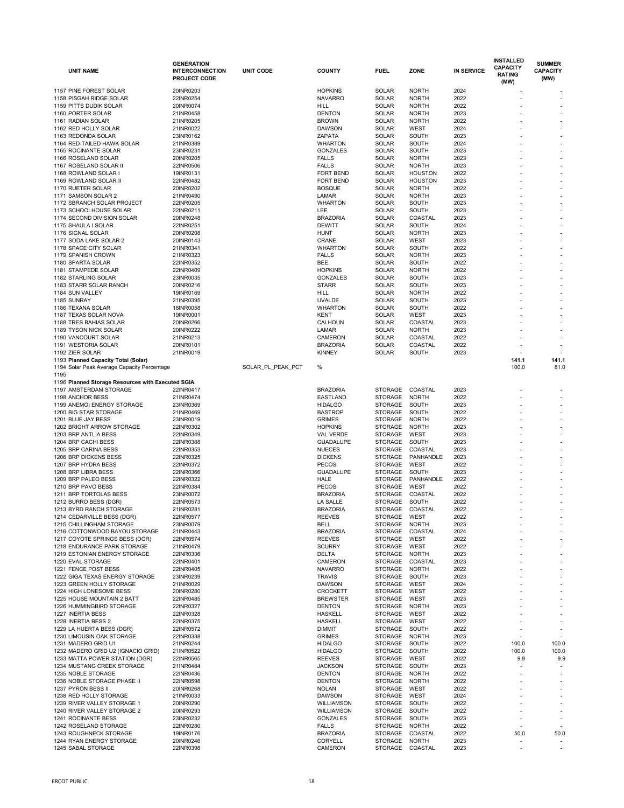| <b>UNIT NAME</b>                                              | <b>GENERATION</b><br><b>INTERCONNECTION</b><br><b>PROJECT CODE</b> | <b>UNIT CODE</b>  | <b>COUNTY</b>                     | <b>FUEL</b>                      | <b>ZONE</b>                  | <b>IN SERVICE</b> | <b>INSTALLED</b><br><b>CAPACITY</b><br><b>RATING</b> | <b>SUMMER</b><br><b>CAPACITY</b><br>(MW) |
|---------------------------------------------------------------|--------------------------------------------------------------------|-------------------|-----------------------------------|----------------------------------|------------------------------|-------------------|------------------------------------------------------|------------------------------------------|
|                                                               |                                                                    |                   |                                   |                                  |                              |                   | (MW)                                                 |                                          |
| 1157 PINE FOREST SOLAR                                        | 20INR0203                                                          |                   | <b>HOPKINS</b>                    | <b>SOLAR</b>                     | <b>NORTH</b>                 | 2024              |                                                      |                                          |
| 1158 PISGAH RIDGE SOLAR                                       | 22INR0254                                                          |                   | <b>NAVARRO</b>                    | <b>SOLAR</b>                     | <b>NORTH</b>                 | 2022              |                                                      |                                          |
| 1159 PITTS DUDIK SOLAR                                        | 20INR0074                                                          |                   | <b>HILL</b>                       | <b>SOLAR</b>                     | <b>NORTH</b>                 | 2022              |                                                      |                                          |
| 1160 PORTER SOLAR                                             | 21INR0458                                                          |                   | <b>DENTON</b>                     | <b>SOLAR</b>                     | <b>NORTH</b>                 | 2023              |                                                      |                                          |
| 1161 RADIAN SOLAR                                             | 21INR0205                                                          |                   | <b>BROWN</b>                      | <b>SOLAR</b>                     | <b>NORTH</b>                 | 2022              |                                                      |                                          |
| 1162 RED HOLLY SOLAR                                          | 21INR0022                                                          |                   | <b>DAWSON</b>                     | <b>SOLAR</b>                     | <b>WEST</b>                  | 2024              |                                                      |                                          |
| 1163 REDONDA SOLAR                                            | 23INR0162                                                          |                   | <b>ZAPATA</b>                     | <b>SOLAR</b>                     | <b>SOUTH</b>                 | 2023              |                                                      |                                          |
| 1164 RED-TAILED HAWK SOLAR                                    | 21INR0389                                                          |                   | <b>WHARTON</b>                    | <b>SOLAR</b>                     | <b>SOUTH</b>                 | 2024              |                                                      |                                          |
| 1165 ROCINANTE SOLAR                                          | 23INR0231                                                          |                   | <b>GONZALES</b>                   | <b>SOLAR</b>                     | <b>SOUTH</b>                 | 2023              |                                                      |                                          |
| 1166 ROSELAND SOLAR<br>1167 ROSELAND SOLAR II                 | 20INR0205<br>22INR0506                                             |                   | <b>FALLS</b><br><b>FALLS</b>      | <b>SOLAR</b><br><b>SOLAR</b>     | <b>NORTH</b><br><b>NORTH</b> | 2023<br>2023      |                                                      |                                          |
| 1168 ROWLAND SOLAR I                                          | 19INR0131                                                          |                   | <b>FORT BEND</b>                  | <b>SOLAR</b>                     | <b>HOUSTON</b>               | 2022              |                                                      |                                          |
| 1169 ROWLAND SOLAR II                                         | 22INR0482                                                          |                   | <b>FORT BEND</b>                  | <b>SOLAR</b>                     | <b>HOUSTON</b>               | 2023              |                                                      |                                          |
| 1170 RUETER SOLAR                                             | 20INR0202                                                          |                   | <b>BOSQUE</b>                     | <b>SOLAR</b>                     | <b>NORTH</b>                 | 2022              |                                                      |                                          |
| 1171 SAMSON SOLAR 2                                           | 21INR0490                                                          |                   | <b>LAMAR</b>                      | <b>SOLAR</b>                     | <b>NORTH</b>                 | 2023              |                                                      |                                          |
| 1172 SBRANCH SOLAR PROJECT                                    | 22INR0205                                                          |                   | <b>WHARTON</b>                    | <b>SOLAR</b>                     | <b>SOUTH</b>                 | 2023              |                                                      |                                          |
| 1173 SCHOOLHOUSE SOLAR                                        | 22INR0211                                                          |                   | LEE                               | <b>SOLAR</b>                     | <b>SOUTH</b>                 | 2023              |                                                      |                                          |
| 1174 SECOND DIVISION SOLAR                                    | 20INR0248                                                          |                   | <b>BRAZORIA</b>                   | <b>SOLAR</b>                     | COASTAL                      | 2023              |                                                      |                                          |
| 1175 SHAULA I SOLAR                                           | 22INR0251                                                          |                   | <b>DEWITT</b>                     | <b>SOLAR</b>                     | <b>SOUTH</b>                 | 2024              |                                                      |                                          |
| 1176 SIGNAL SOLAR                                             | 20INR0208                                                          |                   | <b>HUNT</b>                       | <b>SOLAR</b>                     | <b>NORTH</b>                 | 2023              |                                                      |                                          |
| 1177 SODA LAKE SOLAR 2                                        | 20INR0143                                                          |                   | CRANE                             | <b>SOLAR</b>                     | <b>WEST</b>                  | 2023              |                                                      |                                          |
| 1178 SPACE CITY SOLAR                                         | 21INR0341                                                          |                   | <b>WHARTON</b>                    | <b>SOLAR</b>                     | <b>SOUTH</b>                 | 2022              |                                                      |                                          |
| 1179 SPANISH CROWN                                            | 21INR0323                                                          |                   | <b>FALLS</b>                      | <b>SOLAR</b>                     | <b>NORTH</b>                 | 2023              |                                                      |                                          |
| 1180 SPARTA SOLAR                                             | 22INR0352                                                          |                   | <b>BEE</b>                        | <b>SOLAR</b>                     | <b>SOUTH</b>                 | 2022              |                                                      |                                          |
| 1181 STAMPEDE SOLAR                                           | 22INR0409                                                          |                   | <b>HOPKINS</b>                    | <b>SOLAR</b>                     | <b>NORTH</b>                 | 2022              |                                                      |                                          |
| 1182 STARLING SOLAR                                           | 23INR0035                                                          |                   | <b>GONZALES</b>                   | <b>SOLAR</b>                     | <b>SOUTH</b>                 | 2023              |                                                      |                                          |
| 1183 STARR SOLAR RANCH                                        | 20INR0216                                                          |                   | <b>STARR</b>                      | <b>SOLAR</b>                     | <b>SOUTH</b>                 | 2023              |                                                      |                                          |
| 1184 SUN VALLEY                                               | 19INR0169                                                          |                   | <b>HILL</b>                       | <b>SOLAR</b>                     | <b>NORTH</b>                 | 2022              |                                                      |                                          |
| 1185 SUNRAY                                                   | 21INR0395                                                          |                   | <b>UVALDE</b>                     | <b>SOLAR</b>                     | <b>SOUTH</b>                 | 2023              |                                                      |                                          |
| 1186 TEXANA SOLAR                                             | 18INR0058                                                          |                   | <b>WHARTON</b>                    | <b>SOLAR</b>                     | <b>SOUTH</b>                 | 2022              |                                                      |                                          |
| 1187 TEXAS SOLAR NOVA                                         | 19INR0001                                                          |                   | <b>KENT</b>                       | <b>SOLAR</b>                     | <b>WEST</b>                  | 2023              |                                                      |                                          |
| 1188 TRES BAHIAS SOLAR                                        | 20INR0266                                                          |                   | <b>CALHOUN</b>                    | <b>SOLAR</b>                     | COASTAL                      | 2023              |                                                      |                                          |
| 1189 TYSON NICK SOLAR                                         | 20INR0222                                                          |                   | <b>LAMAR</b>                      | <b>SOLAR</b>                     | <b>NORTH</b>                 | 2023              |                                                      |                                          |
| 1190 VANCOURT SOLAR                                           | 21INR0213                                                          |                   | <b>CAMERON</b>                    | <b>SOLAR</b>                     | COASTAL                      | 2022              |                                                      |                                          |
| 1191 WESTORIA SOLAR                                           | 20INR0101                                                          |                   | <b>BRAZORIA</b>                   | <b>SOLAR</b>                     | COASTAL                      | 2022              |                                                      |                                          |
| 1192 ZIER SOLAR                                               | 21INR0019                                                          |                   | <b>KINNEY</b>                     | <b>SOLAR</b>                     | <b>SOUTH</b>                 | 2023              |                                                      |                                          |
| 1193 Planned Capacity Total (Solar)                           |                                                                    |                   |                                   |                                  |                              |                   | 141.1                                                | 141.1                                    |
| 1194 Solar Peak Average Capacity Percentage                   |                                                                    | SOLAR PL_PEAK_PCT | %                                 |                                  |                              |                   | 100.0                                                | 81.0                                     |
| 1195<br>1196 Planned Storage Resources with Executed SGIA     |                                                                    |                   |                                   |                                  |                              |                   |                                                      |                                          |
| 1197 AMSTERDAM STORAGE                                        | 22INR0417                                                          |                   | <b>BRAZORIA</b>                   | <b>STORAGE</b>                   | <b>COASTAL</b>               | 2023              |                                                      |                                          |
| 1198 ANCHOR BESS                                              | 21INR0474                                                          |                   | <b>EASTLAND</b>                   | <b>STORAGE</b>                   | <b>NORTH</b>                 | 2022              |                                                      |                                          |
| 1199 ANEMOI ENERGY STORAGE                                    | 23INR0369                                                          |                   | <b>HIDALGO</b>                    | <b>STORAGE</b>                   | SOUTH                        | 2023              |                                                      |                                          |
| 1200 BIG STAR STORAGE                                         | 21INR0469                                                          |                   | <b>BASTROP</b>                    | <b>STORAGE</b>                   | SOUTH                        | 2022              |                                                      |                                          |
| 1201 BLUE JAY BESS                                            | 23INR0019                                                          |                   | <b>GRIMES</b>                     | <b>STORAGE</b>                   | <b>NORTH</b>                 | 2022              |                                                      |                                          |
| 1202 BRIGHT ARROW STORAGE                                     | 22INR0302                                                          |                   | <b>HOPKINS</b>                    | <b>STORAGE</b>                   | <b>NORTH</b>                 | 2023              |                                                      |                                          |
| 1203 BRP ANTLIA BESS                                          | 22INR0349                                                          |                   | <b>VAL VERDE</b>                  | <b>STORAGE</b>                   | <b>WEST</b>                  | 2023              |                                                      |                                          |
| 1204 BRP CACHI BESS                                           | 22INR0388                                                          |                   | <b>GUADALUPE</b>                  | STORAGE                          | <b>SOUTH</b>                 | 2023              |                                                      |                                          |
| 1205 BRP CARINA BESS                                          | 22INR0353                                                          |                   | <b>NUECES</b>                     | <b>STORAGE</b>                   | COASTAL                      | 2023              |                                                      |                                          |
| 1206 BRP DICKENS BESS                                         | 22INR0325                                                          |                   | <b>DICKENS</b>                    | <b>STORAGE</b>                   | PANHANDLE                    | 2023              |                                                      |                                          |
| 1207 BRP HYDRA BESS                                           | 22INR0372                                                          |                   | <b>PECOS</b>                      | <b>STORAGE</b>                   | <b>WEST</b>                  | 2022              |                                                      |                                          |
| 1208 BRP LIBRA BESS                                           | 22INR0366                                                          |                   | <b>GUADALUPE</b>                  | <b>STORAGE</b>                   | <b>SOUTH</b>                 | 2023              |                                                      |                                          |
| 1209 BRP PALEO BESS                                           | 22INR0322                                                          |                   | <b>HALE</b>                       | <b>STORAGE</b>                   | PANHANDLE                    | 2022              |                                                      |                                          |
| 1210 BRP PAVO BESS                                            | 22INR0384                                                          |                   | <b>PECOS</b>                      | <b>STORAGE</b>                   | <b>WEST</b>                  | 2022              |                                                      |                                          |
| 1211 BRP TORTOLAS BESS                                        | 23INR0072                                                          |                   | <b>BRAZORIA</b>                   | <b>STORAGE</b>                   | <b>COASTAL</b>               | 2022              |                                                      |                                          |
| 1212 BURRO BESS (DGR)                                         | 22INR0573                                                          |                   | <b>LA SALLE</b>                   | <b>STORAGE</b>                   | SOUTH                        | 2022              |                                                      |                                          |
| 1213 BYRD RANCH STORAGE                                       | 21INR0281                                                          |                   | <b>BRAZORIA</b>                   | <b>STORAGE</b>                   | COASTAL                      | 2022              |                                                      |                                          |
| 1214 CEDARVILLE BESS (DGR)                                    | 22INR0577                                                          |                   | <b>REEVES</b>                     | <b>STORAGE</b>                   | <b>WEST</b>                  | 2022              |                                                      |                                          |
| 1215 CHILLINGHAM STORAGE                                      | 23INR0079                                                          |                   | <b>BELL</b>                       | <b>STORAGE</b>                   | <b>NORTH</b>                 | 2023              |                                                      |                                          |
| 1216 COTTONWOOD BAYOU STORAGE                                 | 21INR0443                                                          |                   | <b>BRAZORIA</b>                   | <b>STORAGE</b>                   | COASTAL                      | 2024              |                                                      |                                          |
| 1217 COYOTE SPRINGS BESS (DGR)<br>1218 ENDURANCE PARK STORAGE | 22INR0574<br>21INR0479                                             |                   | <b>REEVES</b><br><b>SCURRY</b>    | <b>STORAGE</b><br><b>STORAGE</b> | <b>WEST</b><br><b>WEST</b>   | 2022<br>2022      |                                                      |                                          |
| 1219 ESTONIAN ENERGY STORAGE                                  |                                                                    |                   | <b>DELTA</b>                      | STORAGE NORTH                    |                              | 2023              |                                                      |                                          |
| 1220 EVAL STORAGE                                             | 22INR0336<br>22INR0401                                             |                   | <b>CAMERON</b>                    | <b>STORAGE</b>                   | COASTAL                      | 2023              |                                                      |                                          |
| 1221 FENCE POST BESS                                          | 22INR0405                                                          |                   | <b>NAVARRO</b>                    | <b>STORAGE</b>                   | <b>NORTH</b>                 | 2022              |                                                      |                                          |
| 1222 GIGA TEXAS ENERGY STORAGE                                | 23INR0239                                                          |                   | <b>TRAVIS</b>                     | <b>STORAGE</b>                   | SOUTH                        | 2023              |                                                      |                                          |
| 1223 GREEN HOLLY STORAGE                                      | 21INR0029                                                          |                   | <b>DAWSON</b>                     | <b>STORAGE</b>                   | <b>WEST</b>                  | 2024              |                                                      |                                          |
| 1224 HIGH LONESOME BESS                                       | 20INR0280                                                          |                   | <b>CROCKETT</b>                   | <b>STORAGE</b>                   | <b>WEST</b>                  | 2022              |                                                      |                                          |
| 1225 HOUSE MOUNTAIN 2 BATT                                    | 22INR0485                                                          |                   | <b>BREWSTER</b>                   | <b>STORAGE</b>                   | <b>WEST</b>                  | 2023              |                                                      |                                          |
| 1226 HUMMINGBIRD STORAGE                                      | 22INR0327                                                          |                   | <b>DENTON</b>                     | <b>STORAGE</b>                   | <b>NORTH</b>                 | 2023              |                                                      |                                          |
| 1227 INERTIA BESS                                             | 22INR0328                                                          |                   | <b>HASKELL</b>                    | <b>STORAGE</b>                   | <b>WEST</b>                  | 2022              |                                                      |                                          |
| 1228 INERTIA BESS 2                                           | 22INR0375                                                          |                   | <b>HASKELL</b>                    | <b>STORAGE</b>                   | <b>WEST</b>                  | 2022              |                                                      |                                          |
| 1229 LA HUERTA BESS (DGR)                                     | 22INR0572                                                          |                   | <b>DIMMIT</b>                     | <b>STORAGE</b>                   | SOUTH                        | 2022              |                                                      |                                          |
| 1230 LIMOUSIN OAK STORAGE                                     | 22INR0338                                                          |                   | <b>GRIMES</b>                     | <b>STORAGE</b>                   | <b>NORTH</b>                 | 2023              |                                                      |                                          |
| 1231 MADERO GRID U1                                           | 21INR0244                                                          |                   | <b>HIDALGO</b>                    | STORAGE                          | SOUTH                        | 2022              | 100.0                                                | 100.0                                    |
| 1232 MADERO GRID U2 (IGNACIO GRID)                            | 21INR0522                                                          |                   | <b>HIDALGO</b>                    | <b>STORAGE</b>                   | SOUTH                        | 2022              | 100.0                                                | 100.0                                    |
| 1233 MATTA POWER STATION (DGR)                                | 22INR0565                                                          |                   | <b>REEVES</b>                     | <b>STORAGE</b>                   | WEST                         | 2022              | 9.9                                                  | 9.9                                      |
| 1234 MUSTANG CREEK STORAGE                                    | 21INR0484                                                          |                   | <b>JACKSON</b>                    | <b>STORAGE</b>                   | SOUTH                        | 2023              |                                                      |                                          |
| 1235 NOBLE STORAGE                                            | 22INR0436                                                          |                   | <b>DENTON</b>                     | <b>STORAGE</b>                   | <b>NORTH</b>                 | 2022              |                                                      |                                          |
| 1236 NOBLE STORAGE PHASE II                                   | 22INR0598                                                          |                   | <b>DENTON</b>                     | <b>STORAGE</b>                   | <b>NORTH</b>                 | 2022              |                                                      |                                          |
| 1237 PYRON BESS II                                            | 20INR0268                                                          |                   | <b>NOLAN</b>                      | <b>STORAGE</b>                   | <b>WEST</b>                  | 2022              |                                                      |                                          |
| 1238 RED HOLLY STORAGE                                        | 21INR0033                                                          |                   | <b>DAWSON</b>                     | <b>STORAGE</b>                   | <b>WEST</b>                  | 2024              |                                                      |                                          |
| 1239 RIVER VALLEY STORAGE 1                                   | 20INR0290                                                          |                   | <b>WILLIAMSON</b>                 | <b>STORAGE</b>                   | SOUTH                        | 2022              |                                                      |                                          |
| 1240 RIVER VALLEY STORAGE 2                                   | 20INR0293                                                          |                   | <b>WILLIAMSON</b>                 | <b>STORAGE</b>                   | SOUTH                        | 2022              |                                                      |                                          |
| 1241 ROCINANTE BESS                                           | 23INR0232                                                          |                   | <b>GONZALES</b>                   | <b>STORAGE</b>                   | SOUTH                        | 2023              |                                                      |                                          |
| 1242 ROSELAND STORAGE                                         | 22INR0280                                                          |                   | <b>FALLS</b>                      | <b>STORAGE</b><br><b>STORAGE</b> | <b>NORTH</b>                 | 2022              |                                                      |                                          |
| 1243 ROUGHNECK STORAGE<br>1244 RYAN ENERGY STORAGE            | 19INR0176<br>20INR0246                                             |                   | <b>BRAZORIA</b><br><b>CORYELL</b> | <b>STORAGE</b>                   | COASTAL<br><b>NORTH</b>      | 2022<br>2023      | 50.0                                                 | 50.0                                     |
| 1245 SABAL STORAGE                                            | 22INR0398                                                          |                   | <b>CAMERON</b>                    | STORAGE COASTAL                  |                              | 2023              |                                                      |                                          |
|                                                               |                                                                    |                   |                                   |                                  |                              |                   |                                                      |                                          |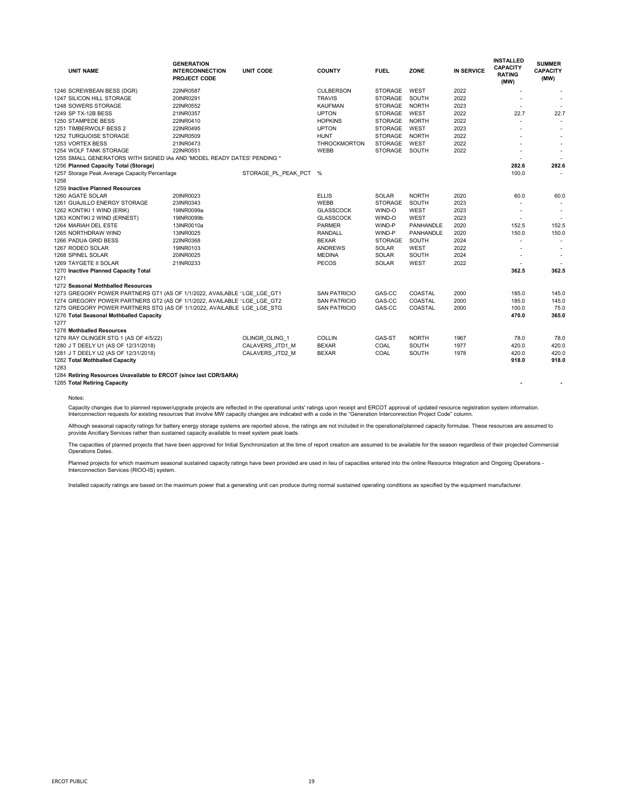| <b>UNIT NAME</b>                                                        | <b>GENERATION</b><br><b>INTERCONNECTION</b><br><b>PROJECT CODE</b> | <b>UNIT CODE</b>      | <b>COUNTY</b>       | <b>FUEL</b>    | <b>ZONE</b>      | <b>IN SERVICE</b> | <b>INSTALLED</b><br><b>CAPACITY</b><br><b>RATING</b><br>(MW) | <b>SUMMER</b><br><b>CAPACITY</b><br>(MW) |
|-------------------------------------------------------------------------|--------------------------------------------------------------------|-----------------------|---------------------|----------------|------------------|-------------------|--------------------------------------------------------------|------------------------------------------|
| 1246 SCREWBEAN BESS (DGR)                                               | 22INR0587                                                          |                       | <b>CULBERSON</b>    | <b>STORAGE</b> | <b>WEST</b>      | 2022              |                                                              |                                          |
| 1247 SILICON HILL STORAGE                                               | 20INR0291                                                          |                       | <b>TRAVIS</b>       | <b>STORAGE</b> | SOUTH            | 2022              |                                                              |                                          |
| 1248 SOWERS STORAGE                                                     | 22INR0552                                                          |                       | <b>KAUFMAN</b>      | <b>STORAGE</b> | <b>NORTH</b>     | 2023              |                                                              |                                          |
| 1249 SP TX-12B BESS                                                     | 21INR0357                                                          |                       | <b>UPTON</b>        | <b>STORAGE</b> | <b>WEST</b>      | 2022              | 22.7                                                         | 22.7                                     |
| 1250 STAMPEDE BESS                                                      | 22INR0410                                                          |                       | <b>HOPKINS</b>      | <b>STORAGE</b> | <b>NORTH</b>     | 2022              |                                                              |                                          |
| 1251 TIMBERWOLF BESS 2                                                  | 22INR0495                                                          |                       | <b>UPTON</b>        | <b>STORAGE</b> | <b>WEST</b>      | 2023              |                                                              |                                          |
| 1252 TURQUOISE STORAGE                                                  | 22INR0509                                                          |                       | <b>HUNT</b>         | <b>STORAGE</b> | <b>NORTH</b>     | 2022              |                                                              |                                          |
| 1253 VORTEX BESS                                                        | 21INR0473                                                          |                       | <b>THROCKMORTON</b> | <b>STORAGE</b> | <b>WEST</b>      | 2022              |                                                              |                                          |
| 1254 WOLF TANK STORAGE                                                  | 22INR0551                                                          |                       | <b>WEBB</b>         | <b>STORAGE</b> | SOUTH            | 2022              |                                                              |                                          |
| 1255 SMALL GENERATORS WITH SIGNED IAs AND 'MODEL READY DATES' PENDING * |                                                                    |                       |                     |                |                  |                   |                                                              |                                          |
| 1256 Planned Capacity Total (Storage)                                   |                                                                    |                       |                     |                |                  |                   | 282.6                                                        | 282.6                                    |
| 1257 Storage Peak Average Capacity Percentage<br>1258                   |                                                                    | STORAGE PL PEAK PCT % |                     |                |                  |                   | 100.0                                                        |                                          |
| 1259 Inactive Planned Resources                                         |                                                                    |                       |                     |                |                  |                   |                                                              |                                          |
| 1260 AGATE SOLAR                                                        | 20INR0023                                                          |                       | <b>ELLIS</b>        | <b>SOLAR</b>   | <b>NORTH</b>     | 2020              | 60.0                                                         | 60.0                                     |
| 1261 GUAJILLO ENERGY STORAGE                                            | 23INR0343                                                          |                       | <b>WEBB</b>         | <b>STORAGE</b> | <b>SOUTH</b>     | 2023              |                                                              |                                          |
| 1262 KONTIKI 1 WIND (ERIK)                                              | 19INR0099a                                                         |                       | <b>GLASSCOCK</b>    | WIND-O         | <b>WEST</b>      | 2023              |                                                              |                                          |
| 1263 KONTIKI 2 WIND (ERNEST)                                            | 19INR0099b                                                         |                       | <b>GLASSCOCK</b>    | WIND-O         | <b>WEST</b>      | 2023              |                                                              |                                          |
| 1264 MARIAH DEL ESTE                                                    | 13INR0010a                                                         |                       | <b>PARMER</b>       | WIND-P         | <b>PANHANDLE</b> | 2020              | 152.5                                                        | 152.5                                    |
| 1265 NORTHDRAW WIND                                                     | 13INR0025                                                          |                       | <b>RANDALL</b>      | WIND-P         | <b>PANHANDLE</b> | 2020              | 150.0                                                        | 150.0                                    |
| 1266 PADUA GRID BESS                                                    | 22INR0368                                                          |                       | <b>BEXAR</b>        | <b>STORAGE</b> | <b>SOUTH</b>     | 2024              |                                                              |                                          |
| 1267 RODEO SOLAR                                                        | 19INR0103                                                          |                       | <b>ANDREWS</b>      | <b>SOLAR</b>   | <b>WEST</b>      | 2022              |                                                              |                                          |
| 1268 SPINEL SOLAR                                                       | 20INR0025                                                          |                       | <b>MEDINA</b>       | <b>SOLAR</b>   | <b>SOUTH</b>     | 2024              |                                                              |                                          |
| 1269 TAYGETE II SOLAR                                                   | 21INR0233                                                          |                       | <b>PECOS</b>        | <b>SOLAR</b>   | <b>WEST</b>      | 2022              |                                                              |                                          |
| 1270 Inactive Planned Capacity Total                                    |                                                                    |                       |                     |                |                  |                   | 362.5                                                        | 362.5                                    |
| 1271                                                                    |                                                                    |                       |                     |                |                  |                   |                                                              |                                          |
| 1272 Seasonal Mothballed Resources                                      |                                                                    |                       |                     |                |                  |                   |                                                              |                                          |
| 1273 GREGORY POWER PARTNERS GT1 (AS OF 1/1/2022, AVAILABLE 'LGE_LGE_GT1 |                                                                    |                       | <b>SAN PATRICIO</b> | GAS-CC         | COASTAL          | 2000              | 185.0                                                        | 145.0                                    |
| 1274 GREGORY POWER PARTNERS GT2 (AS OF 1/1/2022, AVAILABLE 'LGE_LGE_GT2 |                                                                    |                       | <b>SAN PATRICIO</b> | GAS-CC         | COASTAL          | 2000              | 185.0                                                        | 145.0                                    |
| 1275 GREGORY POWER PARTNERS STG (AS OF 1/1/2022, AVAILABLE LGE LGE STG  |                                                                    |                       | <b>SAN PATRICIO</b> | GAS-CC         | COASTAL          | 2000              | 100.0                                                        | 75.0                                     |
| 1276 Total Seasonal Mothballed Capacity                                 |                                                                    |                       |                     |                |                  |                   | 470.0                                                        | 365.0                                    |
| 1277                                                                    |                                                                    |                       |                     |                |                  |                   |                                                              |                                          |
| 1278 Mothballed Resources                                               |                                                                    |                       |                     |                |                  |                   |                                                              |                                          |
| 1279 RAY OLINGER STG 1 (AS OF 4/5/22)                                   |                                                                    | OLINGR_OLING_1        | <b>COLLIN</b>       | GAS-ST         | <b>NORTH</b>     | 1967              | 78.0                                                         | 78.0                                     |
| 1280 J T DEELY U1 (AS OF 12/31/2018)                                    |                                                                    | CALAVERS_JTD1_M       | <b>BEXAR</b>        | COAL           | <b>SOUTH</b>     | 1977              | 420.0                                                        | 420.0                                    |
| 1281 J T DEELY U2 (AS OF 12/31/2018)                                    |                                                                    | CALAVERS_JTD2_M       | <b>BEXAR</b>        | COAL           | <b>SOUTH</b>     | 1978              | 420.0                                                        | 420.0                                    |
| 1282 Total Mothballed Capacity                                          |                                                                    |                       |                     |                |                  |                   | 918.0                                                        | 918.0                                    |
| 1283                                                                    |                                                                    |                       |                     |                |                  |                   |                                                              |                                          |
| 1284 Retiring Resources Unavailable to ERCOT (since last CDR/SARA)      |                                                                    |                       |                     |                |                  |                   |                                                              |                                          |
| 1285 Total Retiring Capacity                                            |                                                                    |                       |                     |                |                  |                   |                                                              |                                          |

Although seasonal capacity ratings for battery energy storage systems are reported above, the ratings are not included in the operational/planned capacity formulae. These resources are assumed to provide Ancillary Services rather than sustained capacity available to meet system peak loads.

The capacities of planned projects that have been approved for Initial Synchronization at the time of report creation are assumed to be available for the season regardless of their projected Commercial Operations Dates.

Planned projects for which maximum seasonal sustained capacity ratings have been provided are used in lieu of capacities entered into the online Resource Integration and Ongoing Operations -Interconnection Services (RIOO-IS) system.

Notes:

Capacity changes due to planned repower/upgrade projects are reflected in the operational units' ratings upon receipt and ERCOT approval of updated resource registration system information. Interconnection requests for existing resources that involve MW capacity changes are indicated with a code in the "Generation Interconnection Project Code" column.

Installed capacity ratings are based on the maximum power that a generating unit can produce during normal sustained operating conditions as specified by the equipment manufacturer.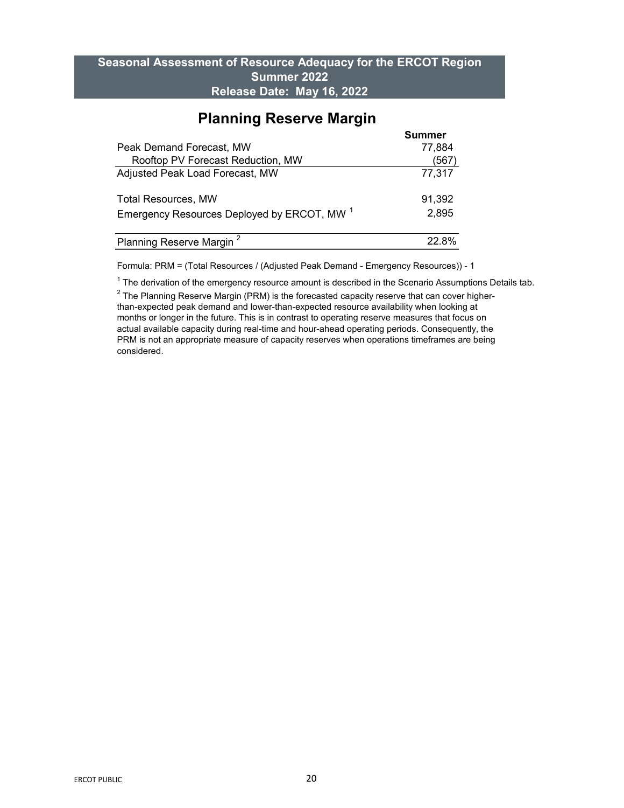## **Seasonal Assessment of Resource Adequacy for the ERCOT Region Summer 2022 Release Date: May 16, 2022**

|                                                        | <b>Summer</b> |
|--------------------------------------------------------|---------------|
| <b>Peak Demand Forecast, MW</b>                        | 77,884        |
| Rooftop PV Forecast Reduction, MW                      | 567           |
| <b>Adjusted Peak Load Forecast, MW</b>                 | 77,317        |
| <b>Total Resources, MW</b>                             | 91,392        |
| Emergency Resources Deployed by ERCOT, MW <sup>1</sup> | 2,895         |
| Planning Reserve Margin <sup>2</sup>                   | 22 8%         |

## **Planning Reserve Margin**

Formula: PRM = (Total Resources / (Adjusted Peak Demand - Emergency Resources)) - 1

 $^\text{1}$  The derivation of the emergency resource amount is described in the Scenario Assumptions Details tab.

 $^{\rm 2}$  The Planning Reserve Margin (PRM) is the forecasted capacity reserve that can cover higherthan-expected peak demand and lower-than-expected resource availability when looking at months or longer in the future. This is in contrast to operating reserve measures that focus on actual available capacity during real-time and hour-ahead operating periods. Consequently, the PRM is not an appropriate measure of capacity reserves when operations timeframes are being considered.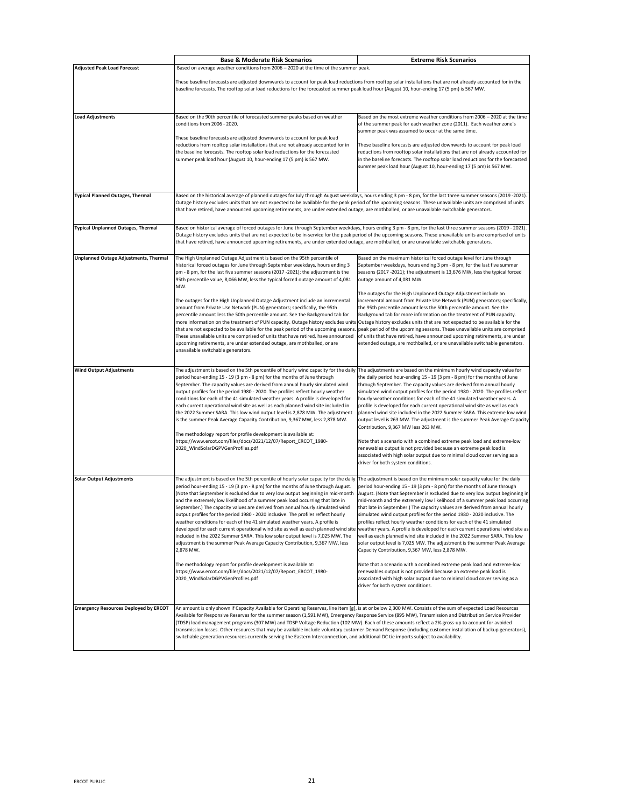|                                              | <b>Base &amp; Moderate Risk Scenarios</b>                                                                                                                                                                                                                                                                                                                                                                                                                                                                                                                                                                                                                                                                                                                                                                                                                                                                                                                                                                                                                                                                                                                                                               | <b>Extreme Risk Scenarios</b>                                                                                                                                                                                                                                                                                                                                                                                                                                                                                                                                                                                                                                                                                                                                                                                                                                                                                                                              |
|----------------------------------------------|---------------------------------------------------------------------------------------------------------------------------------------------------------------------------------------------------------------------------------------------------------------------------------------------------------------------------------------------------------------------------------------------------------------------------------------------------------------------------------------------------------------------------------------------------------------------------------------------------------------------------------------------------------------------------------------------------------------------------------------------------------------------------------------------------------------------------------------------------------------------------------------------------------------------------------------------------------------------------------------------------------------------------------------------------------------------------------------------------------------------------------------------------------------------------------------------------------|------------------------------------------------------------------------------------------------------------------------------------------------------------------------------------------------------------------------------------------------------------------------------------------------------------------------------------------------------------------------------------------------------------------------------------------------------------------------------------------------------------------------------------------------------------------------------------------------------------------------------------------------------------------------------------------------------------------------------------------------------------------------------------------------------------------------------------------------------------------------------------------------------------------------------------------------------------|
| <b>Adjusted Peak Load Forecast</b>           | Based on average weather conditions from 2006 - 2020 at the time of the summer peak.                                                                                                                                                                                                                                                                                                                                                                                                                                                                                                                                                                                                                                                                                                                                                                                                                                                                                                                                                                                                                                                                                                                    |                                                                                                                                                                                                                                                                                                                                                                                                                                                                                                                                                                                                                                                                                                                                                                                                                                                                                                                                                            |
|                                              | These baseline forecasts are adjusted downwards to account for peak load reductions from rooftop solar installations that are not already accounted for in the<br>baseline forecasts. The rooftop solar load reductions for the forecasted summer peak load hour (August 10, hour-ending 17 (5 pm) is 567 MW.                                                                                                                                                                                                                                                                                                                                                                                                                                                                                                                                                                                                                                                                                                                                                                                                                                                                                           |                                                                                                                                                                                                                                                                                                                                                                                                                                                                                                                                                                                                                                                                                                                                                                                                                                                                                                                                                            |
| <b>Load Adjustments</b>                      | Based on the 90th percentile of forecasted summer peaks based on weather<br>conditions from 2006 - 2020.                                                                                                                                                                                                                                                                                                                                                                                                                                                                                                                                                                                                                                                                                                                                                                                                                                                                                                                                                                                                                                                                                                | Based on the most extreme weather conditions from 2006 - 2020 at the time<br>of the summer peak for each weather zone (2011). Each weather zone's<br>summer peak was assumed to occur at the same time.                                                                                                                                                                                                                                                                                                                                                                                                                                                                                                                                                                                                                                                                                                                                                    |
|                                              | These baseline forecasts are adjusted downwards to account for peak load<br>reductions from rooftop solar installations that are not already accounted for in<br>the baseline forecasts. The rooftop solar load reductions for the forecasted<br>summer peak load hour (August 10, hour-ending 17 (5 pm) is 567 MW.                                                                                                                                                                                                                                                                                                                                                                                                                                                                                                                                                                                                                                                                                                                                                                                                                                                                                     | These baseline forecasts are adjusted downwards to account for peak load<br>reductions from rooftop solar installations that are not already accounted for<br>in the baseline forecasts. The rooftop solar load reductions for the forecasted<br>summer peak load hour (August 10, hour-ending 17 (5 pm) is 567 MW.                                                                                                                                                                                                                                                                                                                                                                                                                                                                                                                                                                                                                                        |
| <b>Typical Planned Outages, Thermal</b>      | Based on the historical average of planned outages for July through August weekdays, hours ending 3 pm - 8 pm, for the last three summer seasons (2019 -2021).<br>Outage history excludes units that are not expected to be available for the peak period of the upcoming seasons. These unavailable units are comprised of units<br>that have retired, have announced upcoming retirements, are under extended outage, are mothballed, or are unavailable switchable generators.                                                                                                                                                                                                                                                                                                                                                                                                                                                                                                                                                                                                                                                                                                                       |                                                                                                                                                                                                                                                                                                                                                                                                                                                                                                                                                                                                                                                                                                                                                                                                                                                                                                                                                            |
| <b>Typical Unplanned Outages, Thermal</b>    | Based on historical average of forced outages for June through September weekdays, hours ending 3 pm - 8 pm, for the last three summer seasons (2019 - 2021).<br>Outage history excludes units that are not expected to be in-service for the peak period of the upcoming seasons. These unavailable units are comprised of units<br>that have retired, have announced upcoming retirements, are under extended outage, are mothballed, or are unavailable switchable generators.                                                                                                                                                                                                                                                                                                                                                                                                                                                                                                                                                                                                                                                                                                                       |                                                                                                                                                                                                                                                                                                                                                                                                                                                                                                                                                                                                                                                                                                                                                                                                                                                                                                                                                            |
| <b>Unplanned Outage Adjustments, Thermal</b> | The High Unplanned Outage Adjustment is based on the 95th percentile of<br>historical forced outages for June through September weekdays, hours ending 3<br> pm - 8 pm, for the last five summer seasons (2017 -2021); the adjustment is the<br>95th percentile value, 8,066 MW, less the typical forced outage amount of 4,081<br>MW.                                                                                                                                                                                                                                                                                                                                                                                                                                                                                                                                                                                                                                                                                                                                                                                                                                                                  | Based on the maximum historical forced outage level for June through<br>September weekdays, hours ending 3 pm - 8 pm, for the last five summer<br>seasons (2017 -2021); the adjustment is 13,676 MW, less the typical forced<br>outage amount of 4,081 MW.                                                                                                                                                                                                                                                                                                                                                                                                                                                                                                                                                                                                                                                                                                 |
|                                              | The outages for the High Unplanned Outage Adjustment include an incremental<br>amount from Private Use Network (PUN) generators; specifically, the 95th<br>percentile amount less the 50th percentile amount. See the Background tab for<br>more information on the treatment of PUN capacity. Outage history excludes units Outage history excludes units that are not expected to be available for the<br>that are not expected to be available for the peak period of the upcoming seasons.<br>These unavailable units are comprised of units that have retired, have announced<br>upcoming retirements, are under extended outage, are mothballed, or are<br>unavailable switchable generators.                                                                                                                                                                                                                                                                                                                                                                                                                                                                                                     | The outages for the High Unplanned Outage Adjustment include an<br>incremental amount from Private Use Network (PUN) generators; specifically,<br>the 95th percentile amount less the 50th percentile amount. See the<br>Background tab for more information on the treatment of PUN capacity.<br>peak period of the upcoming seasons. These unavailable units are comprised<br>of units that have retired, have announced upcoming retirements, are under<br>extended outage, are mothballed, or are unavailable switchable generators.                                                                                                                                                                                                                                                                                                                                                                                                                   |
| <b>Wind Output Adjustments</b>               | The adjustment is based on the 5th percentile of hourly wind capacity for the daily<br>period hour-ending 15 - 19 (3 pm - 8 pm) for the months of June through<br>September. The capacity values are derived from annual hourly simulated wind<br>output profiles for the period 1980 - 2020. The profiles reflect hourly weather<br>conditions for each of the 41 simulated weather years. A profile is developed for<br>each current operational wind site as well as each planned wind site included in<br>the 2022 Summer SARA. This low wind output level is 2,878 MW. The adjustment<br>is the summer Peak Average Capacity Contribution, 9,367 MW, less 2,878 MW.<br>The methodology report for profile development is available at:<br>https://www.ercot.com/files/docs/2021/12/07/Report_ERCOT_1980-<br>2020_WindSolarDGPVGenProfiles.pdf                                                                                                                                                                                                                                                                                                                                                      | The adjustments are based on the minimum hourly wind capacity value for<br>the daily period hour-ending 15 - 19 (3 pm - 8 pm) for the months of June<br>through September. The capacity values are derived from annual hourly<br>simulated wind output profiles for the period 1980 - 2020. The profiles reflect<br>hourly weather conditions for each of the 41 simulated weather years. A<br>profile is developed for each current operational wind site as well as each<br>planned wind site included in the 2022 Summer SARA. This extreme low wind<br>output level is 263 MW. The adjustment is the summer Peak Average Capacity<br>Contribution, 9,367 MW less 263 MW.<br>Note that a scenario with a combined extreme peak load and extreme-low<br>renewables output is not provided because an extreme peak load is<br>associated with high solar output due to minimal cloud cover serving as a<br>driver for both system conditions.             |
| <b>Solar Output Adjustments</b>              | The adjustment is based on the 5th percentile of hourly solar capacity for the daily The adjustment is based on the minimum solar capacity value for the daily<br>period hour-ending 15 - 19 (3 pm - 8 pm) for the months of June through August.<br>(Note that September is excluded due to very low output beginning in mid-month<br>and the extremely low likelihood of a summer peak load occurring that late in<br>September.) The capacity values are derived from annual hourly simulated wind<br>output profiles for the period 1980 - 2020 inclusive. The profiles reflect hourly<br>weather conditions for each of the 41 simulated weather years. A profile is<br>developed for each current operational wind site as well as each planned wind site weather years. A profile is developed for each current operational wind site as<br>included in the 2022 Summer SARA. This low solar output level is 7,025 MW. The<br>adjustment is the summer Peak Average Capacity Contribution, 9,367 MW, less<br>2,878 MW.<br>The methodology report for profile development is available at:<br>https://www.ercot.com/files/docs/2021/12/07/Report_ERCOT_1980-<br>2020 WindSolarDGPVGenProfiles.pdf | period hour-ending 15 - 19 (3 pm - 8 pm) for the months of June through<br>August. (Note that September is excluded due to very low output beginning in<br>mid-month and the extremely low likelihood of a summer peak load occurring<br>that late in September.) The capacity values are derived from annual hourly<br>simulated wind output profiles for the period 1980 - 2020 inclusive. The<br>profiles reflect hourly weather conditions for each of the 41 simulated<br>well as each planned wind site included in the 2022 Summer SARA. This low<br>solar output level is 7,025 MW. The adjustment is the summer Peak Average<br>Capacity Contribution, 9,367 MW, less 2,878 MW.<br>Note that a scenario with a combined extreme peak load and extreme-low<br>renewables output is not provided because an extreme peak load is<br>associated with high solar output due to minimal cloud cover serving as a<br>driver for both system conditions. |
| <b>Emergency Resources Deployed by ERCOT</b> | An amount is only shown if Capacity Available for Operating Reserves, line item [g], is at or below 2,300 MW. Consists of the sum of expected Load Resources<br>Available for Responsive Reserves for the summer season (1,591 MW), Emergency Response Service (895 MW), Transmission and Distribution Service Provider<br>(TDSP) load management programs (307 MW) and TDSP Voltage Reduction (102 MW). Each of these amounts reflect a 2% gross-up to account for avoided<br>transmission losses. Other resources that may be available include voluntary customer Demand Response (including customer installation of backup generators),<br>switchable generation resources currently serving the Eastern Interconnection, and additional DC tie imports subject to availability.                                                                                                                                                                                                                                                                                                                                                                                                                   |                                                                                                                                                                                                                                                                                                                                                                                                                                                                                                                                                                                                                                                                                                                                                                                                                                                                                                                                                            |